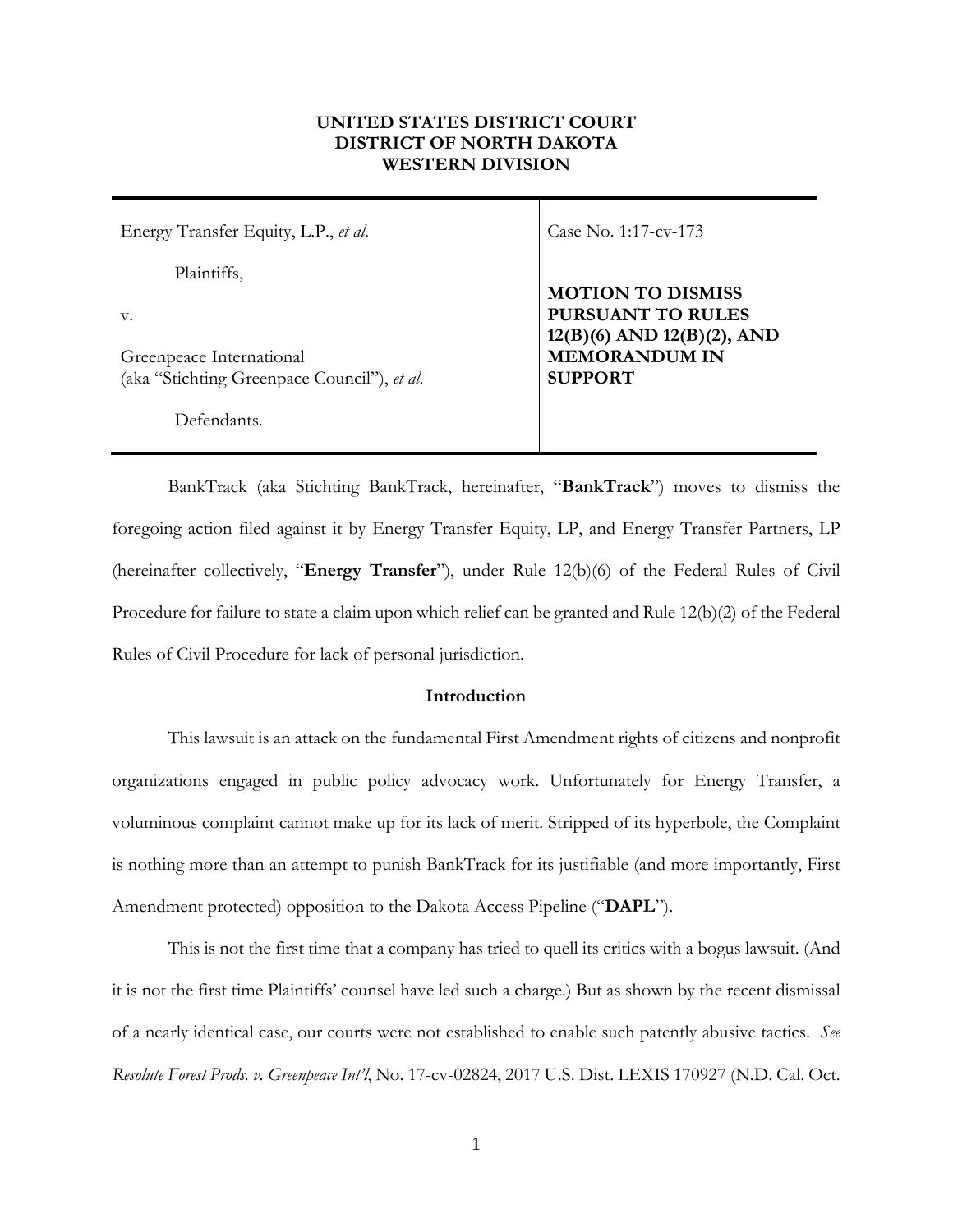# **UNITED STATES DISTRICT COURT DISTRICT OF NORTH DAKOTA WESTERN DIVISION**

| Energy Transfer Equity, L.P., et al.                                    | Case No. 1:17-cv-173                                        |
|-------------------------------------------------------------------------|-------------------------------------------------------------|
| Plaintiffs,                                                             | <b>MOTION TO DISMISS</b>                                    |
| $V_{\cdot}$                                                             | <b>PURSUANT TO RULES</b><br>$12(B)(6)$ AND $12(B)(2)$ , AND |
| Greenpeace International<br>(aka "Stichting Greenpace Council"), et al. | <b>MEMORANDUM IN</b><br><b>SUPPORT</b>                      |
| Defendants                                                              |                                                             |

BankTrack (aka Stichting BankTrack, hereinafter, "**BankTrack**") moves to dismiss the foregoing action filed against it by Energy Transfer Equity, LP, and Energy Transfer Partners, LP (hereinafter collectively, "**Energy Transfer**"), under Rule 12(b)(6) of the Federal Rules of Civil Procedure for failure to state a claim upon which relief can be granted and Rule 12(b)(2) of the Federal Rules of Civil Procedure for lack of personal jurisdiction.

# **Introduction**

This lawsuit is an attack on the fundamental First Amendment rights of citizens and nonprofit organizations engaged in public policy advocacy work. Unfortunately for Energy Transfer, a voluminous complaint cannot make up for its lack of merit. Stripped of its hyperbole, the Complaint is nothing more than an attempt to punish BankTrack for its justifiable (and more importantly, First Amendment protected) opposition to the Dakota Access Pipeline ("**DAPL**").

This is not the first time that a company has tried to quell its critics with a bogus lawsuit. (And it is not the first time Plaintiffs' counsel have led such a charge.) But as shown by the recent dismissal of a nearly identical case, our courts were not established to enable such patently abusive tactics. *See Resolute Forest Prods. v. Greenpeace Int'l*, No. 17-cv-02824, 2017 U.S. Dist. LEXIS 170927 (N.D. Cal. Oct.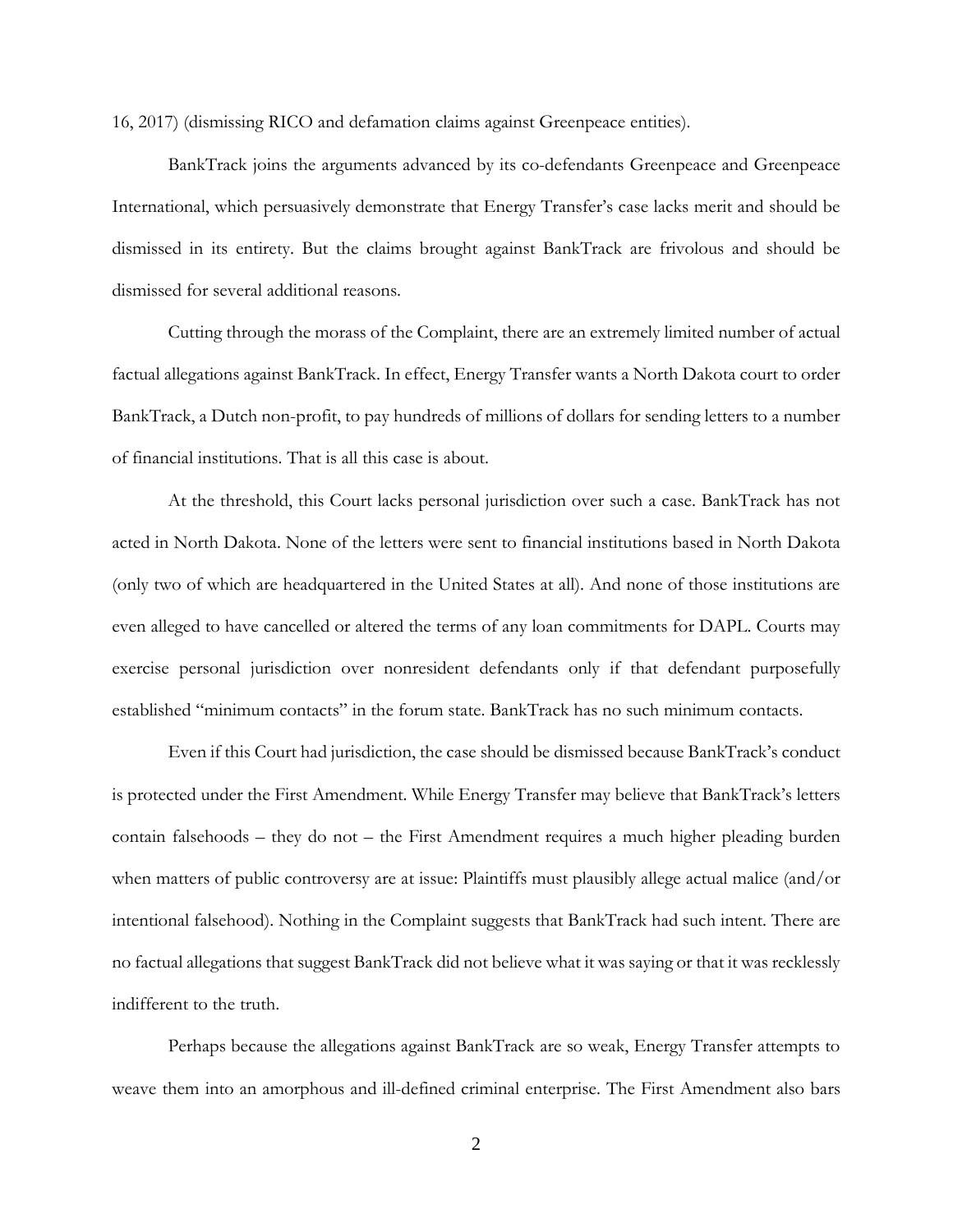16, 2017) (dismissing RICO and defamation claims against Greenpeace entities).

BankTrack joins the arguments advanced by its co-defendants Greenpeace and Greenpeace International, which persuasively demonstrate that Energy Transfer's case lacks merit and should be dismissed in its entirety. But the claims brought against BankTrack are frivolous and should be dismissed for several additional reasons.

Cutting through the morass of the Complaint, there are an extremely limited number of actual factual allegations against BankTrack. In effect, Energy Transfer wants a North Dakota court to order BankTrack, a Dutch non-profit, to pay hundreds of millions of dollars for sending letters to a number of financial institutions. That is all this case is about.

At the threshold, this Court lacks personal jurisdiction over such a case. BankTrack has not acted in North Dakota. None of the letters were sent to financial institutions based in North Dakota (only two of which are headquartered in the United States at all). And none of those institutions are even alleged to have cancelled or altered the terms of any loan commitments for DAPL. Courts may exercise personal jurisdiction over nonresident defendants only if that defendant purposefully established "minimum contacts" in the forum state. BankTrack has no such minimum contacts.

Even if this Court had jurisdiction, the case should be dismissed because BankTrack's conduct is protected under the First Amendment. While Energy Transfer may believe that BankTrack's letters contain falsehoods – they do not – the First Amendment requires a much higher pleading burden when matters of public controversy are at issue: Plaintiffs must plausibly allege actual malice (and/or intentional falsehood). Nothing in the Complaint suggests that BankTrack had such intent. There are no factual allegations that suggest BankTrack did not believe what it was saying or that it was recklessly indifferent to the truth.

Perhaps because the allegations against BankTrack are so weak, Energy Transfer attempts to weave them into an amorphous and ill-defined criminal enterprise. The First Amendment also bars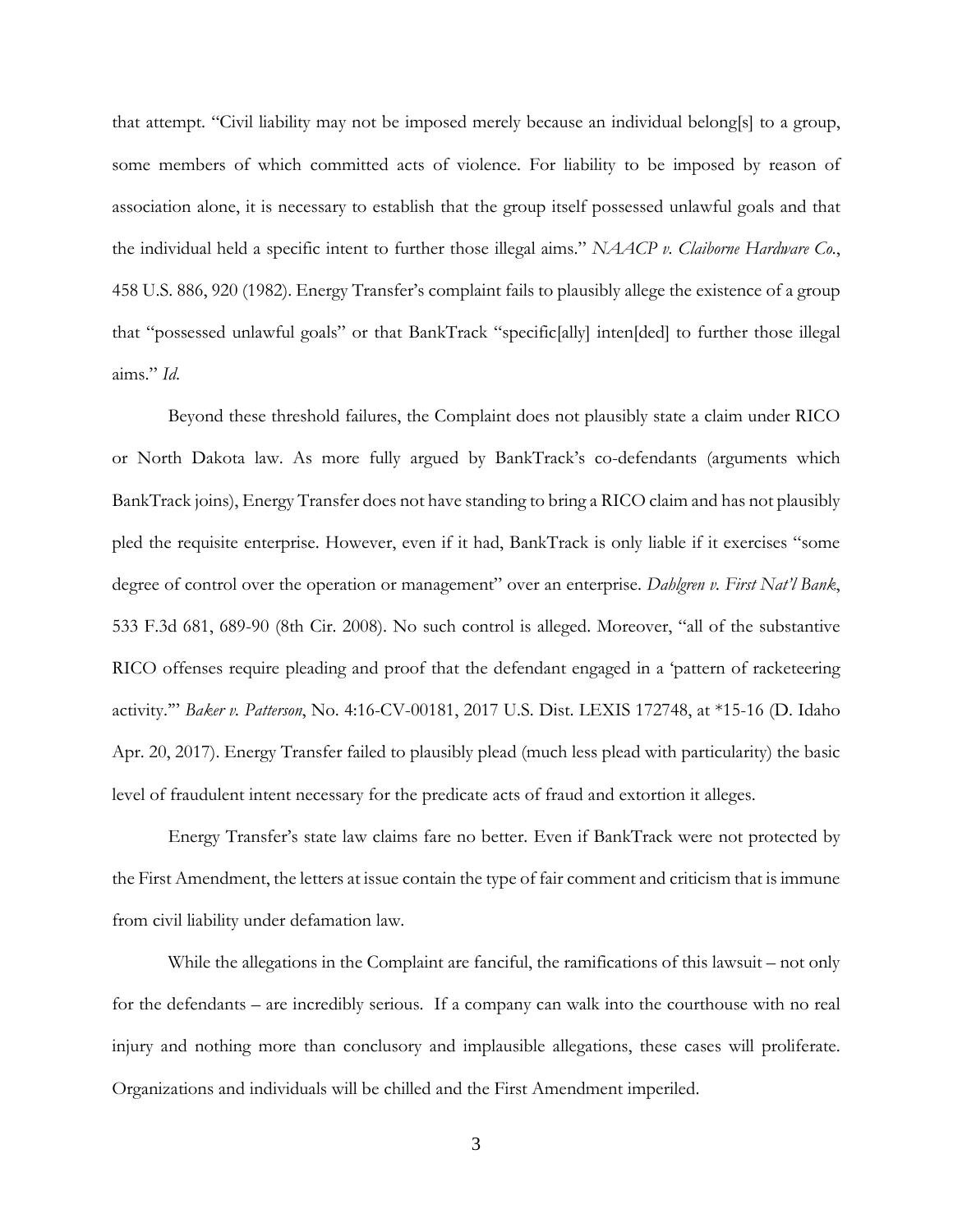that attempt. "Civil liability may not be imposed merely because an individual belong[s] to a group, some members of which committed acts of violence. For liability to be imposed by reason of association alone, it is necessary to establish that the group itself possessed unlawful goals and that the individual held a specific intent to further those illegal aims." *NAACP v. Claiborne Hardware Co.*, 458 U.S. 886, 920 (1982). Energy Transfer's complaint fails to plausibly allege the existence of a group that "possessed unlawful goals" or that BankTrack "specific[ally] inten[ded] to further those illegal aims." *Id*.

Beyond these threshold failures, the Complaint does not plausibly state a claim under RICO or North Dakota law. As more fully argued by BankTrack's co-defendants (arguments which BankTrack joins), Energy Transfer does not have standing to bring a RICO claim and has not plausibly pled the requisite enterprise. However, even if it had, BankTrack is only liable if it exercises "some degree of control over the operation or management" over an enterprise. *Dahlgren v. First Nat'l Bank*, 533 F.3d 681, 689-90 (8th Cir. 2008). No such control is alleged. Moreover, "all of the substantive RICO offenses require pleading and proof that the defendant engaged in a 'pattern of racketeering activity.'" *Baker v. Patterson*, No. 4:16-CV-00181, 2017 U.S. Dist. LEXIS 172748, at \*15-16 (D. Idaho Apr. 20, 2017). Energy Transfer failed to plausibly plead (much less plead with particularity) the basic level of fraudulent intent necessary for the predicate acts of fraud and extortion it alleges.

Energy Transfer's state law claims fare no better. Even if BankTrack were not protected by the First Amendment, the letters at issue contain the type of fair comment and criticism that is immune from civil liability under defamation law.

While the allegations in the Complaint are fanciful, the ramifications of this lawsuit – not only for the defendants – are incredibly serious. If a company can walk into the courthouse with no real injury and nothing more than conclusory and implausible allegations, these cases will proliferate. Organizations and individuals will be chilled and the First Amendment imperiled.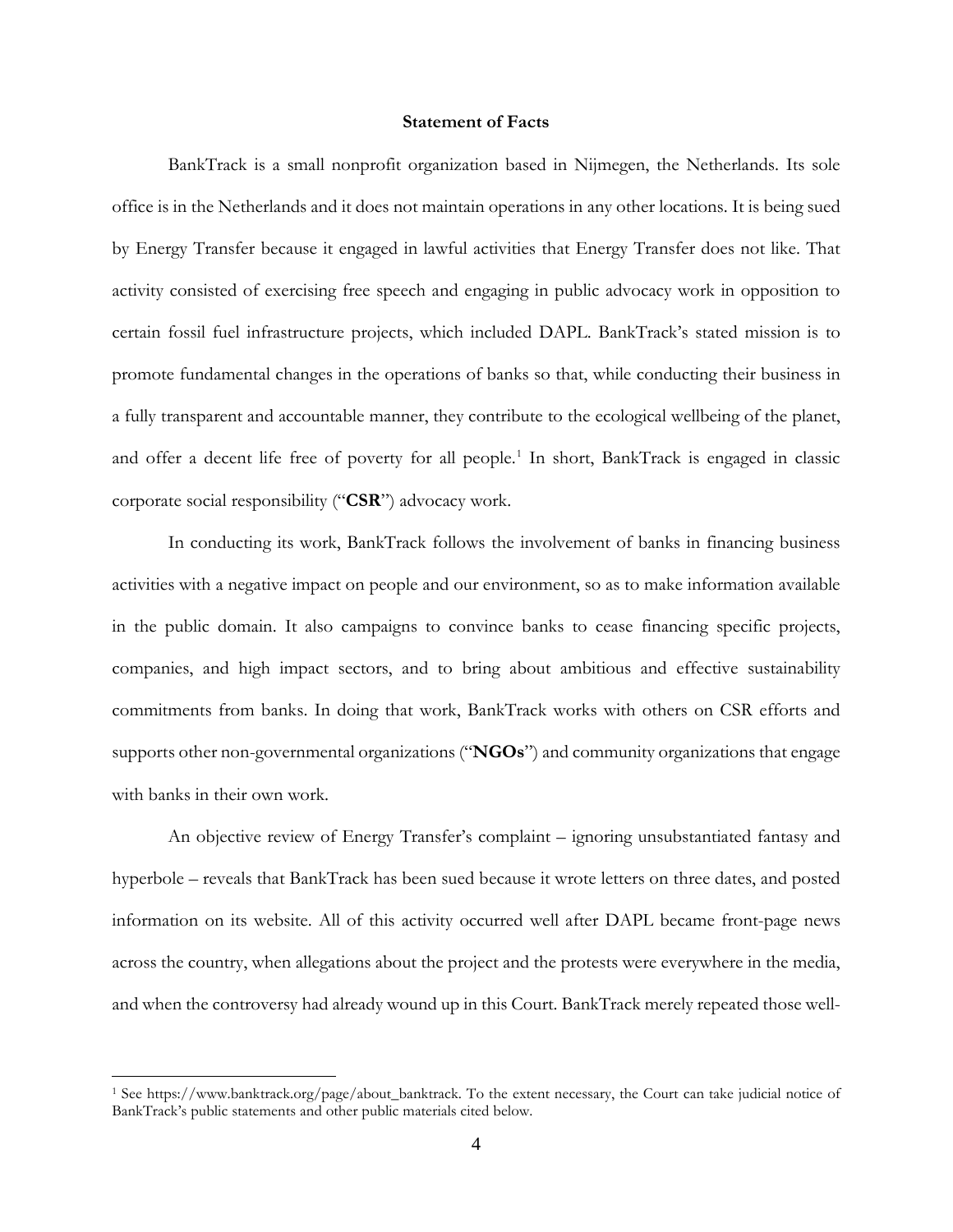## **Statement of Facts**

BankTrack is a small nonprofit organization based in Nijmegen, the Netherlands. Its sole office is in the Netherlands and it does not maintain operations in any other locations. It is being sued by Energy Transfer because it engaged in lawful activities that Energy Transfer does not like. That activity consisted of exercising free speech and engaging in public advocacy work in opposition to certain fossil fuel infrastructure projects, which included DAPL. BankTrack's stated mission is to promote fundamental changes in the operations of banks so that, while conducting their business in a fully transparent and accountable manner, they contribute to the ecological wellbeing of the planet, and offer a decent life free of poverty for all people.<sup>[1](#page-3-0)</sup> In short, BankTrack is engaged in classic corporate social responsibility ("**CSR**") advocacy work.

In conducting its work, BankTrack follows the involvement of banks in financing business activities with a negative impact on people and our environment, so as to make information available in the public domain. It also campaigns to convince banks to cease financing specific projects, companies, and high impact sectors, and to bring about ambitious and effective sustainability commitments from banks. In doing that work, BankTrack works with others on CSR efforts and supports other non-governmental organizations ("**NGOs**") and community organizations that engage with banks in their own work.

An objective review of Energy Transfer's complaint – ignoring unsubstantiated fantasy and hyperbole – reveals that BankTrack has been sued because it wrote letters on three dates, and posted information on its website. All of this activity occurred well after DAPL became front-page news across the country, when allegations about the project and the protests were everywhere in the media, and when the controversy had already wound up in this Court. BankTrack merely repeated those well-

<span id="page-3-0"></span><sup>1</sup> See https://www.banktrack.org/page/about\_banktrack. To the extent necessary, the Court can take judicial notice of BankTrack's public statements and other public materials cited below.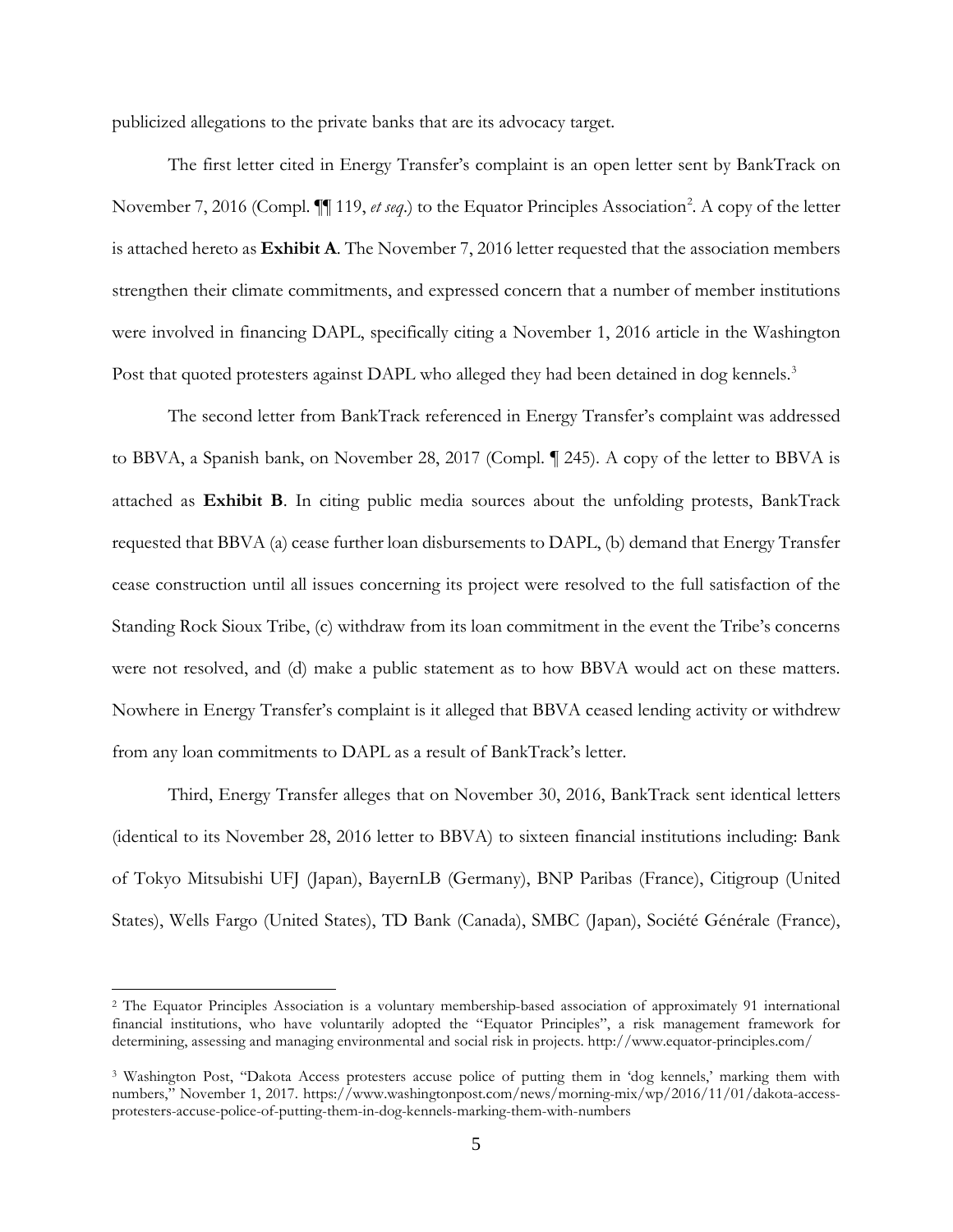publicized allegations to the private banks that are its advocacy target.

The first letter cited in Energy Transfer's complaint is an open letter sent by BankTrack on November 7, [2](#page-4-0)016 (Compl.  $\P$  119, *et seq*.) to the Equator Principles Association<sup>2</sup>. A copy of the letter is attached hereto as **Exhibit A**. The November 7, 2016 letter requested that the association members strengthen their climate commitments, and expressed concern that a number of member institutions were involved in financing DAPL, specifically citing a November 1, 2016 article in the Washington Post that quoted protesters against DAPL who alleged they had been detained in dog kennels.<sup>[3](#page-4-1)</sup>

The second letter from BankTrack referenced in Energy Transfer's complaint was addressed to BBVA, a Spanish bank, on November 28, 2017 (Compl. ¶ 245). A copy of the letter to BBVA is attached as **Exhibit B**. In citing public media sources about the unfolding protests, BankTrack requested that BBVA (a) cease further loan disbursements to DAPL, (b) demand that Energy Transfer cease construction until all issues concerning its project were resolved to the full satisfaction of the Standing Rock Sioux Tribe, (c) withdraw from its loan commitment in the event the Tribe's concerns were not resolved, and (d) make a public statement as to how BBVA would act on these matters. Nowhere in Energy Transfer's complaint is it alleged that BBVA ceased lending activity or withdrew from any loan commitments to DAPL as a result of BankTrack's letter.

Third, Energy Transfer alleges that on November 30, 2016, BankTrack sent identical letters (identical to its November 28, 2016 letter to BBVA) to sixteen financial institutions including: Bank of Tokyo Mitsubishi UFJ (Japan), BayernLB (Germany), BNP Paribas (France), Citigroup (United States), Wells Fargo (United States), TD Bank (Canada), SMBC (Japan), Société Générale (France),

<span id="page-4-0"></span><sup>2</sup> The Equator Principles Association is a voluntary membership-based association of approximately 91 international financial institutions, who have voluntarily adopted the "Equator Principles", a risk management framework for determining, assessing and managing environmental and social risk in projects. http://www.equator-principles.com/

<span id="page-4-1"></span><sup>3</sup> Washington Post, "Dakota Access protesters accuse police of putting them in 'dog kennels,' marking them with numbers," November 1, 2017. https://www.washingtonpost.com/news/morning-mix/wp/2016/11/01/dakota-accessprotesters-accuse-police-of-putting-them-in-dog-kennels-marking-them-with-numbers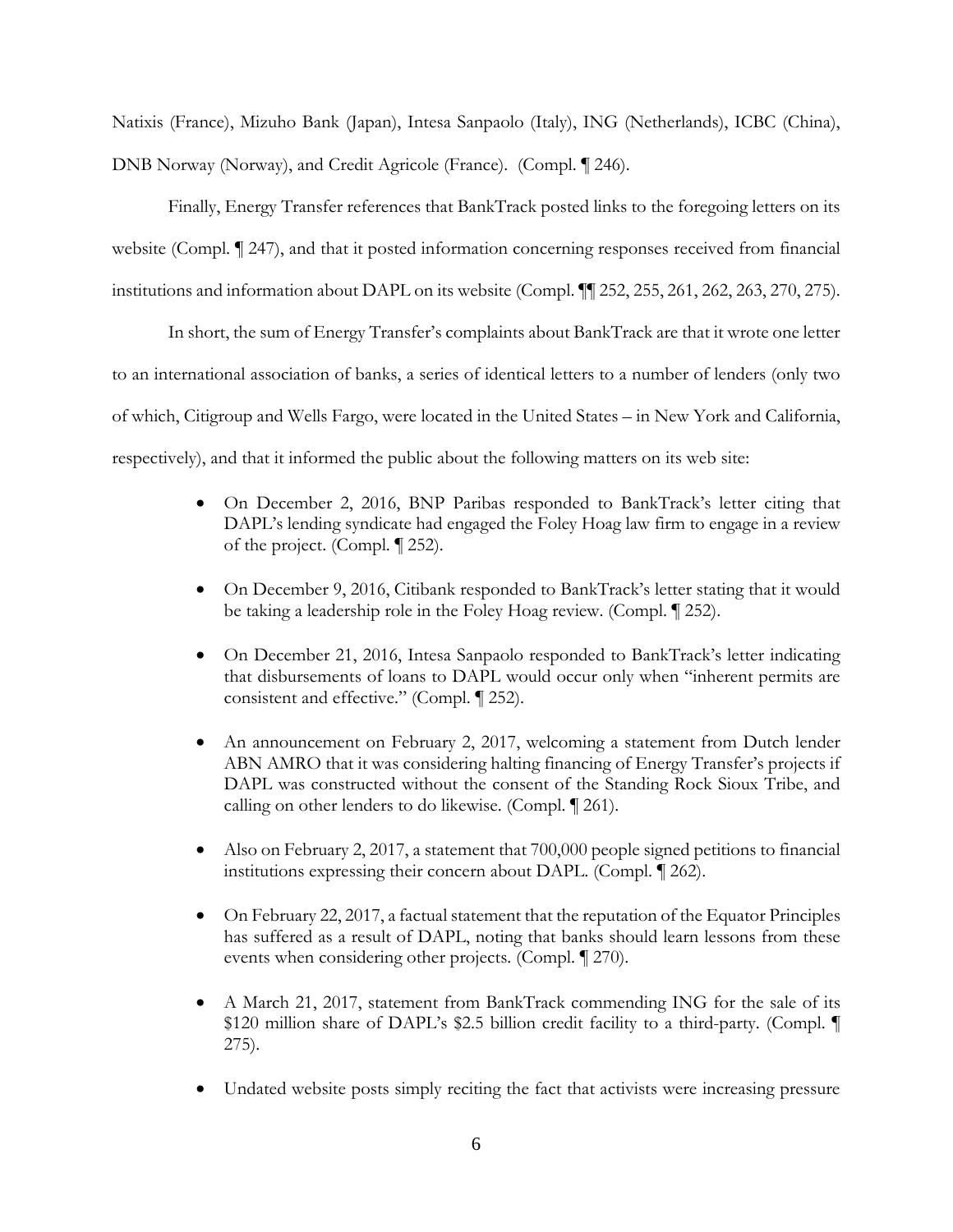Natixis (France), Mizuho Bank (Japan), Intesa Sanpaolo (Italy), ING (Netherlands), ICBC (China), DNB Norway (Norway), and Credit Agricole (France). (Compl. ¶ 246).

Finally, Energy Transfer references that BankTrack posted links to the foregoing letters on its website (Compl. ¶ 247), and that it posted information concerning responses received from financial institutions and information about DAPL on its website (Compl. ¶¶ 252, 255, 261, 262, 263, 270, 275).

In short, the sum of Energy Transfer's complaints about BankTrack are that it wrote one letter to an international association of banks, a series of identical letters to a number of lenders (only two of which, Citigroup and Wells Fargo, were located in the United States – in New York and California, respectively), and that it informed the public about the following matters on its web site:

- On December 2, 2016, BNP Paribas responded to BankTrack's letter citing that DAPL's lending syndicate had engaged the Foley Hoag law firm to engage in a review of the project. (Compl. ¶ 252).
- On December 9, 2016, Citibank responded to BankTrack's letter stating that it would be taking a leadership role in the Foley Hoag review. (Compl. ¶ 252).
- On December 21, 2016, Intesa Sanpaolo responded to BankTrack's letter indicating that disbursements of loans to DAPL would occur only when "inherent permits are consistent and effective." (Compl. ¶ 252).
- An announcement on February 2, 2017, welcoming a statement from Dutch lender ABN AMRO that it was considering halting financing of Energy Transfer's projects if DAPL was constructed without the consent of the Standing Rock Sioux Tribe, and calling on other lenders to do likewise. (Compl. ¶ 261).
- Also on February 2, 2017, a statement that 700,000 people signed petitions to financial institutions expressing their concern about DAPL. (Compl. ¶ 262).
- On February 22, 2017, a factual statement that the reputation of the Equator Principles has suffered as a result of DAPL, noting that banks should learn lessons from these events when considering other projects. (Compl. ¶ 270).
- A March 21, 2017, statement from BankTrack commending ING for the sale of its \$120 million share of DAPL's \$2.5 billion credit facility to a third-party. (Compl. ¶ 275).
- Undated website posts simply reciting the fact that activists were increasing pressure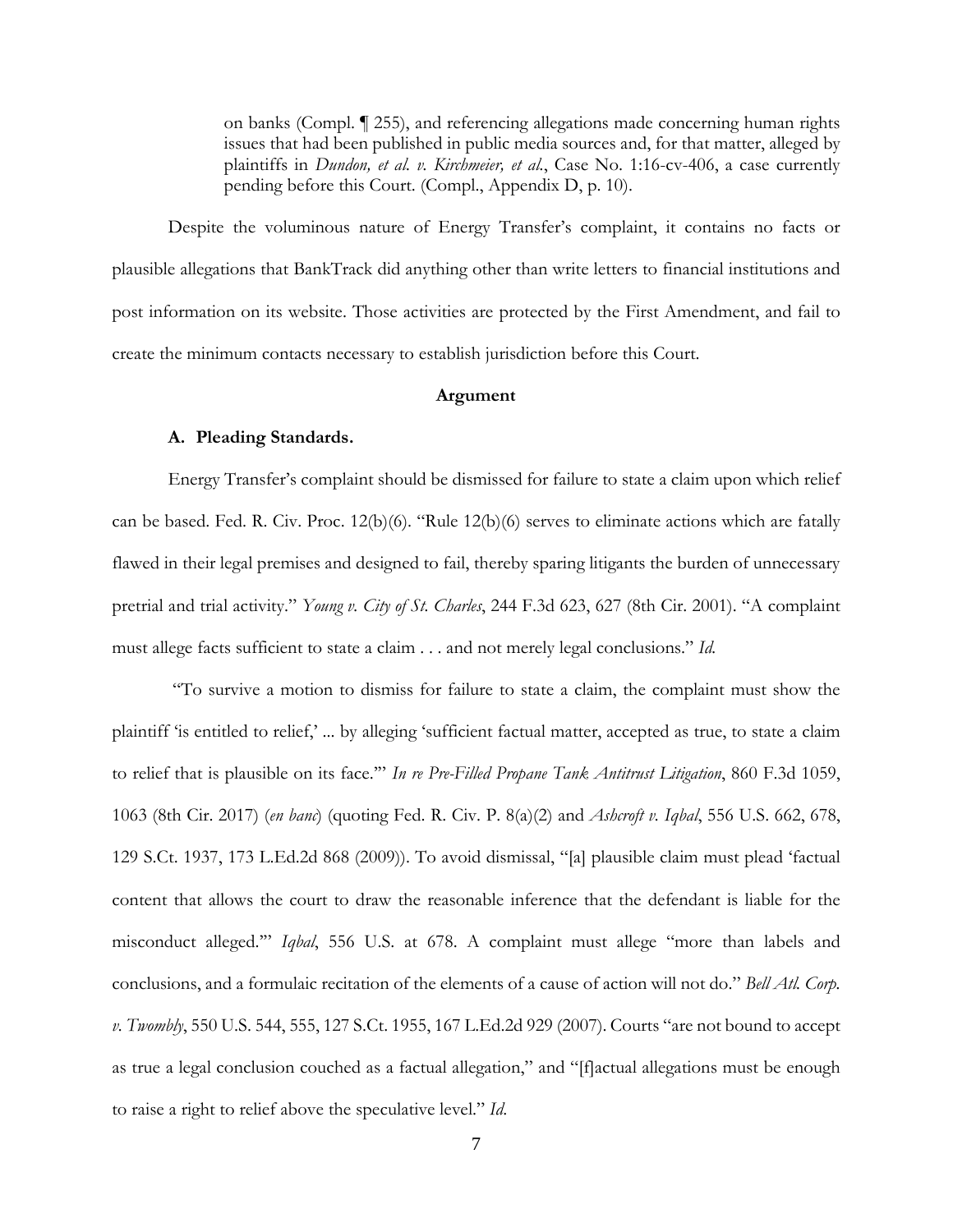on banks (Compl. ¶ 255), and referencing allegations made concerning human rights issues that had been published in public media sources and, for that matter, alleged by plaintiffs in *Dundon, et al. v. Kirchmeier, et al.*, Case No. 1:16-cv-406, a case currently pending before this Court. (Compl., Appendix D, p. 10).

Despite the voluminous nature of Energy Transfer's complaint, it contains no facts or plausible allegations that BankTrack did anything other than write letters to financial institutions and post information on its website. Those activities are protected by the First Amendment, and fail to create the minimum contacts necessary to establish jurisdiction before this Court.

## **Argument**

### **A. Pleading Standards.**

Energy Transfer's complaint should be dismissed for failure to state a claim upon which relief can be based. Fed. R. Civ. Proc. 12(b)(6). "Rule 12(b)(6) serves to eliminate actions which are fatally flawed in their legal premises and designed to fail, thereby sparing litigants the burden of unnecessary pretrial and trial activity." *Young v. City of St. Charles*, 244 F.3d 623, 627 (8th Cir. 2001). "A complaint must allege facts sufficient to state a claim . . . and not merely legal conclusions." *Id.*

"To survive a motion to dismiss for failure to state a claim, the complaint must show the plaintiff 'is entitled to relief,' ... by alleging 'sufficient factual matter, accepted as true, to state a claim to relief that is plausible on its face.'" *In re Pre-Filled Propane Tank Antitrust Litigation*, 860 F.3d 1059, 1063 (8th Cir. 2017) (*en banc*) (quoting Fed. R. Civ. P. 8(a)(2) and *Ashcroft v. Iqbal*, 556 U.S. 662, 678, 129 S.Ct. 1937, 173 L.Ed.2d 868 (2009)). To avoid dismissal, "[a] plausible claim must plead 'factual content that allows the court to draw the reasonable inference that the defendant is liable for the misconduct alleged.'" *Iqbal*, 556 U.S. at 678. A complaint must allege "more than labels and conclusions, and a formulaic recitation of the elements of a cause of action will not do." *Bell Atl. Corp. v. Twombly*, 550 U.S. 544, 555, 127 S.Ct. 1955, 167 L.Ed.2d 929 (2007). Courts "are not bound to accept as true a legal conclusion couched as a factual allegation," and "[f]actual allegations must be enough to raise a right to relief above the speculative level." *Id*.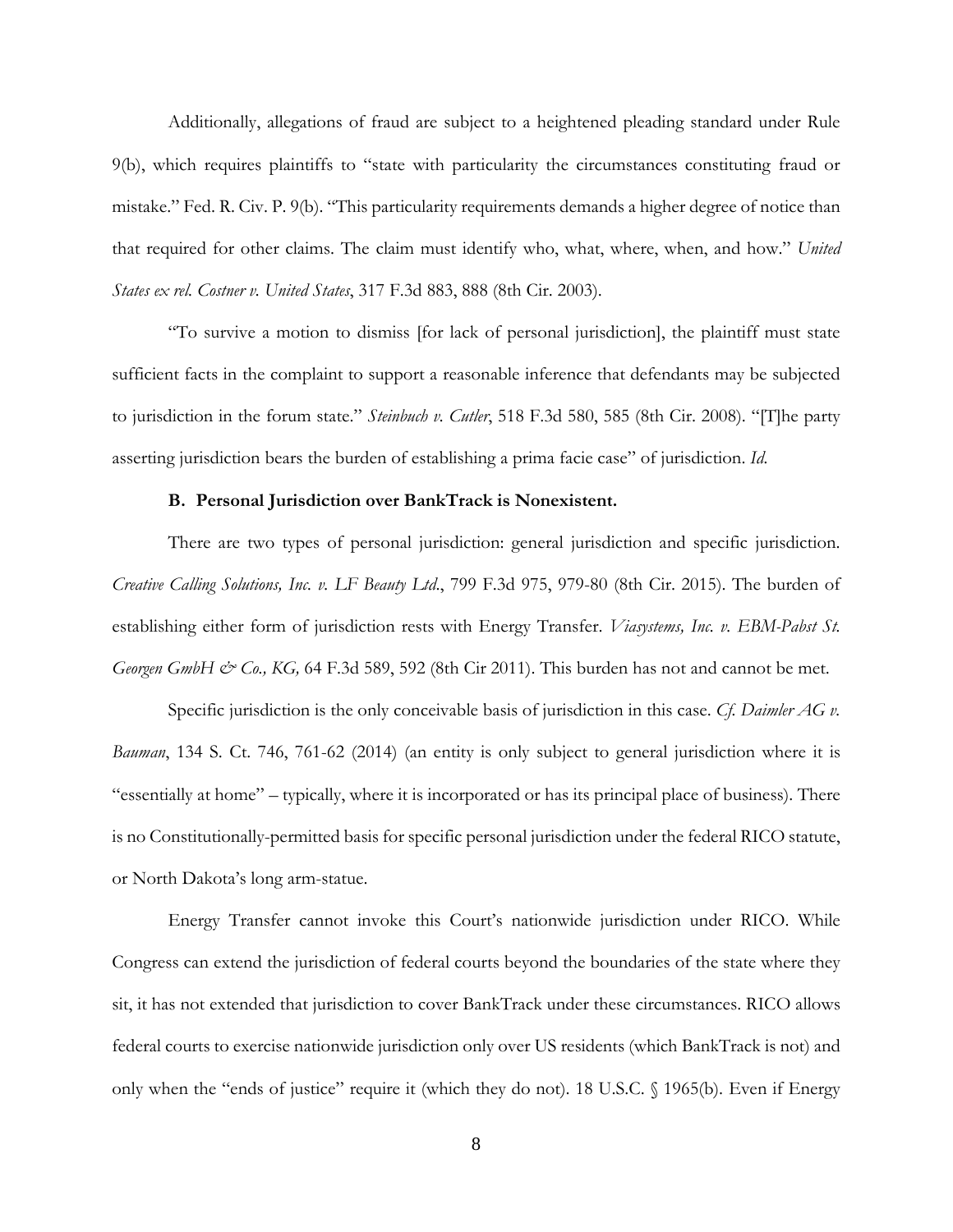Additionally, allegations of fraud are subject to a heightened pleading standard under Rule 9(b), which requires plaintiffs to "state with particularity the circumstances constituting fraud or mistake." Fed. R. Civ. P. 9(b). "This particularity requirements demands a higher degree of notice than that required for other claims. The claim must identify who, what, where, when, and how." *United States ex rel. Costner v. United States*, 317 F.3d 883, 888 (8th Cir. 2003).

"To survive a motion to dismiss [for lack of personal jurisdiction], the plaintiff must state sufficient facts in the complaint to support a reasonable inference that defendants may be subjected to jurisdiction in the forum state." *Steinbuch v. Cutler*, 518 F.3d 580, 585 (8th Cir. 2008). "[T]he party asserting jurisdiction bears the burden of establishing a prima facie case" of jurisdiction. *Id.*

#### **B. Personal Jurisdiction over BankTrack is Nonexistent.**

There are two types of personal jurisdiction: general jurisdiction and specific jurisdiction. *Creative Calling Solutions, Inc. v. LF Beauty Ltd*., 799 F.3d 975, 979-80 (8th Cir. 2015). The burden of establishing either form of jurisdiction rests with Energy Transfer. *Viasystems, Inc. v. EBM-Pabst St. Georgen GmbH & Co., KG,* 64 F.3d 589, 592 (8th Cir 2011). This burden has not and cannot be met.

Specific jurisdiction is the only conceivable basis of jurisdiction in this case. *Cf. Daimler AG v. Bauman*, 134 S. Ct. 746, 761-62 (2014) (an entity is only subject to general jurisdiction where it is "essentially at home" – typically, where it is incorporated or has its principal place of business). There is no Constitutionally-permitted basis for specific personal jurisdiction under the federal RICO statute, or North Dakota's long arm-statue.

Energy Transfer cannot invoke this Court's nationwide jurisdiction under RICO. While Congress can extend the jurisdiction of federal courts beyond the boundaries of the state where they sit, it has not extended that jurisdiction to cover BankTrack under these circumstances. RICO allows federal courts to exercise nationwide jurisdiction only over US residents (which BankTrack is not) and only when the "ends of justice" require it (which they do not). 18 U.S.C. § 1965(b). Even if Energy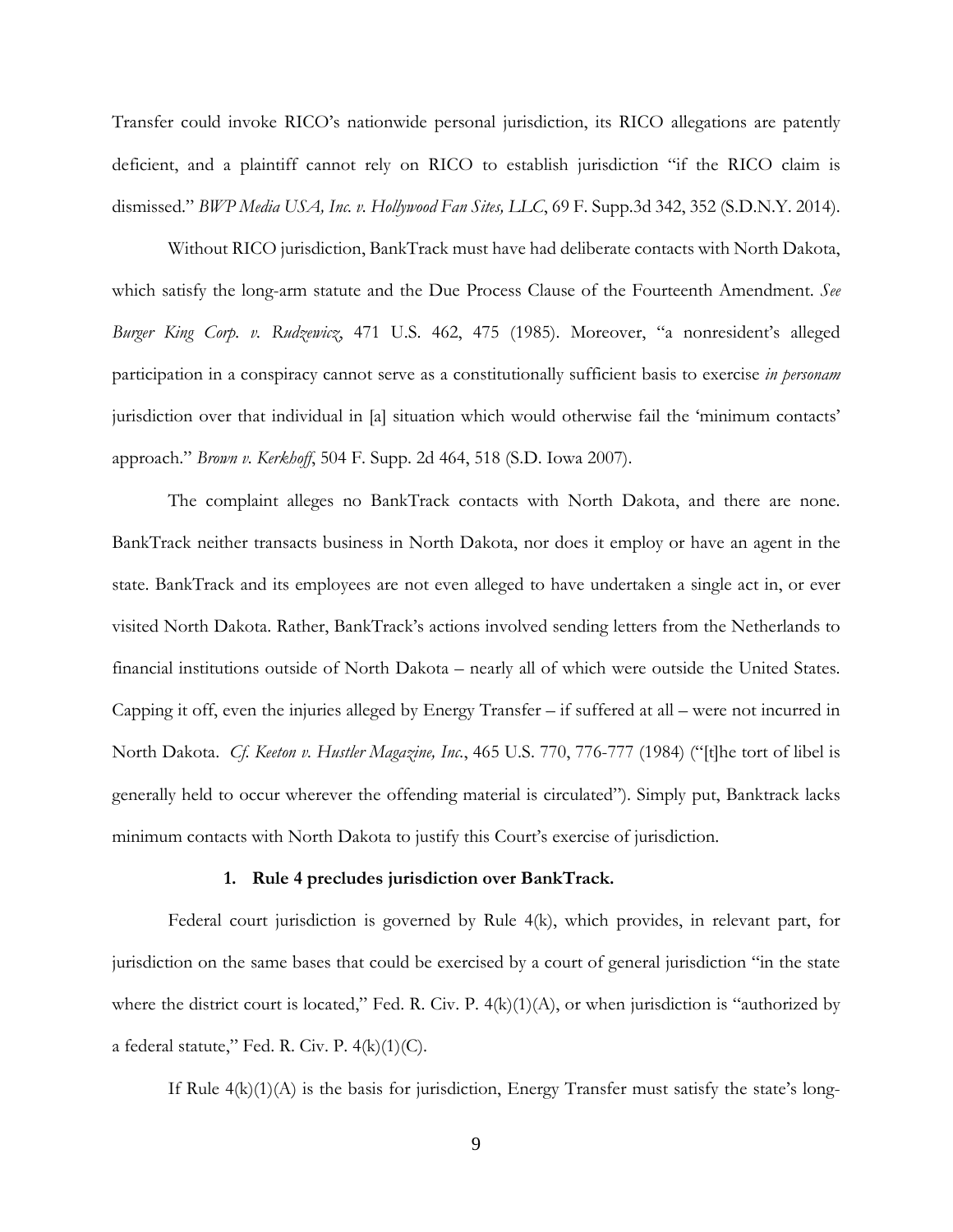Transfer could invoke RICO's nationwide personal jurisdiction, its RICO allegations are patently deficient, and a plaintiff cannot rely on RICO to establish jurisdiction "if the RICO claim is dismissed." *BWP Media USA, Inc. v. Hollywood Fan Sites, LLC*, 69 F. Supp.3d 342, 352 (S.D.N.Y. 2014).

Without RICO jurisdiction, BankTrack must have had deliberate contacts with North Dakota, which satisfy the long-arm statute and the Due Process Clause of the Fourteenth Amendment. *See Burger King Corp. v. Rudzewicz*, 471 U.S. 462, 475 (1985). Moreover, "a nonresident's alleged participation in a conspiracy cannot serve as a constitutionally sufficient basis to exercise *in personam* jurisdiction over that individual in [a] situation which would otherwise fail the 'minimum contacts' approach." *Brown v. Kerkhoff*, 504 F. Supp. 2d 464, 518 (S.D. Iowa 2007).

The complaint alleges no BankTrack contacts with North Dakota, and there are none. BankTrack neither transacts business in North Dakota, nor does it employ or have an agent in the state. BankTrack and its employees are not even alleged to have undertaken a single act in, or ever visited North Dakota. Rather, BankTrack's actions involved sending letters from the Netherlands to financial institutions outside of North Dakota – nearly all of which were outside the United States. Capping it off, even the injuries alleged by Energy Transfer – if suffered at all – were not incurred in North Dakota. *Cf. Keeton v. Hustler Magazine, Inc.*, 465 U.S. 770, 776-777 (1984) ("[t]he tort of libel is generally held to occur wherever the offending material is circulated"). Simply put, Banktrack lacks minimum contacts with North Dakota to justify this Court's exercise of jurisdiction.

#### **1. Rule 4 precludes jurisdiction over BankTrack.**

Federal court jurisdiction is governed by Rule 4(k), which provides, in relevant part, for jurisdiction on the same bases that could be exercised by a court of general jurisdiction "in the state where the district court is located," Fed. R. Civ. P. 4(k)(1)(A), or when jurisdiction is "authorized by a federal statute," Fed. R. Civ. P.  $4(k)(1)(C)$ .

If Rule  $4(k)(1)(A)$  is the basis for jurisdiction, Energy Transfer must satisfy the state's long-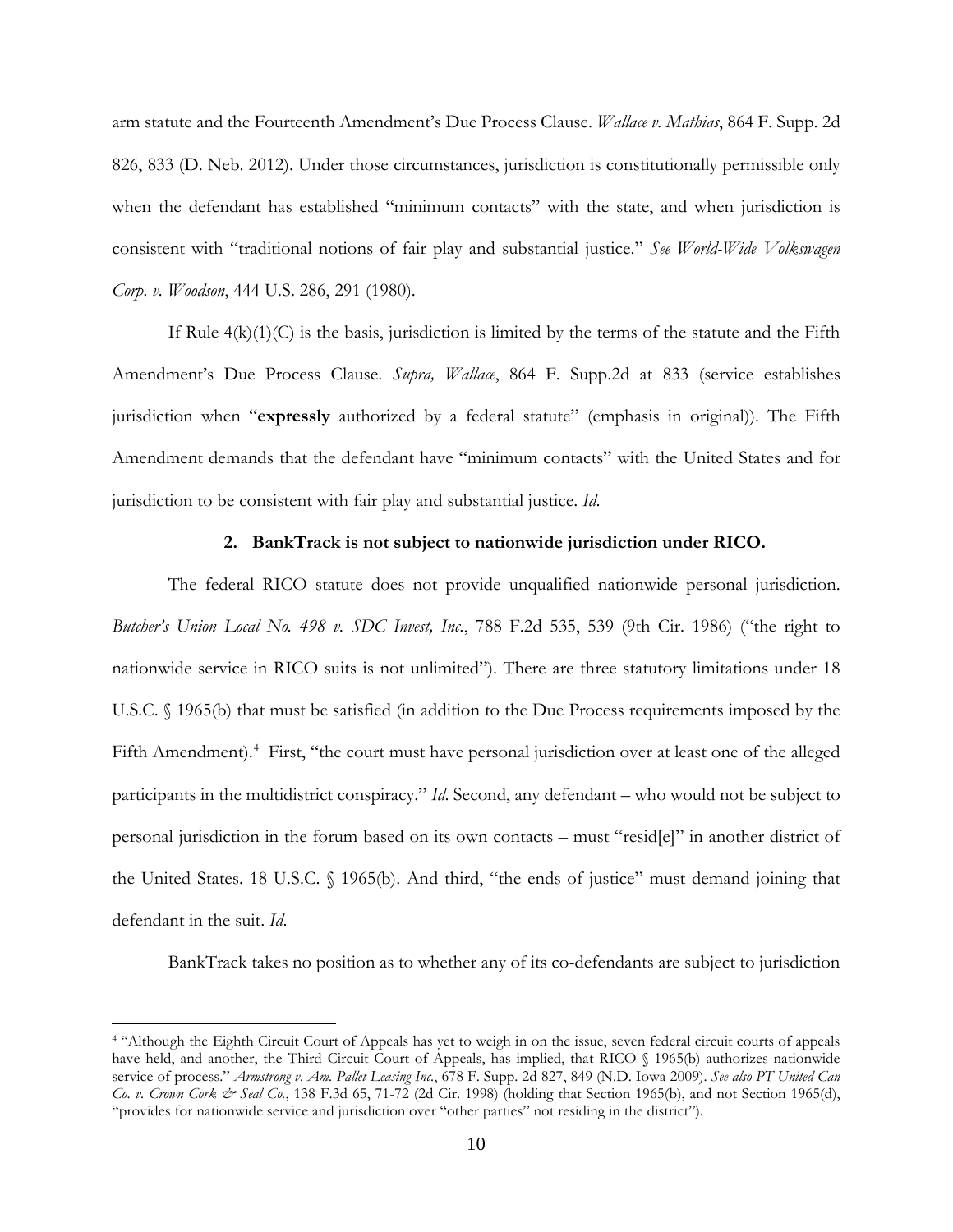arm statute and the Fourteenth Amendment's Due Process Clause. *Wallace v. Mathias*, 864 F. Supp. 2d 826, 833 (D. Neb. 2012). Under those circumstances, jurisdiction is constitutionally permissible only when the defendant has established "minimum contacts" with the state, and when jurisdiction is consistent with "traditional notions of fair play and substantial justice." *See World-Wide Volkswagen Corp. v. Woodson*, 444 U.S. 286, 291 (1980).

If Rule  $4(k)(1)(C)$  is the basis, jurisdiction is limited by the terms of the statute and the Fifth Amendment's Due Process Clause. *Supra, Wallace*, 864 F. Supp.2d at 833 (service establishes jurisdiction when "**expressly** authorized by a federal statute" (emphasis in original)). The Fifth Amendment demands that the defendant have "minimum contacts" with the United States and for jurisdiction to be consistent with fair play and substantial justice. *Id*.

## **2. BankTrack is not subject to nationwide jurisdiction under RICO.**

The federal RICO statute does not provide unqualified nationwide personal jurisdiction. *Butcher's Union Local No. 498 v. SDC Invest, Inc.*, 788 F.2d 535, 539 (9th Cir. 1986) ("the right to nationwide service in RICO suits is not unlimited"). There are three statutory limitations under 18 U.S.C. § 1965(b) that must be satisfied (in addition to the Due Process requirements imposed by the Fifth Amendment).<sup>[4](#page-9-0)</sup> First, "the court must have personal jurisdiction over at least one of the alleged participants in the multidistrict conspiracy." *Id*. Second, any defendant – who would not be subject to personal jurisdiction in the forum based on its own contacts – must "resid[e]" in another district of the United States. 18 U.S.C. § 1965(b). And third, "the ends of justice" must demand joining that defendant in the suit. *Id*.

BankTrack takes no position as to whether any of its co-defendants are subject to jurisdiction

<span id="page-9-0"></span><sup>4</sup> "Although the Eighth Circuit Court of Appeals has yet to weigh in on the issue, seven federal circuit courts of appeals have held, and another, the Third Circuit Court of Appeals, has implied, that RICO § 1965(b) authorizes nationwide service of process." *Armstrong v. Am. Pallet Leasing Inc.*, 678 F. Supp. 2d 827, 849 (N.D. Iowa 2009). *See also PT United Can Co. v. Crown Cork & Seal Co.*, 138 F.3d 65, 71-72 (2d Cir. 1998) (holding that Section 1965(b), and not Section 1965(d), "provides for nationwide service and jurisdiction over "other parties" not residing in the district").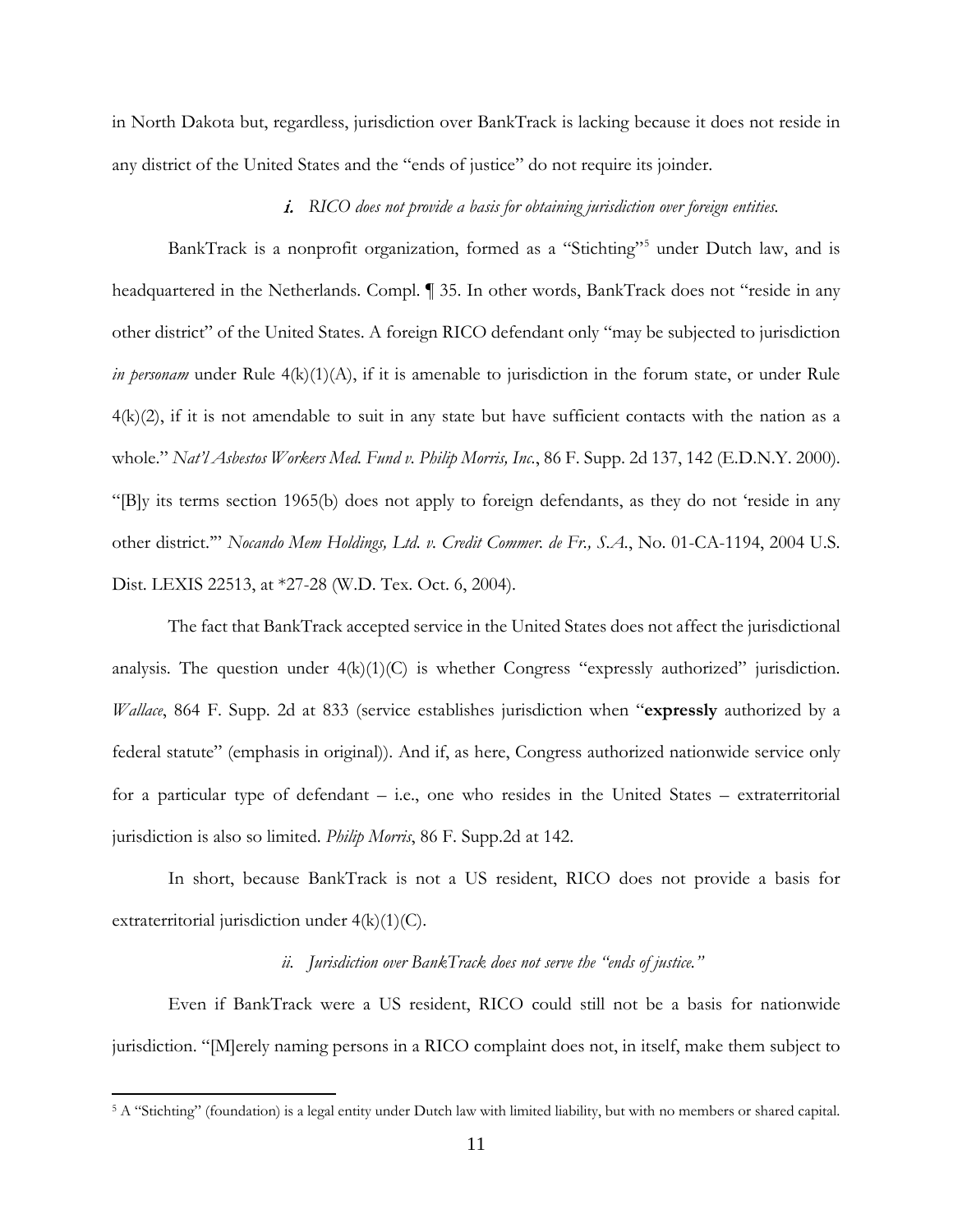in North Dakota but, regardless, jurisdiction over BankTrack is lacking because it does not reside in any district of the United States and the "ends of justice" do not require its joinder.

# i. *RICO does not provide a basis for obtaining jurisdiction over foreign entities.*

BankTrack is a nonprofit organization, formed as a "Stichting"<sup>[5](#page-10-0)</sup> under Dutch law, and is headquartered in the Netherlands. Compl. ¶ 35. In other words, BankTrack does not "reside in any other district" of the United States. A foreign RICO defendant only "may be subjected to jurisdiction *in personam* under Rule 4(k)(1)(A), if it is amenable to jurisdiction in the forum state, or under Rule  $4(k)(2)$ , if it is not amendable to suit in any state but have sufficient contacts with the nation as a whole." *Nat'l Asbestos Workers Med. Fund v. Philip Morris, Inc.*, 86 F. Supp. 2d 137, 142 (E.D.N.Y. 2000). "[B]y its terms section 1965(b) does not apply to foreign defendants, as they do not 'reside in any other district.'" *Nocando Mem Holdings, Ltd. v. Credit Commer. de Fr., S.A.*, No. 01-CA-1194, 2004 U.S. Dist. LEXIS 22513, at \*27-28 (W.D. Tex. Oct. 6, 2004).

The fact that BankTrack accepted service in the United States does not affect the jurisdictional analysis. The question under  $4(k)(1)(C)$  is whether Congress "expressly authorized" jurisdiction. *Wallace*, 864 F. Supp. 2d at 833 (service establishes jurisdiction when "**expressly** authorized by a federal statute" (emphasis in original)). And if, as here, Congress authorized nationwide service only for a particular type of defendant – i.e., one who resides in the United States – extraterritorial jurisdiction is also so limited. *Philip Morris*, 86 F. Supp.2d at 142.

In short, because BankTrack is not a US resident, RICO does not provide a basis for extraterritorial jurisdiction under 4(k)(1)(C).

# *ii. Jurisdiction over BankTrack does not serve the "ends of justice."*

Even if BankTrack were a US resident, RICO could still not be a basis for nationwide jurisdiction. "[M]erely naming persons in a RICO complaint does not, in itself, make them subject to

<span id="page-10-0"></span><sup>5</sup> A "Stichting" (foundation) is a legal entity under Dutch law with limited liability, but with no members or shared capital.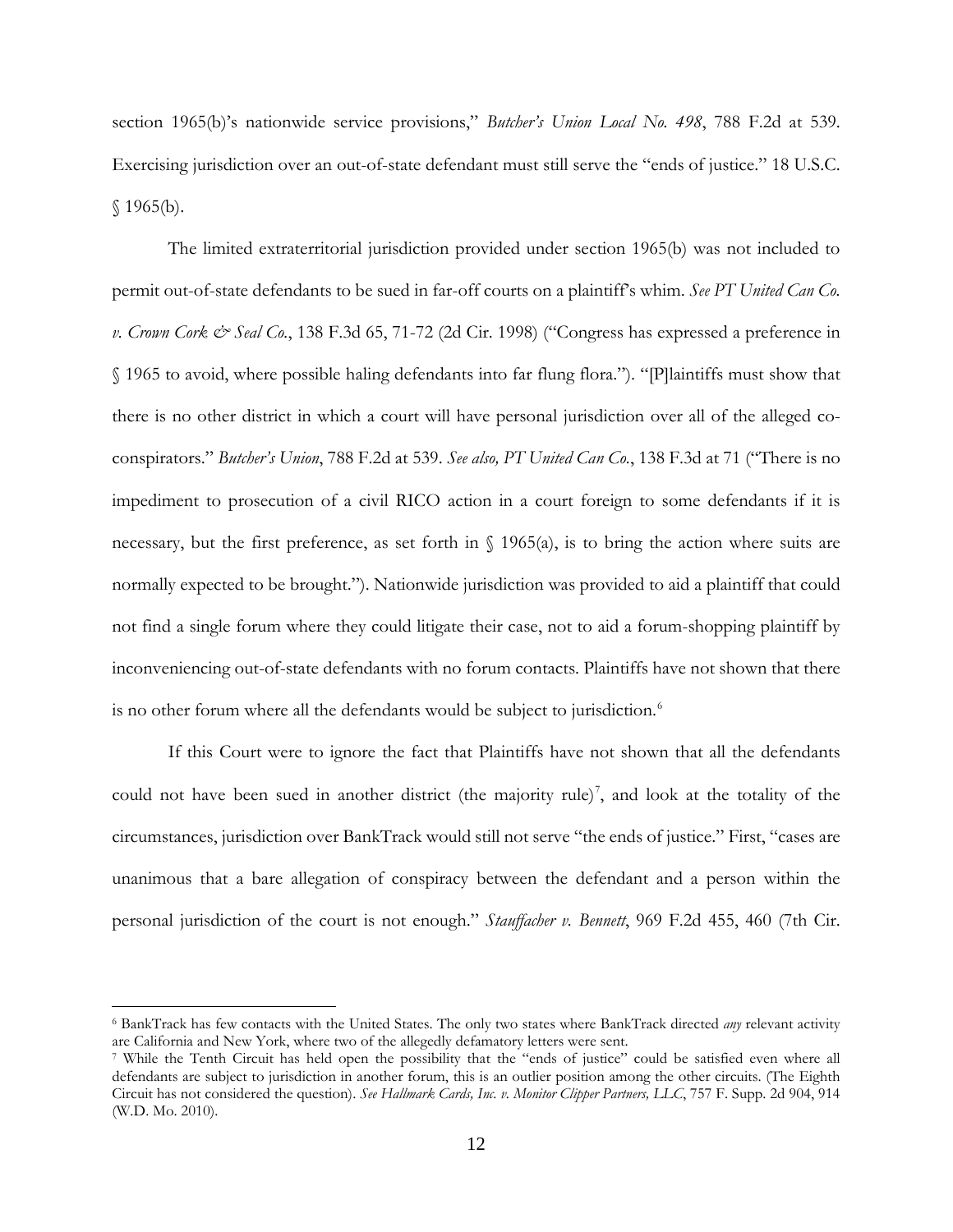section 1965(b)'s nationwide service provisions," *Butcher's Union Local No. 498*, 788 F.2d at 539. Exercising jurisdiction over an out-of-state defendant must still serve the "ends of justice." 18 U.S.C.  $$1965(b).$ 

The limited extraterritorial jurisdiction provided under section 1965(b) was not included to permit out-of-state defendants to be sued in far-off courts on a plaintiff's whim. *See PT United Can Co. v. Crown Cork & Seal Co.*, 138 F.3d 65, 71-72 (2d Cir. 1998) ("Congress has expressed a preference in § 1965 to avoid, where possible haling defendants into far flung flora."). "[P]laintiffs must show that there is no other district in which a court will have personal jurisdiction over all of the alleged coconspirators." *Butcher's Union*, 788 F.2d at 539. *See also, PT United Can Co.*, 138 F.3d at 71 ("There is no impediment to prosecution of a civil RICO action in a court foreign to some defendants if it is necessary, but the first preference, as set forth in  $\{(1965(a), \text{ is to bring the action where suits are } \}$ normally expected to be brought."). Nationwide jurisdiction was provided to aid a plaintiff that could not find a single forum where they could litigate their case, not to aid a forum-shopping plaintiff by inconveniencing out-of-state defendants with no forum contacts. Plaintiffs have not shown that there is no other forum where all the defendants would be subject to jurisdiction.<sup>[6](#page-11-0)</sup>

If this Court were to ignore the fact that Plaintiffs have not shown that all the defendants could not have been sued in another district (the majority rule)<sup>[7](#page-11-1)</sup>, and look at the totality of the circumstances, jurisdiction over BankTrack would still not serve "the ends of justice." First, "cases are unanimous that a bare allegation of conspiracy between the defendant and a person within the personal jurisdiction of the court is not enough." *Stauffacher v. Bennett*, 969 F.2d 455, 460 (7th Cir.

<span id="page-11-0"></span><sup>6</sup> BankTrack has few contacts with the United States. The only two states where BankTrack directed *any* relevant activity are California and New York, where two of the allegedly defamatory letters were sent.

<span id="page-11-1"></span><sup>7</sup> While the Tenth Circuit has held open the possibility that the "ends of justice" could be satisfied even where all defendants are subject to jurisdiction in another forum, this is an outlier position among the other circuits. (The Eighth Circuit has not considered the question). *See Hallmark Cards, Inc. v. Monitor Clipper Partners, LLC*, 757 F. Supp. 2d 904, 914 (W.D. Mo. 2010).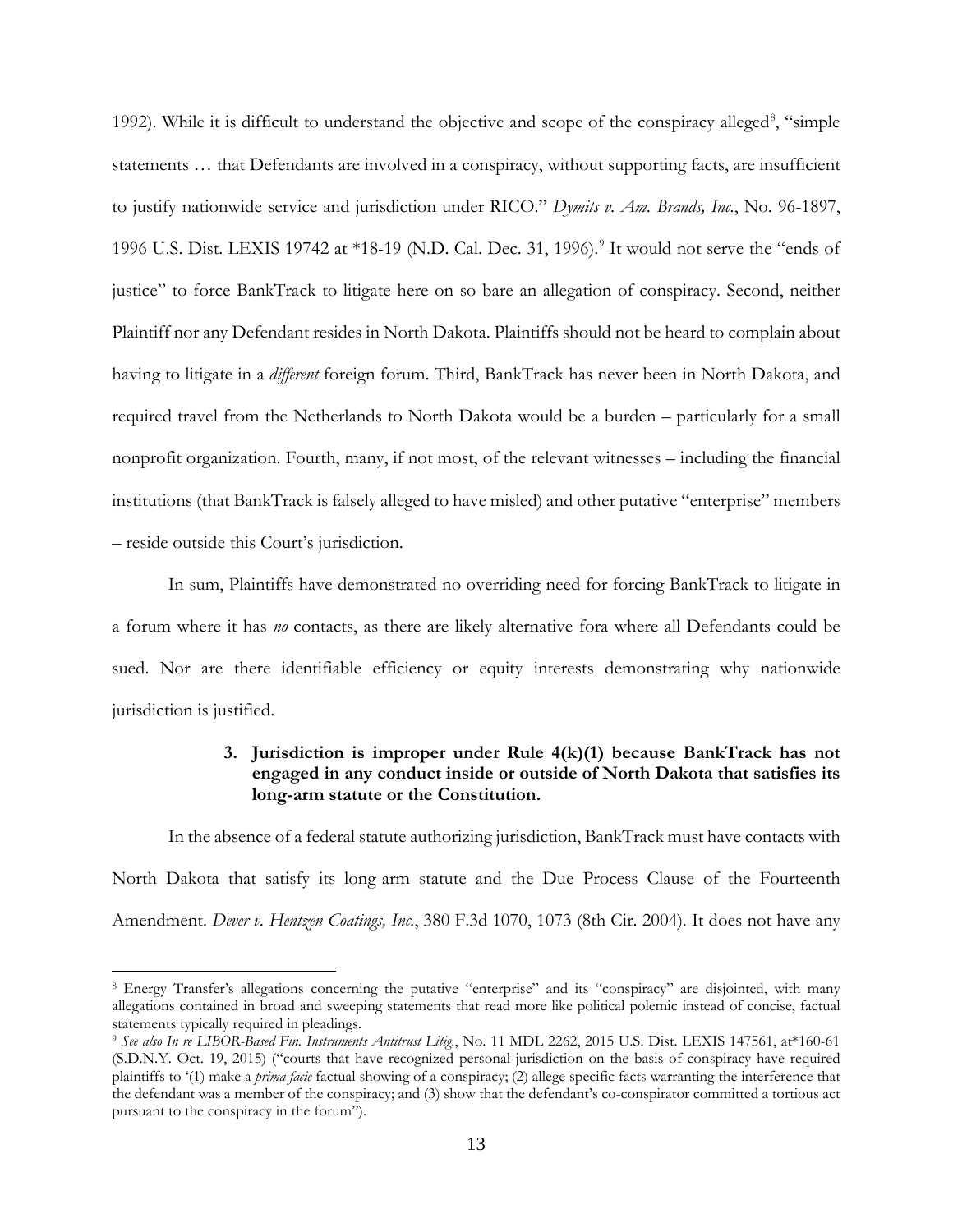1992). While it is difficult to understand the objective and scope of the conspiracy alleged<sup>[8](#page-12-0)</sup>, "simple statements … that Defendants are involved in a conspiracy, without supporting facts, are insufficient to justify nationwide service and jurisdiction under RICO." *Dymits v. Am. Brands, Inc.*, No. 96-1897, 1[9](#page-12-1)96 U.S. Dist. LEXIS 19742 at \*18-19 (N.D. Cal. Dec. 31, 1996).<sup>9</sup> It would not serve the "ends of justice" to force BankTrack to litigate here on so bare an allegation of conspiracy. Second, neither Plaintiff nor any Defendant resides in North Dakota. Plaintiffs should not be heard to complain about having to litigate in a *different* foreign forum. Third, BankTrack has never been in North Dakota, and required travel from the Netherlands to North Dakota would be a burden – particularly for a small nonprofit organization. Fourth, many, if not most, of the relevant witnesses – including the financial institutions (that BankTrack is falsely alleged to have misled) and other putative "enterprise" members – reside outside this Court's jurisdiction.

In sum, Plaintiffs have demonstrated no overriding need for forcing BankTrack to litigate in a forum where it has *no* contacts, as there are likely alternative fora where all Defendants could be sued. Nor are there identifiable efficiency or equity interests demonstrating why nationwide jurisdiction is justified.

# **3. Jurisdiction is improper under Rule 4(k)(1) because BankTrack has not engaged in any conduct inside or outside of North Dakota that satisfies its long-arm statute or the Constitution.**

In the absence of a federal statute authorizing jurisdiction, BankTrack must have contacts with North Dakota that satisfy its long-arm statute and the Due Process Clause of the Fourteenth Amendment. *Dever v. Hentzen Coatings, Inc.*, 380 F.3d 1070, 1073 (8th Cir. 2004). It does not have any

<span id="page-12-0"></span><sup>8</sup> Energy Transfer's allegations concerning the putative "enterprise" and its "conspiracy" are disjointed, with many allegations contained in broad and sweeping statements that read more like political polemic instead of concise, factual statements typically required in pleadings.

<span id="page-12-1"></span><sup>9</sup> *See also In re LIBOR-Based Fin. Instruments Antitrust Litig.*, No. 11 MDL 2262, 2015 U.S. Dist. LEXIS 147561, at\*160-61 (S.D.N.Y. Oct. 19, 2015) ("courts that have recognized personal jurisdiction on the basis of conspiracy have required plaintiffs to '(1) make a *prima facie* factual showing of a conspiracy; (2) allege specific facts warranting the interference that the defendant was a member of the conspiracy; and (3) show that the defendant's co-conspirator committed a tortious act pursuant to the conspiracy in the forum").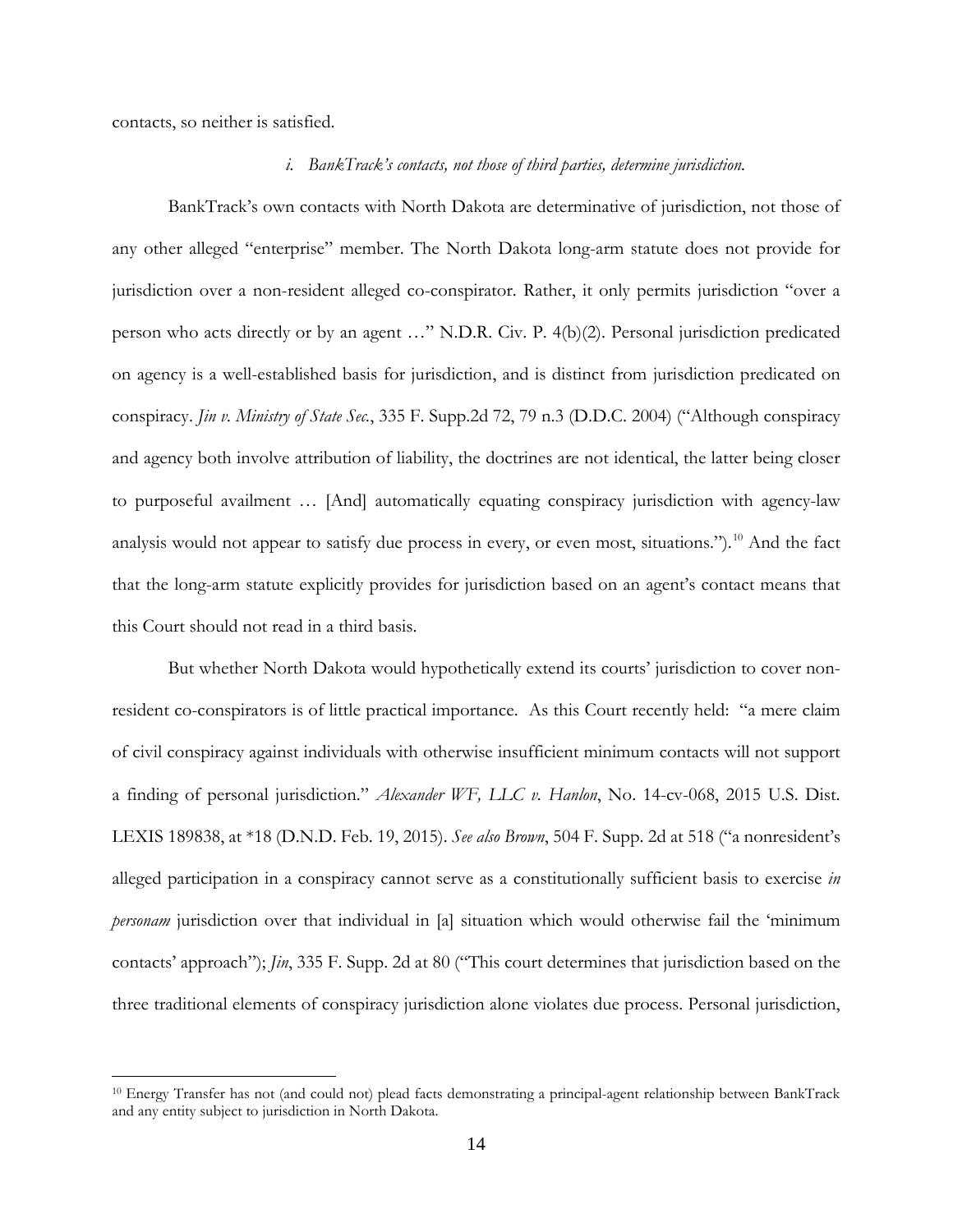contacts, so neither is satisfied.

 $\overline{a}$ 

### *i. BankTrack's contacts, not those of third parties, determine jurisdiction.*

BankTrack's own contacts with North Dakota are determinative of jurisdiction, not those of any other alleged "enterprise" member. The North Dakota long-arm statute does not provide for jurisdiction over a non-resident alleged co-conspirator. Rather, it only permits jurisdiction "over a person who acts directly or by an agent …" N.D.R. Civ. P. 4(b)(2). Personal jurisdiction predicated on agency is a well-established basis for jurisdiction, and is distinct from jurisdiction predicated on conspiracy. *Jin v. Ministry of State Sec.*, 335 F. Supp.2d 72, 79 n.3 (D.D.C. 2004) ("Although conspiracy and agency both involve attribution of liability, the doctrines are not identical, the latter being closer to purposeful availment … [And] automatically equating conspiracy jurisdiction with agency-law analysis would not appear to satisfy due process in every, or even most, situations.").<sup>[10](#page-13-0)</sup> And the fact that the long-arm statute explicitly provides for jurisdiction based on an agent's contact means that this Court should not read in a third basis.

But whether North Dakota would hypothetically extend its courts' jurisdiction to cover nonresident co-conspirators is of little practical importance. As this Court recently held: "a mere claim of civil conspiracy against individuals with otherwise insufficient minimum contacts will not support a finding of personal jurisdiction." *Alexander WF, LLC v. Hanlon*, No. 14-cv-068, 2015 U.S. Dist. LEXIS 189838, at \*18 (D.N.D. Feb. 19, 2015). *See also Brown*, 504 F. Supp. 2d at 518 ("a nonresident's alleged participation in a conspiracy cannot serve as a constitutionally sufficient basis to exercise *in personam* jurisdiction over that individual in [a] situation which would otherwise fail the 'minimum contacts' approach"); *Jin*, 335 F. Supp. 2d at 80 ("This court determines that jurisdiction based on the three traditional elements of conspiracy jurisdiction alone violates due process. Personal jurisdiction,

<span id="page-13-0"></span><sup>10</sup> Energy Transfer has not (and could not) plead facts demonstrating a principal-agent relationship between BankTrack and any entity subject to jurisdiction in North Dakota.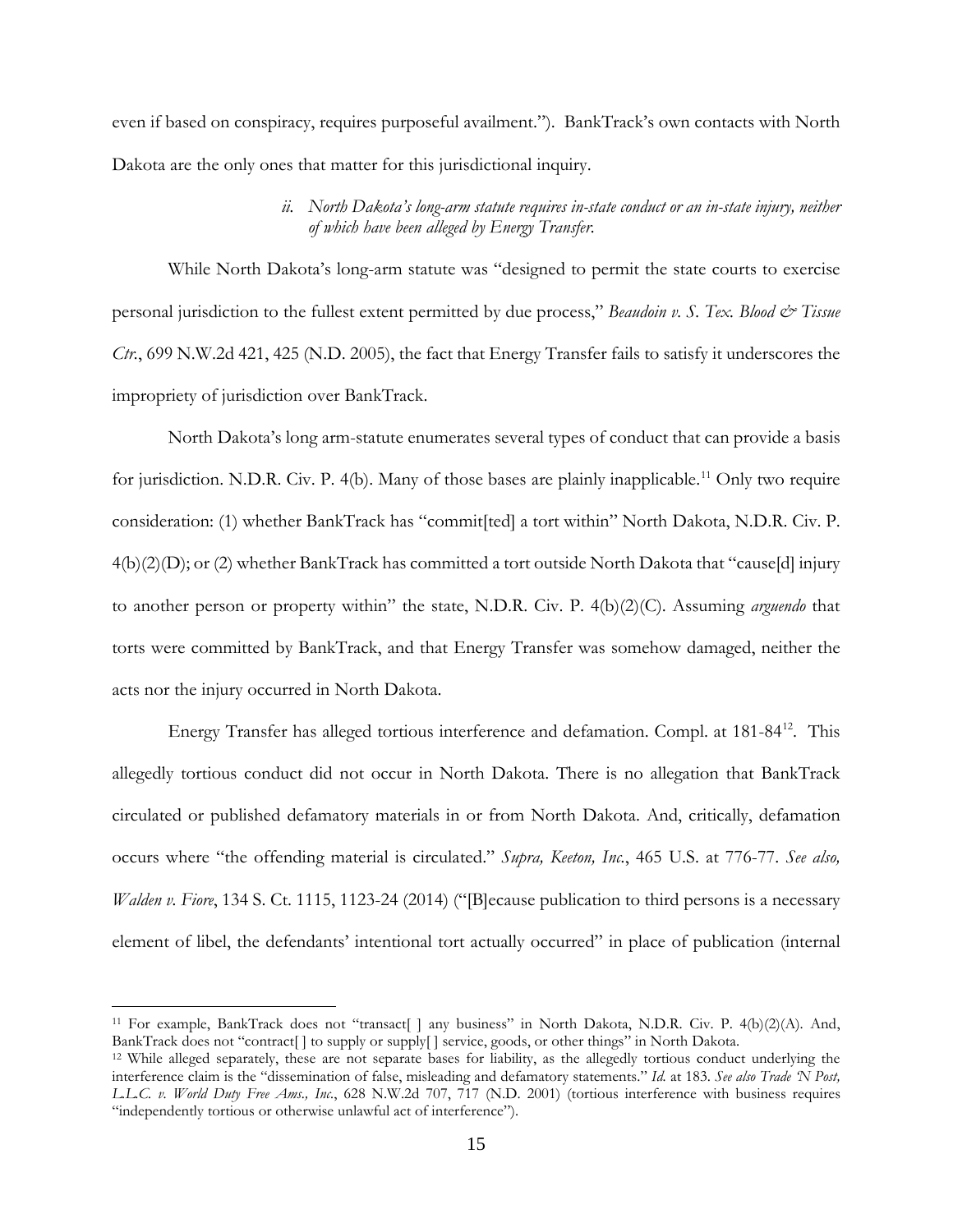even if based on conspiracy, requires purposeful availment."). BankTrack's own contacts with North Dakota are the only ones that matter for this jurisdictional inquiry.

# *ii. North Dakota's long-arm statute requires in-state conduct or an in-state injury, neither of which have been alleged by Energy Transfer.*

While North Dakota's long-arm statute was "designed to permit the state courts to exercise personal jurisdiction to the fullest extent permitted by due process," *Beaudoin v. S. Tex. Blood & Tissue Ctr.*, 699 N.W.2d 421, 425 (N.D. 2005), the fact that Energy Transfer fails to satisfy it underscores the impropriety of jurisdiction over BankTrack.

North Dakota's long arm-statute enumerates several types of conduct that can provide a basis for jurisdiction. N.D.R. Civ. P. 4(b). Many of those bases are plainly inapplicable.<sup>[11](#page-14-0)</sup> Only two require consideration: (1) whether BankTrack has "commit[ted] a tort within" North Dakota, N.D.R. Civ. P. 4(b)(2)(D); or (2) whether BankTrack has committed a tort outside North Dakota that "cause[d] injury to another person or property within" the state, N.D.R. Civ. P. 4(b)(2)(C). Assuming *arguendo* that torts were committed by BankTrack, and that Energy Transfer was somehow damaged, neither the acts nor the injury occurred in North Dakota.

Energy Transfer has alleged tortious interference and defamation. Compl. at 181-84<sup>12</sup>. This allegedly tortious conduct did not occur in North Dakota. There is no allegation that BankTrack circulated or published defamatory materials in or from North Dakota. And, critically, defamation occurs where "the offending material is circulated." *Supra, Keeton, Inc.*, 465 U.S. at 776-77. *See also, Walden v. Fiore*, 134 S. Ct. 1115, 1123-24 (2014) ("[B]ecause publication to third persons is a necessary element of libel, the defendants' intentional tort actually occurred" in place of publication (internal

<span id="page-14-0"></span><sup>&</sup>lt;sup>11</sup> For example, BankTrack does not "transact[] any business" in North Dakota, N.D.R. Civ. P. 4(b)(2)(A). And, BankTrack does not "contract[ ] to supply or supply[ ] service, goods, or other things" in North Dakota.

<span id="page-14-1"></span><sup>12</sup> While alleged separately, these are not separate bases for liability, as the allegedly tortious conduct underlying the interference claim is the "dissemination of false, misleading and defamatory statements." *Id.* at 183. *See also Trade 'N Post, L.L.C. v. World Duty Free Ams., Inc.*, 628 N.W.2d 707, 717 (N.D. 2001) (tortious interference with business requires "independently tortious or otherwise unlawful act of interference").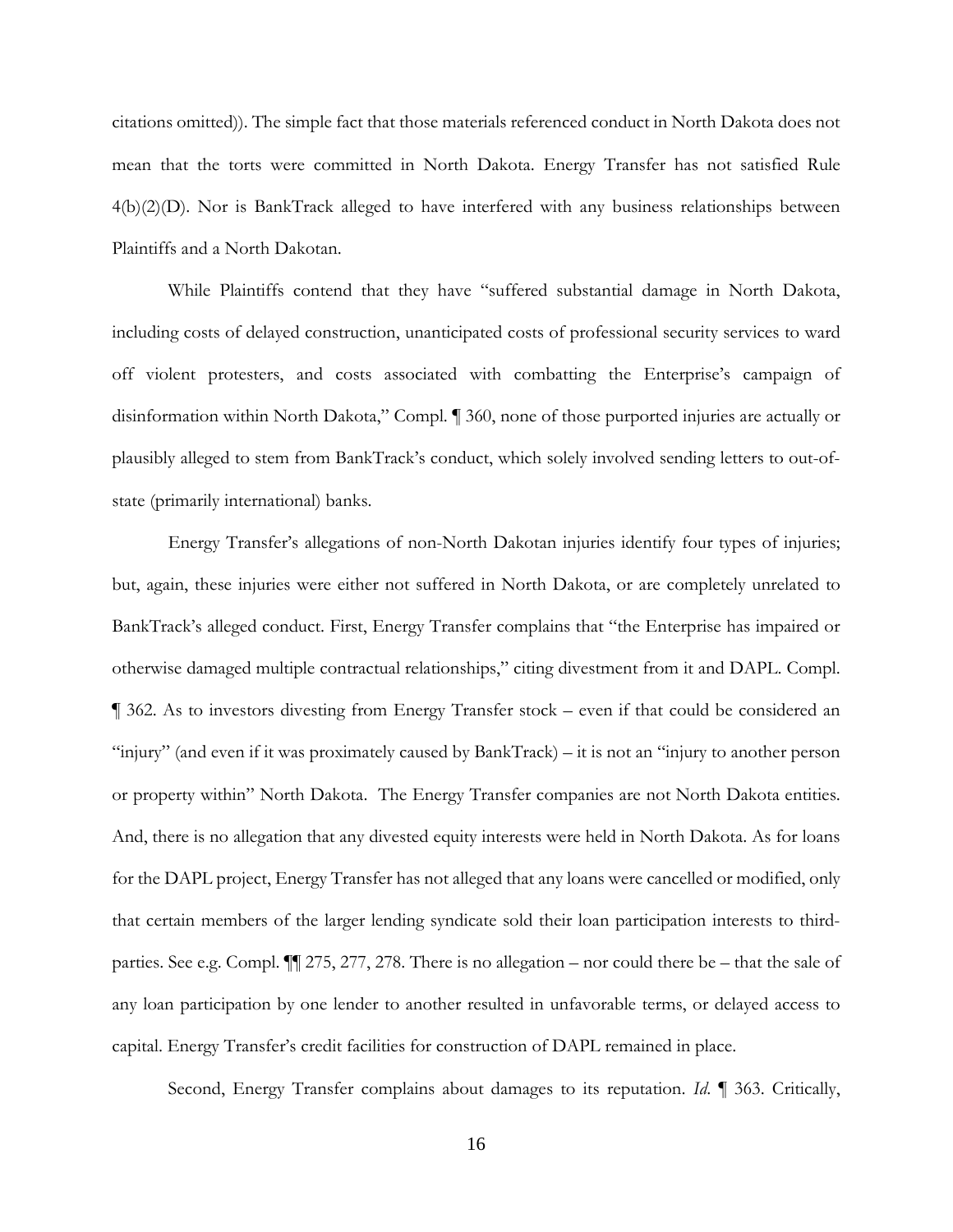citations omitted)). The simple fact that those materials referenced conduct in North Dakota does not mean that the torts were committed in North Dakota. Energy Transfer has not satisfied Rule 4(b)(2)(D). Nor is BankTrack alleged to have interfered with any business relationships between Plaintiffs and a North Dakotan.

While Plaintiffs contend that they have "suffered substantial damage in North Dakota, including costs of delayed construction, unanticipated costs of professional security services to ward off violent protesters, and costs associated with combatting the Enterprise's campaign of disinformation within North Dakota," Compl. ¶ 360, none of those purported injuries are actually or plausibly alleged to stem from BankTrack's conduct, which solely involved sending letters to out-ofstate (primarily international) banks.

Energy Transfer's allegations of non-North Dakotan injuries identify four types of injuries; but, again, these injuries were either not suffered in North Dakota, or are completely unrelated to BankTrack's alleged conduct. First, Energy Transfer complains that "the Enterprise has impaired or otherwise damaged multiple contractual relationships," citing divestment from it and DAPL. Compl. ¶ 362. As to investors divesting from Energy Transfer stock – even if that could be considered an "injury" (and even if it was proximately caused by BankTrack) – it is not an "injury to another person or property within" North Dakota. The Energy Transfer companies are not North Dakota entities. And, there is no allegation that any divested equity interests were held in North Dakota. As for loans for the DAPL project, Energy Transfer has not alleged that any loans were cancelled or modified, only that certain members of the larger lending syndicate sold their loan participation interests to thirdparties. See e.g. Compl. ¶¶ 275, 277, 278. There is no allegation – nor could there be – that the sale of any loan participation by one lender to another resulted in unfavorable terms, or delayed access to capital. Energy Transfer's credit facilities for construction of DAPL remained in place.

Second, Energy Transfer complains about damages to its reputation. *Id*. ¶ 363. Critically,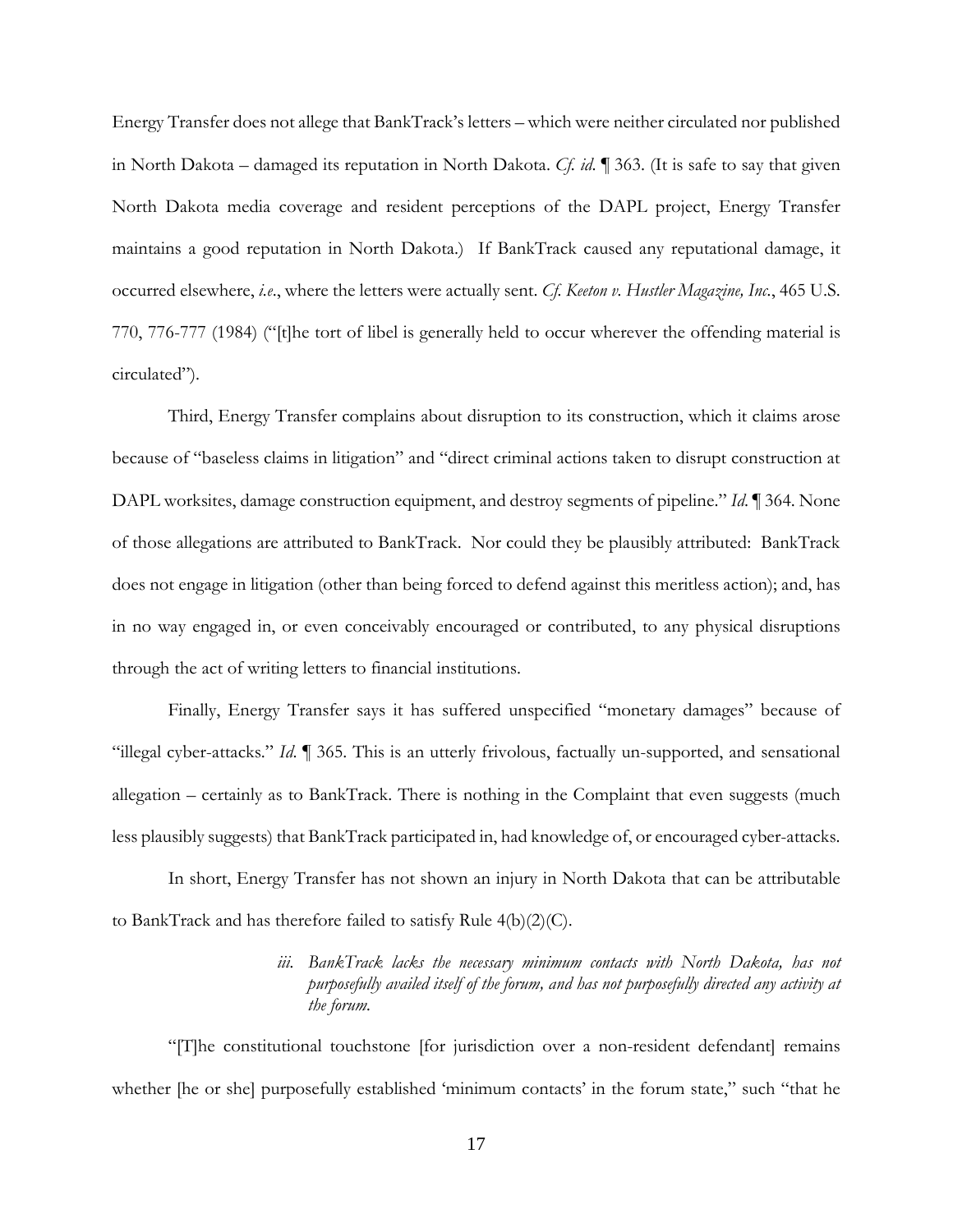Energy Transfer does not allege that BankTrack's letters – which were neither circulated nor published in North Dakota – damaged its reputation in North Dakota. *Cf. id*. ¶ 363. (It is safe to say that given North Dakota media coverage and resident perceptions of the DAPL project, Energy Transfer maintains a good reputation in North Dakota.) If BankTrack caused any reputational damage, it occurred elsewhere, *i.e*., where the letters were actually sent. *Cf. Keeton v. Hustler Magazine, Inc.*, 465 U.S. 770, 776-777 (1984) ("[t]he tort of libel is generally held to occur wherever the offending material is circulated").

Third, Energy Transfer complains about disruption to its construction, which it claims arose because of "baseless claims in litigation" and "direct criminal actions taken to disrupt construction at DAPL worksites, damage construction equipment, and destroy segments of pipeline." *Id*. ¶ 364. None of those allegations are attributed to BankTrack. Nor could they be plausibly attributed: BankTrack does not engage in litigation (other than being forced to defend against this meritless action); and, has in no way engaged in, or even conceivably encouraged or contributed, to any physical disruptions through the act of writing letters to financial institutions.

Finally, Energy Transfer says it has suffered unspecified "monetary damages" because of "illegal cyber-attacks." *Id*. ¶ 365. This is an utterly frivolous, factually un-supported, and sensational allegation – certainly as to BankTrack. There is nothing in the Complaint that even suggests (much less plausibly suggests) that BankTrack participated in, had knowledge of, or encouraged cyber-attacks.

In short, Energy Transfer has not shown an injury in North Dakota that can be attributable to BankTrack and has therefore failed to satisfy Rule 4(b)(2)(C).

# *iii. BankTrack lacks the necessary minimum contacts with North Dakota, has not purposefully availed itself of the forum, and has not purposefully directed any activity at the forum.*

"[T]he constitutional touchstone [for jurisdiction over a non-resident defendant] remains whether [he or she] purposefully established 'minimum contacts' in the forum state," such "that he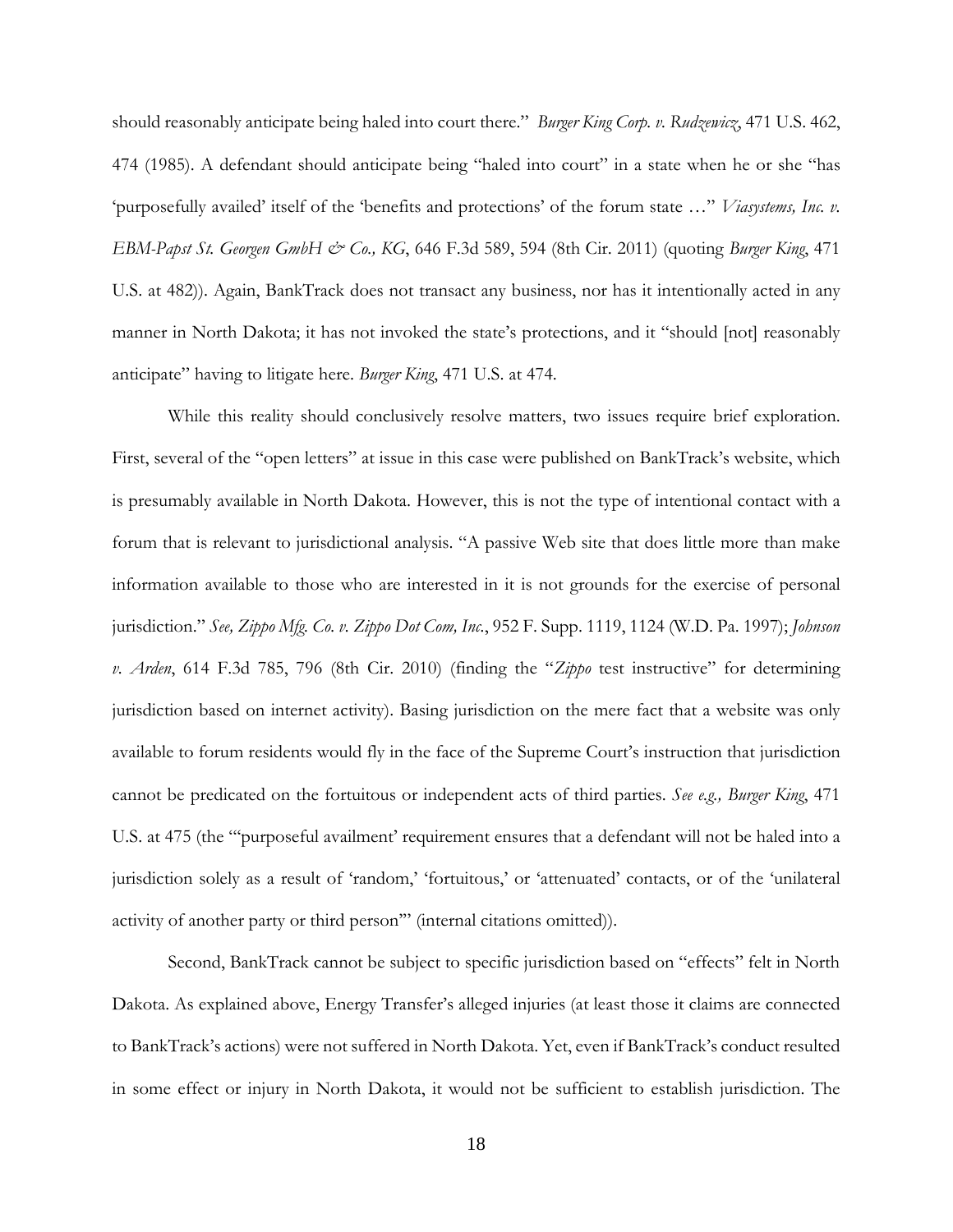should reasonably anticipate being haled into court there." *Burger King Corp. v. Rudzewicz*, 471 U.S. 462, 474 (1985). A defendant should anticipate being "haled into court" in a state when he or she "has 'purposefully availed' itself of the 'benefits and protections' of the forum state …" *Viasystems, Inc. v. EBM-Papst St. Georgen GmbH & Co., KG*, 646 F.3d 589, 594 (8th Cir. 2011) (quoting *Burger King*, 471 U.S. at 482)). Again, BankTrack does not transact any business, nor has it intentionally acted in any manner in North Dakota; it has not invoked the state's protections, and it "should [not] reasonably anticipate" having to litigate here. *Burger King*, 471 U.S. at 474.

While this reality should conclusively resolve matters, two issues require brief exploration. First, several of the "open letters" at issue in this case were published on BankTrack's website, which is presumably available in North Dakota. However, this is not the type of intentional contact with a forum that is relevant to jurisdictional analysis. "A passive Web site that does little more than make information available to those who are interested in it is not grounds for the exercise of personal jurisdiction." *See, Zippo Mfg. Co. v. Zippo Dot Com, Inc.*, 952 F. Supp. 1119, 1124 (W.D. Pa. 1997); *Johnson v. Arden*, 614 F.3d 785, 796 (8th Cir. 2010) (finding the "*Zippo* test instructive" for determining jurisdiction based on internet activity). Basing jurisdiction on the mere fact that a website was only available to forum residents would fly in the face of the Supreme Court's instruction that jurisdiction cannot be predicated on the fortuitous or independent acts of third parties. *See e.g., Burger King*, 471 U.S. at 475 (the "'purposeful availment' requirement ensures that a defendant will not be haled into a jurisdiction solely as a result of 'random,' 'fortuitous,' or 'attenuated' contacts, or of the 'unilateral activity of another party or third person'" (internal citations omitted)).

Second, BankTrack cannot be subject to specific jurisdiction based on "effects" felt in North Dakota. As explained above, Energy Transfer's alleged injuries (at least those it claims are connected to BankTrack's actions) were not suffered in North Dakota. Yet, even if BankTrack's conduct resulted in some effect or injury in North Dakota, it would not be sufficient to establish jurisdiction. The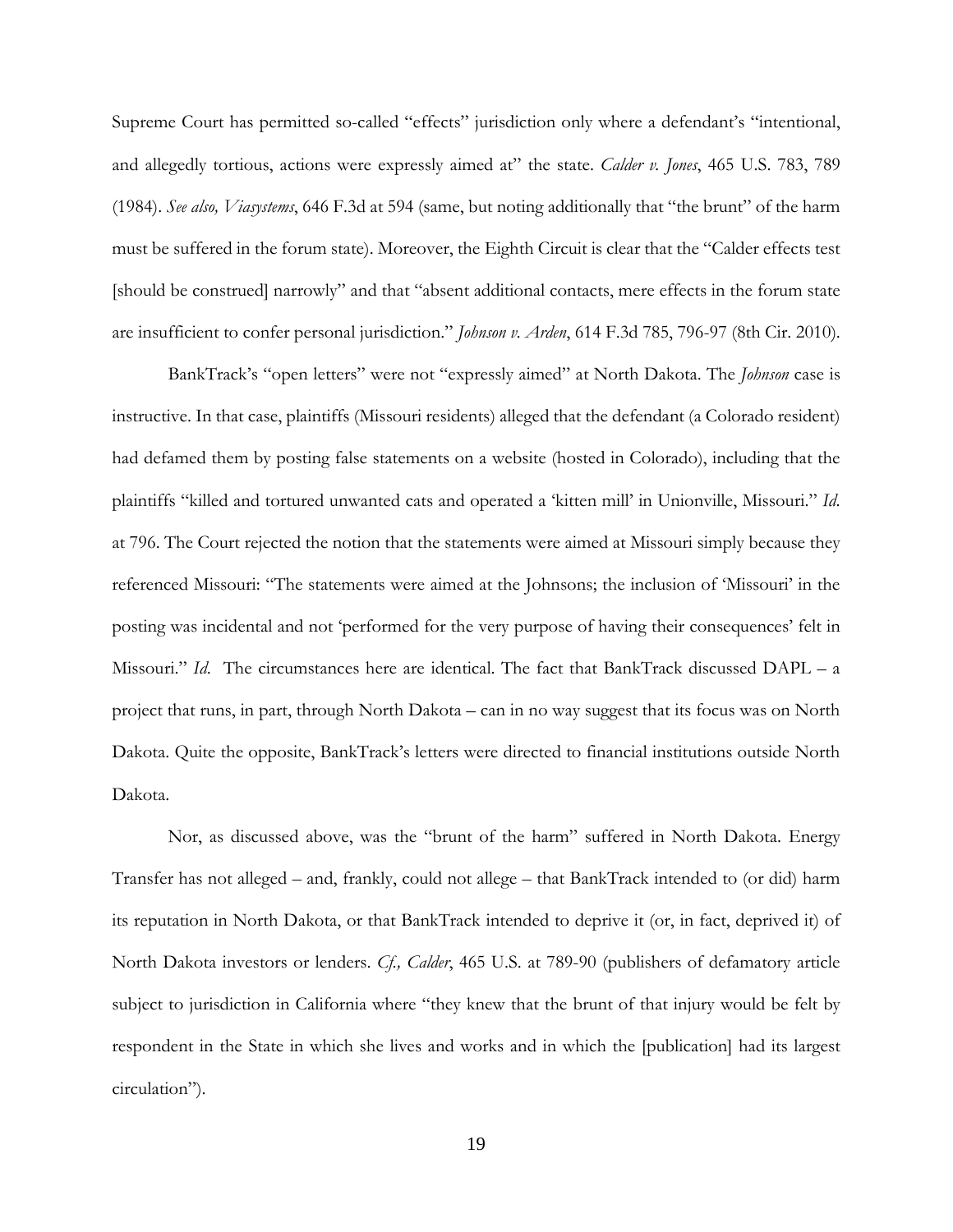Supreme Court has permitted so-called "effects" jurisdiction only where a defendant's "intentional, and allegedly tortious, actions were expressly aimed at" the state. *Calder v. Jones*, 465 U.S. 783, 789 (1984). *See also, Viasystems*, 646 F.3d at 594 (same, but noting additionally that "the brunt" of the harm must be suffered in the forum state). Moreover, the Eighth Circuit is clear that the "Calder effects test [should be construed] narrowly" and that "absent additional contacts, mere effects in the forum state are insufficient to confer personal jurisdiction." *Johnson v. Arden*, 614 F.3d 785, 796-97 (8th Cir. 2010).

BankTrack's "open letters" were not "expressly aimed" at North Dakota. The *Johnson* case is instructive. In that case, plaintiffs (Missouri residents) alleged that the defendant (a Colorado resident) had defamed them by posting false statements on a website (hosted in Colorado), including that the plaintiffs "killed and tortured unwanted cats and operated a 'kitten mill' in Unionville, Missouri." *Id*. at 796. The Court rejected the notion that the statements were aimed at Missouri simply because they referenced Missouri: "The statements were aimed at the Johnsons; the inclusion of 'Missouri' in the posting was incidental and not 'performed for the very purpose of having their consequences' felt in Missouri." *Id*. The circumstances here are identical. The fact that BankTrack discussed DAPL – a project that runs, in part, through North Dakota – can in no way suggest that its focus was on North Dakota. Quite the opposite, BankTrack's letters were directed to financial institutions outside North Dakota.

Nor, as discussed above, was the "brunt of the harm" suffered in North Dakota. Energy Transfer has not alleged – and, frankly, could not allege – that BankTrack intended to (or did) harm its reputation in North Dakota, or that BankTrack intended to deprive it (or, in fact, deprived it) of North Dakota investors or lenders. *Cf., Calder*, 465 U.S. at 789-90 (publishers of defamatory article subject to jurisdiction in California where "they knew that the brunt of that injury would be felt by respondent in the State in which she lives and works and in which the [publication] had its largest circulation").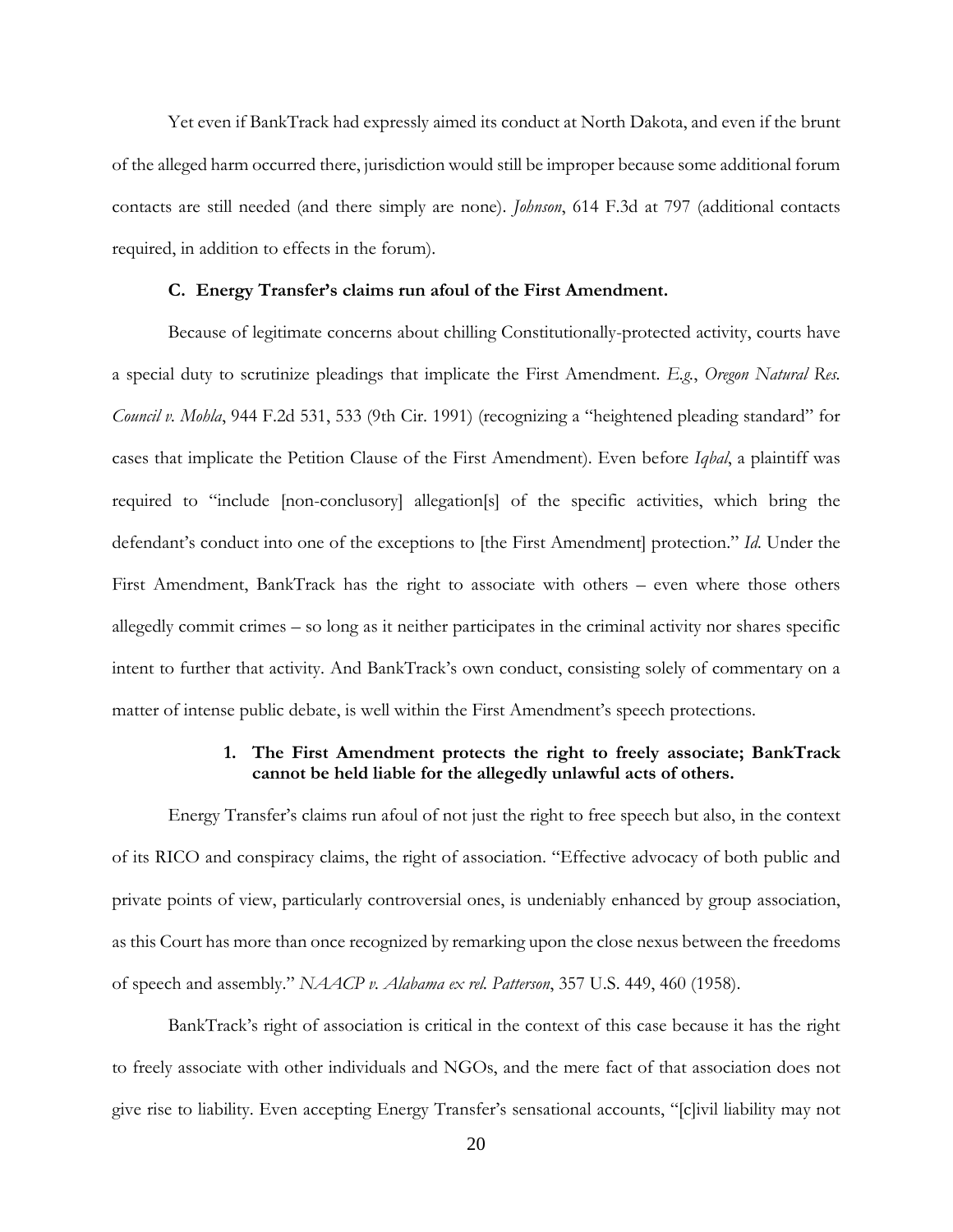Yet even if BankTrack had expressly aimed its conduct at North Dakota, and even if the brunt of the alleged harm occurred there, jurisdiction would still be improper because some additional forum contacts are still needed (and there simply are none). *Johnson*, 614 F.3d at 797 (additional contacts required, in addition to effects in the forum).

#### **C. Energy Transfer's claims run afoul of the First Amendment.**

Because of legitimate concerns about chilling Constitutionally-protected activity, courts have a special duty to scrutinize pleadings that implicate the First Amendment. *E.g.*, *Oregon Natural Res. Council v. Mohla*, 944 F.2d 531, 533 (9th Cir. 1991) (recognizing a "heightened pleading standard" for cases that implicate the Petition Clause of the First Amendment). Even before *Iqbal*, a plaintiff was required to "include [non-conclusory] allegation[s] of the specific activities, which bring the defendant's conduct into one of the exceptions to [the First Amendment] protection." *Id.* Under the First Amendment, BankTrack has the right to associate with others – even where those others allegedly commit crimes – so long as it neither participates in the criminal activity nor shares specific intent to further that activity. And BankTrack's own conduct, consisting solely of commentary on a matter of intense public debate, is well within the First Amendment's speech protections.

# **1. The First Amendment protects the right to freely associate; BankTrack cannot be held liable for the allegedly unlawful acts of others.**

Energy Transfer's claims run afoul of not just the right to free speech but also, in the context of its RICO and conspiracy claims, the right of association. "Effective advocacy of both public and private points of view, particularly controversial ones, is undeniably enhanced by group association, as this Court has more than once recognized by remarking upon the close nexus between the freedoms of speech and assembly." *NAACP v. Alabama ex rel. Patterson*, 357 U.S. 449, 460 (1958).

BankTrack's right of association is critical in the context of this case because it has the right to freely associate with other individuals and NGOs, and the mere fact of that association does not give rise to liability. Even accepting Energy Transfer's sensational accounts, "[c]ivil liability may not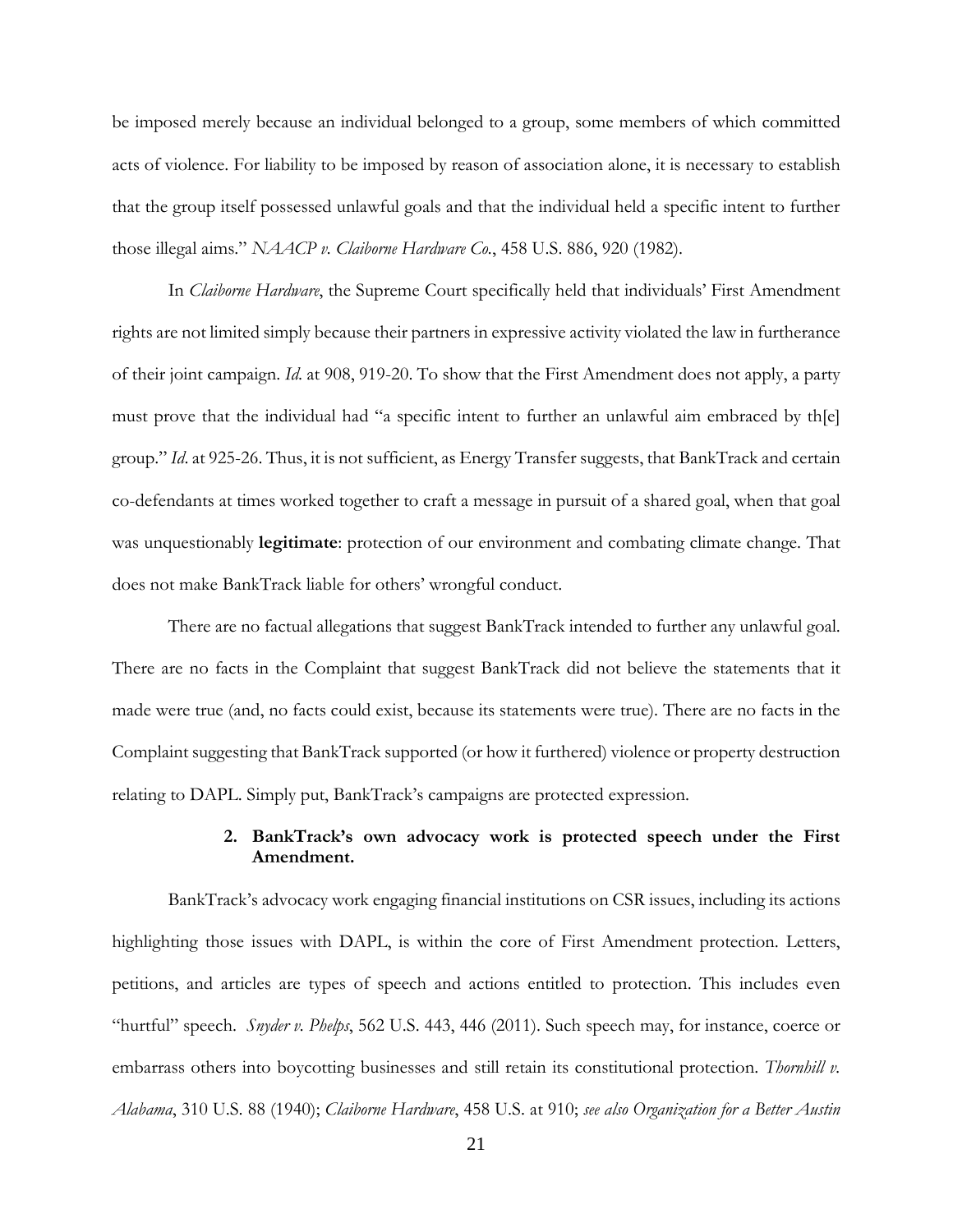be imposed merely because an individual belonged to a group, some members of which committed acts of violence. For liability to be imposed by reason of association alone, it is necessary to establish that the group itself possessed unlawful goals and that the individual held a specific intent to further those illegal aims." *NAACP v. Claiborne Hardware Co.*, 458 U.S. 886, 920 (1982).

In *Claiborne Hardware*, the Supreme Court specifically held that individuals' First Amendment rights are not limited simply because their partners in expressive activity violated the law in furtherance of their joint campaign. *Id*. at 908, 919-20. To show that the First Amendment does not apply, a party must prove that the individual had "a specific intent to further an unlawful aim embraced by th[e] group." *Id*. at 925-26. Thus, it is not sufficient, as Energy Transfer suggests, that BankTrack and certain co-defendants at times worked together to craft a message in pursuit of a shared goal, when that goal was unquestionably **legitimate**: protection of our environment and combating climate change. That does not make BankTrack liable for others' wrongful conduct.

There are no factual allegations that suggest BankTrack intended to further any unlawful goal. There are no facts in the Complaint that suggest BankTrack did not believe the statements that it made were true (and, no facts could exist, because its statements were true). There are no facts in the Complaint suggesting that BankTrack supported (or how it furthered) violence or property destruction relating to DAPL. Simply put, BankTrack's campaigns are protected expression.

## **2. BankTrack's own advocacy work is protected speech under the First Amendment.**

BankTrack's advocacy work engaging financial institutions on CSR issues, including its actions highlighting those issues with DAPL, is within the core of First Amendment protection. Letters, petitions, and articles are types of speech and actions entitled to protection. This includes even "hurtful" speech. *Snyder v. Phelps*, 562 U.S. 443, 446 (2011). Such speech may, for instance, coerce or embarrass others into boycotting businesses and still retain its constitutional protection. *Thornhill v. Alabama*, 310 U.S. 88 (1940); *Claiborne Hardware*, 458 U.S. at 910; *see also Organization for a Better Austin*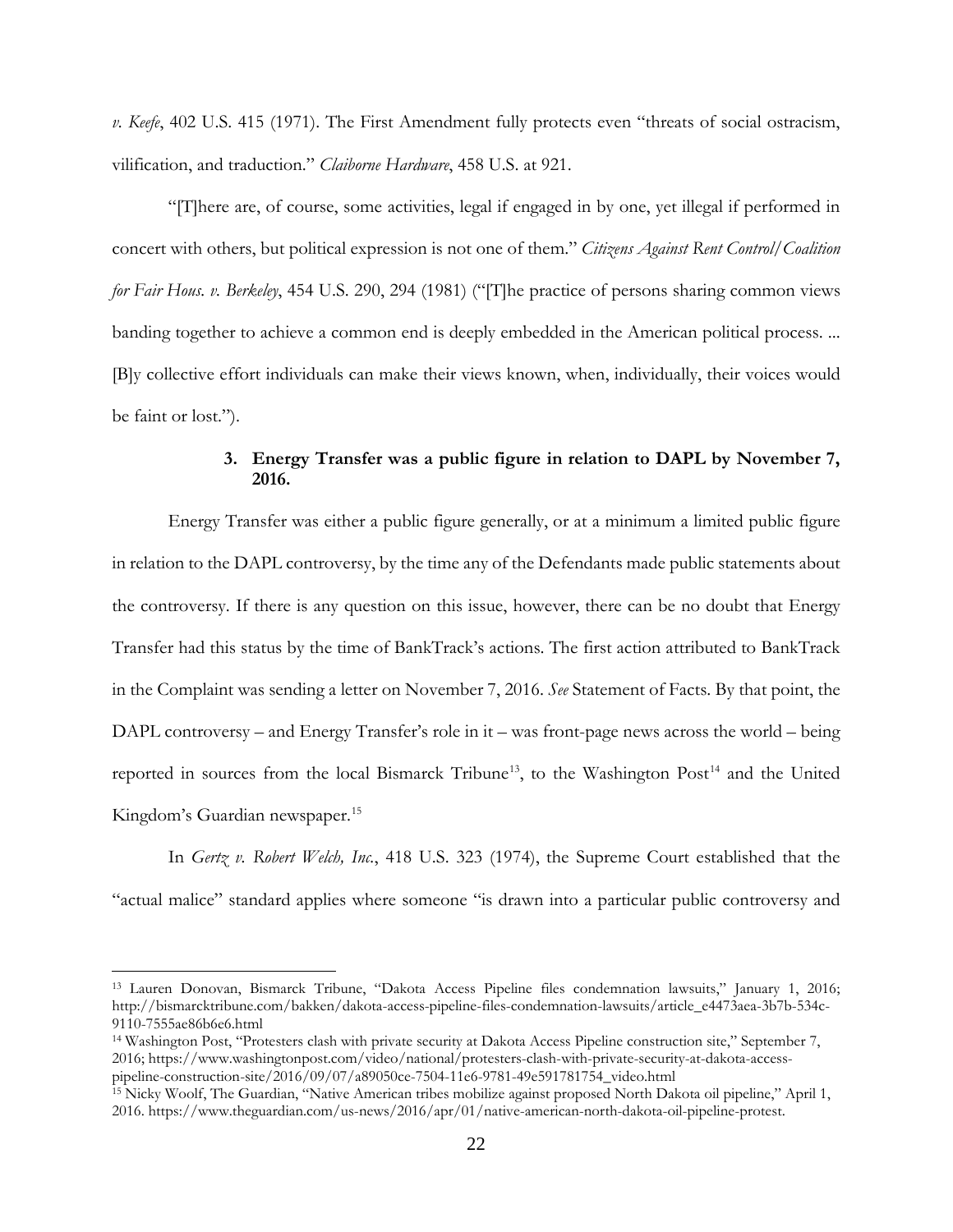*v. Keefe*, 402 U.S. 415 (1971). The First Amendment fully protects even "threats of social ostracism, vilification, and traduction." *Claiborne Hardware*, 458 U.S. at 921.

"[T]here are, of course, some activities, legal if engaged in by one, yet illegal if performed in concert with others, but political expression is not one of them." *Citizens Against Rent Control/Coalition for Fair Hous. v. Berkeley*, 454 U.S. 290, 294 (1981) ("[T]he practice of persons sharing common views banding together to achieve a common end is deeply embedded in the American political process. ... [B]y collective effort individuals can make their views known, when, individually, their voices would be faint or lost.").

# **3. Energy Transfer was a public figure in relation to DAPL by November 7, 2016.**

Energy Transfer was either a public figure generally, or at a minimum a limited public figure in relation to the DAPL controversy, by the time any of the Defendants made public statements about the controversy. If there is any question on this issue, however, there can be no doubt that Energy Transfer had this status by the time of BankTrack's actions. The first action attributed to BankTrack in the Complaint was sending a letter on November 7, 2016. *See* Statement of Facts. By that point, the DAPL controversy – and Energy Transfer's role in it – was front-page news across the world – being reported in sources from the local Bismarck Tribune<sup>13</sup>, to the Washington Post<sup>[14](#page-21-1)</sup> and the United Kingdom's Guardian newspaper.<sup>[15](#page-21-2)</sup>

In *Gertz v. Robert Welch, Inc.*, 418 U.S. 323 (1974), the Supreme Court established that the "actual malice" standard applies where someone "is drawn into a particular public controversy and

 $\overline{a}$ 

<span id="page-21-1"></span><sup>14</sup> Washington Post, "Protesters clash with private security at Dakota Access Pipeline construction site," September 7, 2016; https://www.washingtonpost.com/video/national/protesters-clash-with-private-security-at-dakota-accesspipeline-construction-site/2016/09/07/a89050ce-7504-11e6-9781-49e591781754\_video.html

<span id="page-21-0"></span><sup>13</sup> Lauren Donovan, Bismarck Tribune, "Dakota Access Pipeline files condemnation lawsuits," January 1, 2016; http://bismarcktribune.com/bakken/dakota-access-pipeline-files-condemnation-lawsuits/article\_e4473aea-3b7b-534c-9110-7555ae86b6e6.html

<span id="page-21-2"></span><sup>15</sup> Nicky Woolf, The Guardian, "Native American tribes mobilize against proposed North Dakota oil pipeline," April 1, 2016. https://www.theguardian.com/us-news/2016/apr/01/native-american-north-dakota-oil-pipeline-protest.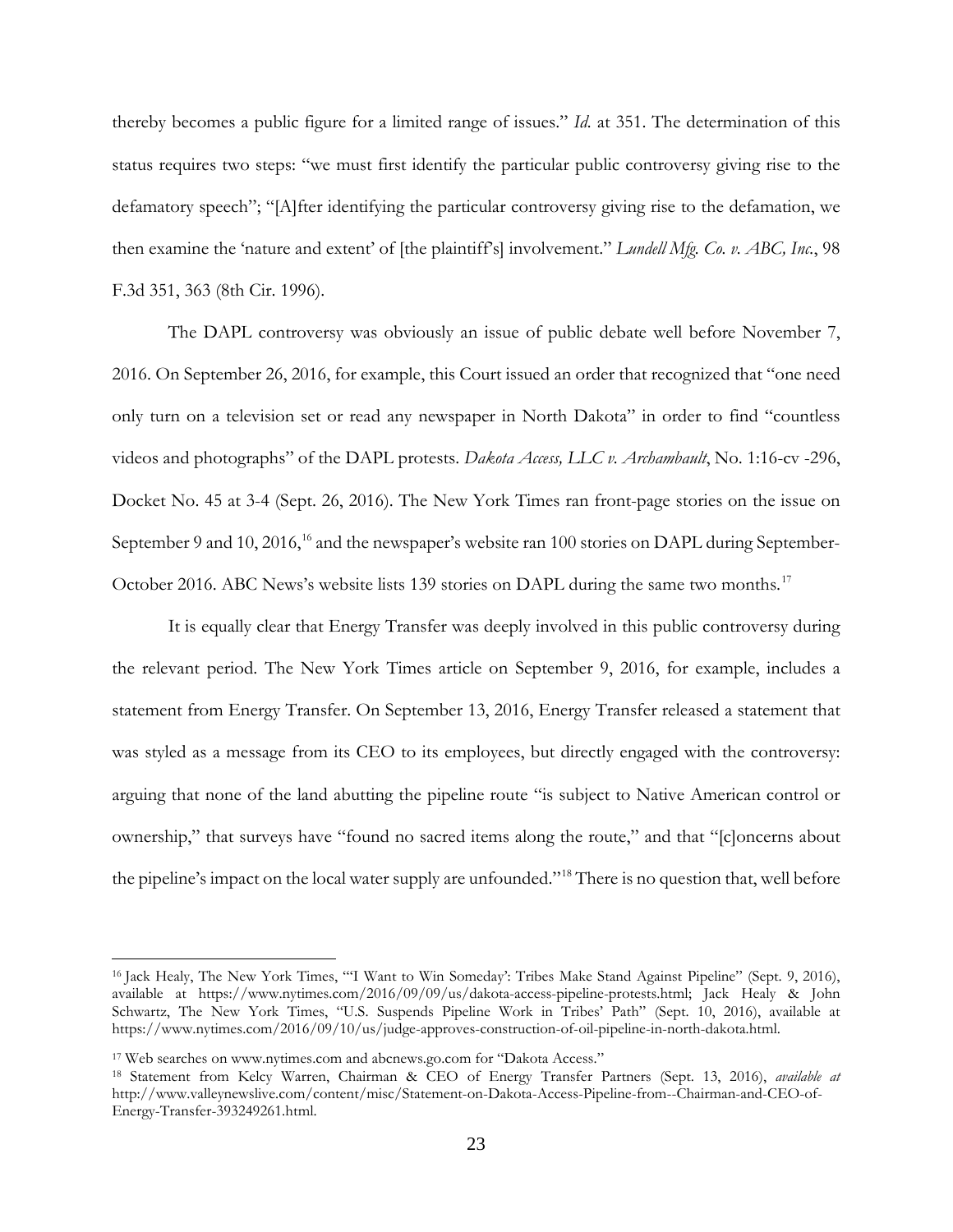thereby becomes a public figure for a limited range of issues." *Id.* at 351. The determination of this status requires two steps: "we must first identify the particular public controversy giving rise to the defamatory speech"; "[A]fter identifying the particular controversy giving rise to the defamation, we then examine the 'nature and extent' of [the plaintiff's] involvement." *Lundell Mfg. Co. v. ABC, Inc.*, 98 F.3d 351, 363 (8th Cir. 1996).

The DAPL controversy was obviously an issue of public debate well before November 7, 2016. On September 26, 2016, for example, this Court issued an order that recognized that "one need only turn on a television set or read any newspaper in North Dakota" in order to find "countless videos and photographs" of the DAPL protests. *Dakota Access, LLC v. Archambault*, No. 1:16-cv -296, Docket No. 45 at 3-4 (Sept. 26, 2016). The New York Times ran front-page stories on the issue on September 9 and 10, 20[16](#page-22-0),<sup>16</sup> and the newspaper's website ran 100 stories on DAPL during September-October 2016. ABC News's website lists 139 stories on DAPL during the same two months.<sup>[17](#page-22-1)</sup>

It is equally clear that Energy Transfer was deeply involved in this public controversy during the relevant period. The New York Times article on September 9, 2016, for example, includes a statement from Energy Transfer. On September 13, 2016, Energy Transfer released a statement that was styled as a message from its CEO to its employees, but directly engaged with the controversy: arguing that none of the land abutting the pipeline route "is subject to Native American control or ownership," that surveys have "found no sacred items along the route," and that "[c]oncerns about the pipeline's impact on the local water supply are unfounded."[18](#page-22-2) There is no question that, well before

<span id="page-22-0"></span><sup>&</sup>lt;sup>16</sup> Jack Healy, The New York Times, "'I Want to Win Someday': Tribes Make Stand Against Pipeline" (Sept. 9, 2016), available at [https://www.nytimes.com/2016/09/09/us/dakota-access-pipeline-protests.html;](https://www.nytimes.com/2016/09/09/us/dakota-access-pipeline-protests.html) Jack Healy & John Schwartz, The New York Times, "U.S. Suspends Pipeline Work in Tribes' Path" (Sept. 10, 2016), available at [https://www.nytimes.com/2016/09/10/us/judge-approves-construction-of-oil-pipeline-in-north-dakota.html.](https://www.nytimes.com/2016/09/10/us/judge-approves-construction-of-oil-pipeline-in-north-dakota.html) 

<span id="page-22-1"></span><sup>17</sup> Web searches on www.nytimes.com and abcnews.go.com for "Dakota Access."

<span id="page-22-2"></span><sup>18</sup> Statement from Kelcy Warren, Chairman & CEO of Energy Transfer Partners (Sept. 13, 2016), *available at*  http://www.valleynewslive.com/content/misc/Statement-on-Dakota-Access-Pipeline-from--Chairman-and-CEO-of-Energy-Transfer-393249261.html.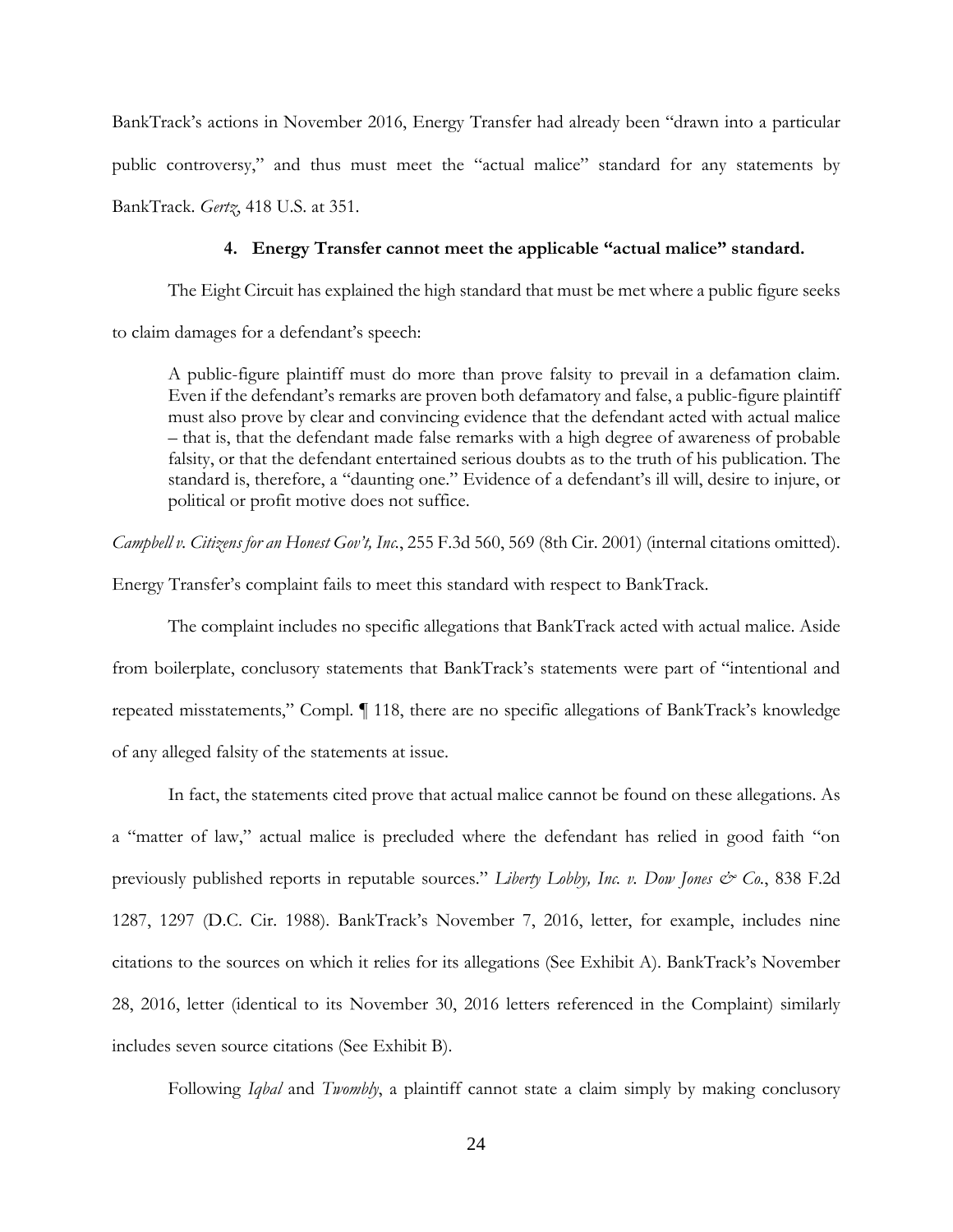BankTrack's actions in November 2016, Energy Transfer had already been "drawn into a particular public controversy," and thus must meet the "actual malice" standard for any statements by BankTrack. *Gertz*, 418 U.S. at 351.

## **4. Energy Transfer cannot meet the applicable "actual malice" standard.**

The Eight Circuit has explained the high standard that must be met where a public figure seeks to claim damages for a defendant's speech:

A public-figure plaintiff must do more than prove falsity to prevail in a defamation claim. Even if the defendant's remarks are proven both defamatory and false, a public-figure plaintiff must also prove by clear and convincing evidence that the defendant acted with actual malice – that is, that the defendant made false remarks with a high degree of awareness of probable falsity, or that the defendant entertained serious doubts as to the truth of his publication. The standard is, therefore, a "daunting one." Evidence of a defendant's ill will, desire to injure, or political or profit motive does not suffice.

*Campbell v. Citizens for an Honest Gov't, Inc.*, 255 F.3d 560, 569 (8th Cir. 2001) (internal citations omitted).

Energy Transfer's complaint fails to meet this standard with respect to BankTrack.

The complaint includes no specific allegations that BankTrack acted with actual malice. Aside from boilerplate, conclusory statements that BankTrack's statements were part of "intentional and repeated misstatements," Compl. ¶ 118, there are no specific allegations of BankTrack's knowledge of any alleged falsity of the statements at issue.

In fact, the statements cited prove that actual malice cannot be found on these allegations. As a "matter of law," actual malice is precluded where the defendant has relied in good faith "on previously published reports in reputable sources." *Liberty Lobby, Inc. v. Dow Jones & Co.*, 838 F.2d 1287, 1297 (D.C. Cir. 1988). BankTrack's November 7, 2016, letter, for example, includes nine citations to the sources on which it relies for its allegations (See Exhibit A). BankTrack's November 28, 2016, letter (identical to its November 30, 2016 letters referenced in the Complaint) similarly includes seven source citations (See Exhibit B).

Following *Iqbal* and *Twombly*, a plaintiff cannot state a claim simply by making conclusory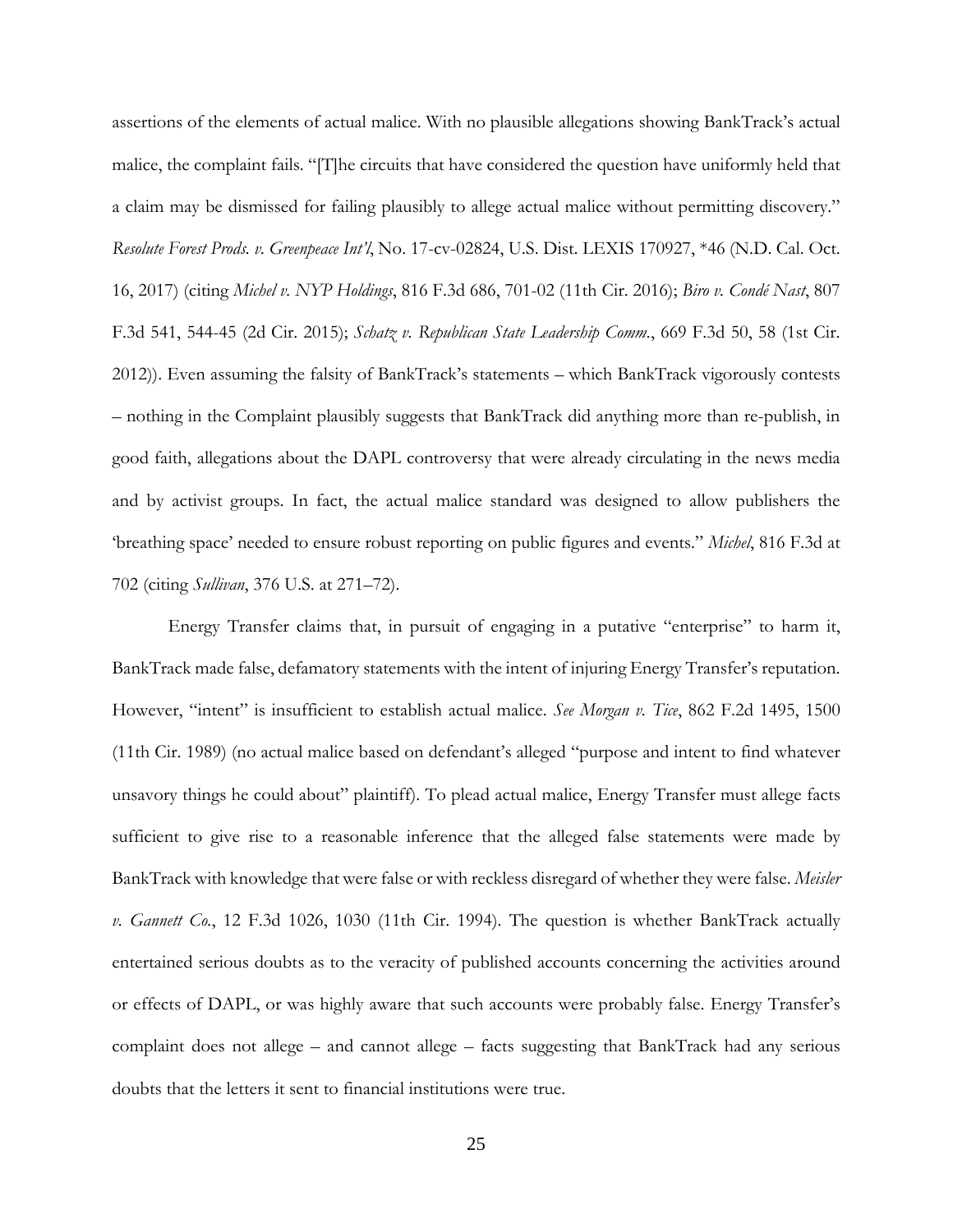assertions of the elements of actual malice. With no plausible allegations showing BankTrack's actual malice, the complaint fails. "[T]he circuits that have considered the question have uniformly held that a claim may be dismissed for failing plausibly to allege actual malice without permitting discovery." *Resolute Forest Prods. v. Greenpeace Int'l*, No. 17-cv-02824, U.S. Dist. LEXIS 170927, \*46 (N.D. Cal. Oct. 16, 2017) (citing *Michel v. NYP Holdings*, 816 F.3d 686, 701-02 (11th Cir. 2016); *Biro v. Condé Nast*, 807 F.3d 541, 544-45 (2d Cir. 2015); *Schatz v. Republican State Leadership Comm.*, 669 F.3d 50, 58 (1st Cir. 2012)). Even assuming the falsity of BankTrack's statements – which BankTrack vigorously contests – nothing in the Complaint plausibly suggests that BankTrack did anything more than re-publish, in good faith, allegations about the DAPL controversy that were already circulating in the news media and by activist groups. In fact, the actual malice standard was designed to allow publishers the 'breathing space' needed to ensure robust reporting on public figures and events." *Michel*, 816 F.3d at 702 (citing *Sullivan*, 376 U.S. at 271–72).

Energy Transfer claims that, in pursuit of engaging in a putative "enterprise" to harm it, BankTrack made false, defamatory statements with the intent of injuring Energy Transfer's reputation. However, "intent" is insufficient to establish actual malice. *See Morgan v. Tice*, 862 F.2d 1495, 1500 (11th Cir. 1989) (no actual malice based on defendant's alleged "purpose and intent to find whatever unsavory things he could about" plaintiff). To plead actual malice, Energy Transfer must allege facts sufficient to give rise to a reasonable inference that the alleged false statements were made by BankTrack with knowledge that were false or with reckless disregard of whether they were false. *Meisler v. Gannett Co.*, 12 F.3d 1026, 1030 (11th Cir. 1994). The question is whether BankTrack actually entertained serious doubts as to the veracity of published accounts concerning the activities around or effects of DAPL, or was highly aware that such accounts were probably false. Energy Transfer's complaint does not allege – and cannot allege – facts suggesting that BankTrack had any serious doubts that the letters it sent to financial institutions were true.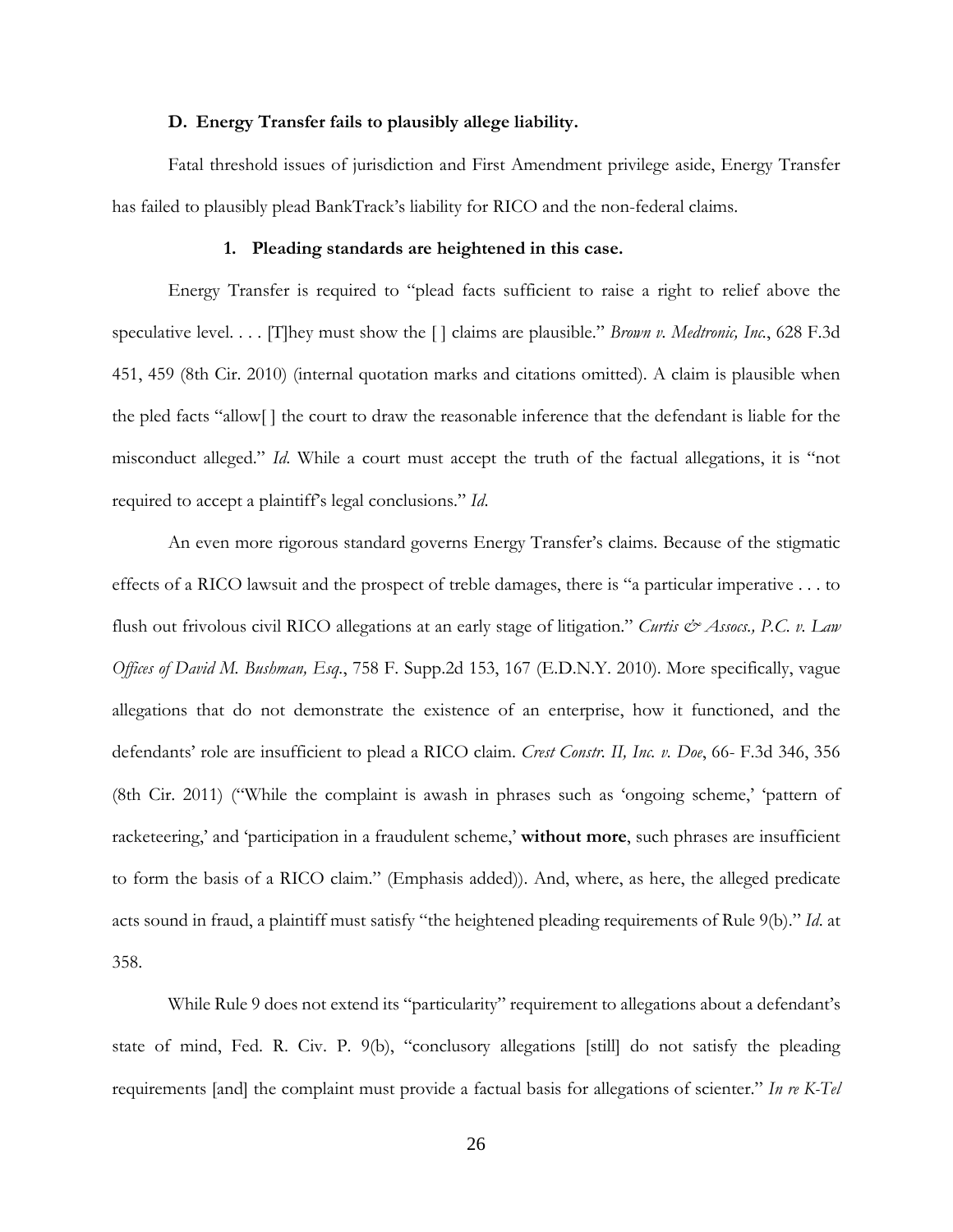#### **D. Energy Transfer fails to plausibly allege liability.**

Fatal threshold issues of jurisdiction and First Amendment privilege aside, Energy Transfer has failed to plausibly plead BankTrack's liability for RICO and the non-federal claims.

#### **1. Pleading standards are heightened in this case.**

Energy Transfer is required to "plead facts sufficient to raise a right to relief above the speculative level. . . . [T]hey must show the [ ] claims are plausible." *Brown v. Medtronic, Inc.*, 628 F.3d 451, 459 (8th Cir. 2010) (internal quotation marks and citations omitted). A claim is plausible when the pled facts "allow[ ] the court to draw the reasonable inference that the defendant is liable for the misconduct alleged." *Id*. While a court must accept the truth of the factual allegations, it is "not required to accept a plaintiff's legal conclusions." *Id*.

An even more rigorous standard governs Energy Transfer's claims. Because of the stigmatic effects of a RICO lawsuit and the prospect of treble damages, there is "a particular imperative . . . to flush out frivolous civil RICO allegations at an early stage of litigation." *Curtis & Assocs., P.C. v. Law Offices of David M. Bushman, Esq.*, 758 F. Supp.2d 153, 167 (E.D.N.Y. 2010). More specifically, vague allegations that do not demonstrate the existence of an enterprise, how it functioned, and the defendants' role are insufficient to plead a RICO claim. *Crest Constr. II, Inc. v. Doe*, 66- F.3d 346, 356 (8th Cir. 2011) ("While the complaint is awash in phrases such as 'ongoing scheme,' 'pattern of racketeering,' and 'participation in a fraudulent scheme,' **without more**, such phrases are insufficient to form the basis of a RICO claim." (Emphasis added)). And, where, as here, the alleged predicate acts sound in fraud, a plaintiff must satisfy "the heightened pleading requirements of Rule 9(b)." *Id*. at 358.

While Rule 9 does not extend its "particularity" requirement to allegations about a defendant's state of mind, Fed. R. Civ. P. 9(b), "conclusory allegations [still] do not satisfy the pleading requirements [and] the complaint must provide a factual basis for allegations of scienter." *In re K-Tel*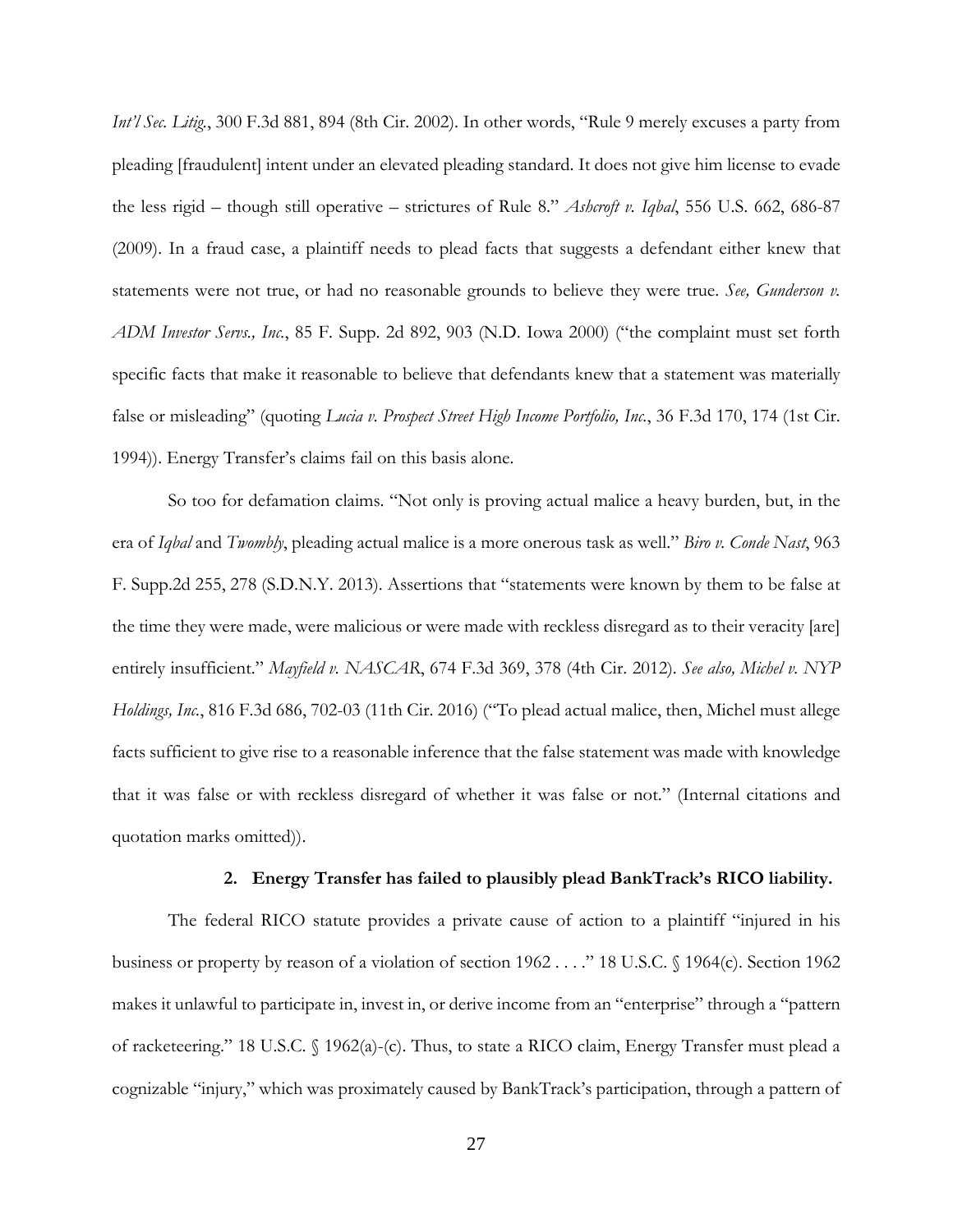*Int'l Sec. Litig.*, 300 F.3d 881, 894 (8th Cir. 2002). In other words, "Rule 9 merely excuses a party from pleading [fraudulent] intent under an elevated pleading standard. It does not give him license to evade the less rigid – though still operative – strictures of Rule 8." *Ashcroft v. Iqbal*, 556 U.S. 662, 686-87 (2009). In a fraud case, a plaintiff needs to plead facts that suggests a defendant either knew that statements were not true, or had no reasonable grounds to believe they were true. *See, Gunderson v. ADM Investor Servs., Inc.*, 85 F. Supp. 2d 892, 903 (N.D. Iowa 2000) ("the complaint must set forth specific facts that make it reasonable to believe that defendants knew that a statement was materially false or misleading" (quoting *Lucia v. Prospect Street High Income Portfolio, Inc.*, 36 F.3d 170, 174 (1st Cir. 1994)). Energy Transfer's claims fail on this basis alone.

So too for defamation claims. "Not only is proving actual malice a heavy burden, but, in the era of *Iqbal* and *Twombly*, pleading actual malice is a more onerous task as well." *Biro v. Conde Nast*, 963 F. Supp.2d 255, 278 (S.D.N.Y. 2013). Assertions that "statements were known by them to be false at the time they were made, were malicious or were made with reckless disregard as to their veracity [are] entirely insufficient." *Mayfield v. NASCAR*, 674 F.3d 369, 378 (4th Cir. 2012). *See also, Michel v. NYP Holdings, Inc.*, 816 F.3d 686, 702-03 (11th Cir. 2016) ("To plead actual malice, then, Michel must allege facts sufficient to give rise to a reasonable inference that the false statement was made with knowledge that it was false or with reckless disregard of whether it was false or not." (Internal citations and quotation marks omitted)).

### **2. Energy Transfer has failed to plausibly plead BankTrack's RICO liability.**

The federal RICO statute provides a private cause of action to a plaintiff "injured in his business or property by reason of a violation of section 1962 . . . ." 18 U.S.C. § 1964(c). Section 1962 makes it unlawful to participate in, invest in, or derive income from an "enterprise" through a "pattern of racketeering." 18 U.S.C. § 1962(a)-(c). Thus, to state a RICO claim, Energy Transfer must plead a cognizable "injury," which was proximately caused by BankTrack's participation, through a pattern of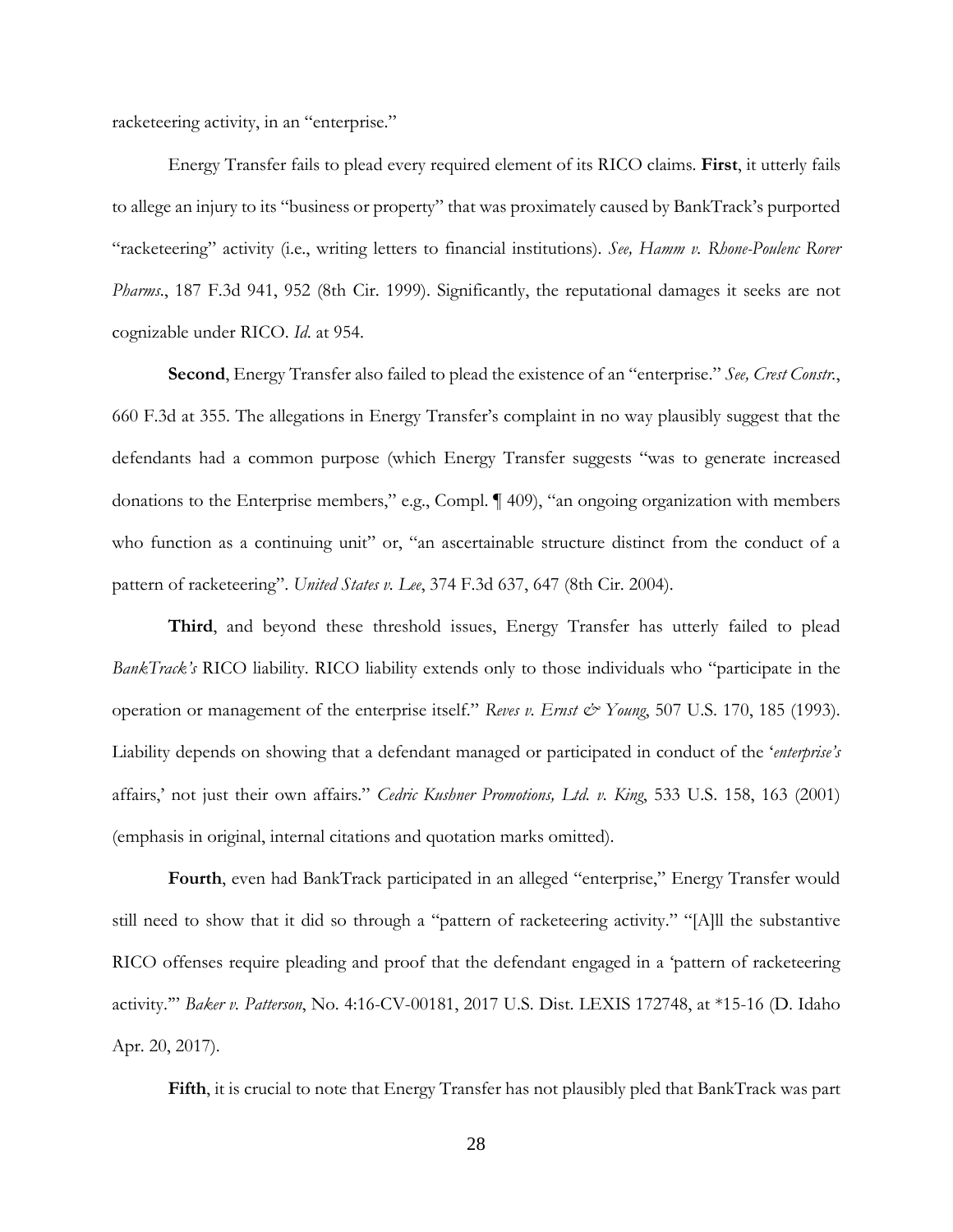racketeering activity, in an "enterprise."

Energy Transfer fails to plead every required element of its RICO claims. **First**, it utterly fails to allege an injury to its "business or property" that was proximately caused by BankTrack's purported "racketeering" activity (i.e., writing letters to financial institutions). *See, Hamm v. Rhone-Poulenc Rorer Pharms*., 187 F.3d 941, 952 (8th Cir. 1999). Significantly, the reputational damages it seeks are not cognizable under RICO. *Id*. at 954.

**Second**, Energy Transfer also failed to plead the existence of an "enterprise." *See, Crest Constr.*, 660 F.3d at 355. The allegations in Energy Transfer's complaint in no way plausibly suggest that the defendants had a common purpose (which Energy Transfer suggests "was to generate increased donations to the Enterprise members," e.g., Compl. ¶ 409), "an ongoing organization with members who function as a continuing unit" or, "an ascertainable structure distinct from the conduct of a pattern of racketeering". *United States v. Lee*, 374 F.3d 637, 647 (8th Cir. 2004).

**Third**, and beyond these threshold issues, Energy Transfer has utterly failed to plead *BankTrack's* RICO liability. RICO liability extends only to those individuals who "participate in the operation or management of the enterprise itself." *Reves v. Ernst & Young*, 507 U.S. 170, 185 (1993). Liability depends on showing that a defendant managed or participated in conduct of the '*enterprise's* affairs,' not just their own affairs." *Cedric Kushner Promotions, Ltd. v. King*, 533 U.S. 158, 163 (2001) (emphasis in original, internal citations and quotation marks omitted).

**Fourth**, even had BankTrack participated in an alleged "enterprise," Energy Transfer would still need to show that it did so through a "pattern of racketeering activity." "[A]ll the substantive RICO offenses require pleading and proof that the defendant engaged in a 'pattern of racketeering activity.'" *Baker v. Patterson*, No. 4:16-CV-00181, 2017 U.S. Dist. LEXIS 172748, at \*15-16 (D. Idaho Apr. 20, 2017).

**Fifth**, it is crucial to note that Energy Transfer has not plausibly pled that BankTrack was part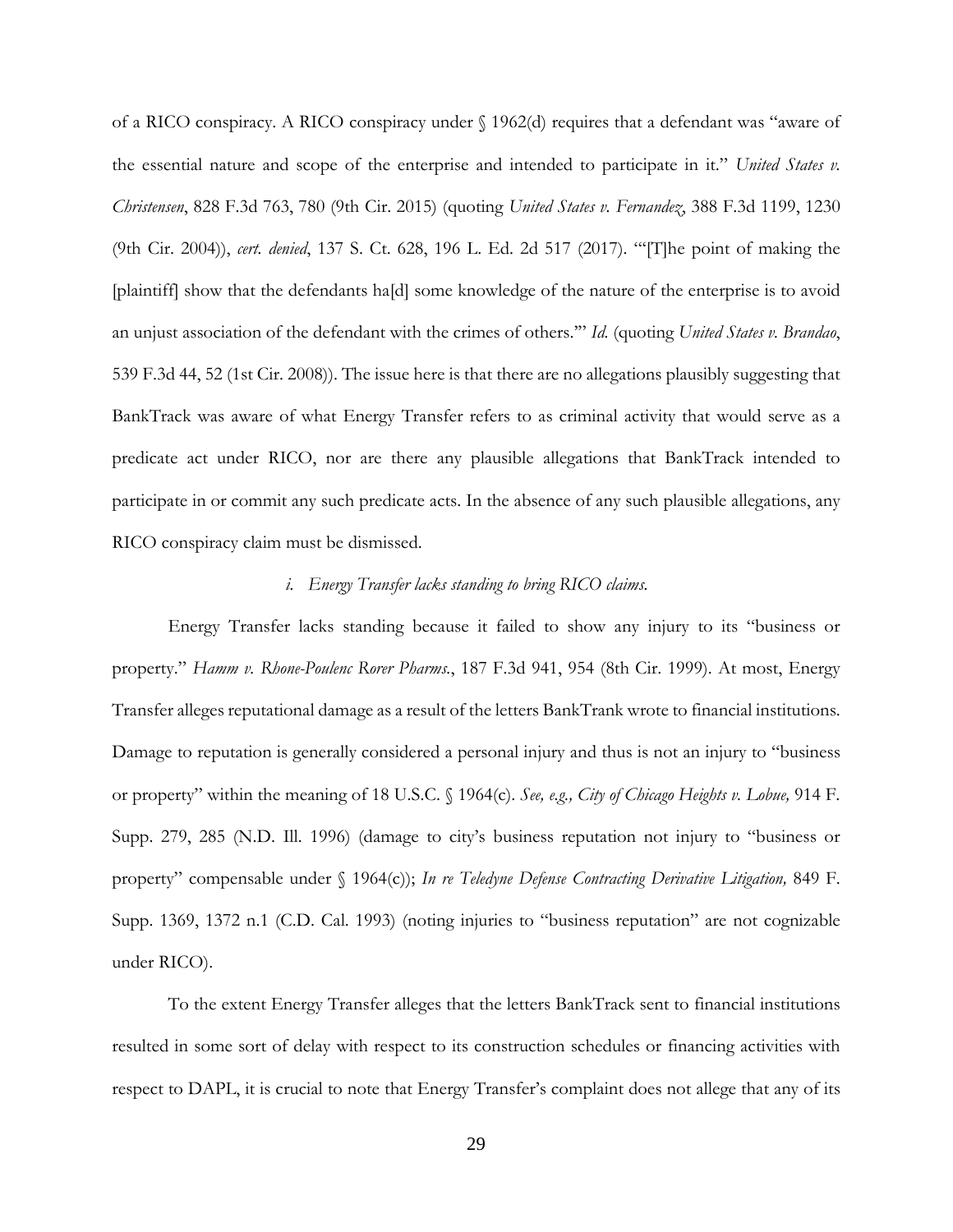of a RICO conspiracy. A RICO conspiracy under § 1962(d) requires that a defendant was "aware of the essential nature and scope of the enterprise and intended to participate in it." *United States v. Christensen*, 828 F.3d 763, 780 (9th Cir. 2015) (quoting *United States v. Fernandez*, 388 F.3d 1199, 1230 (9th Cir. 2004)), *cert. denied*, 137 S. Ct. 628, 196 L. Ed. 2d 517 (2017). "'[T]he point of making the [plaintiff] show that the defendants ha[d] some knowledge of the nature of the enterprise is to avoid an unjust association of the defendant with the crimes of others.'" *Id.* (quoting *United States v. Brandao*, 539 F.3d 44, 52 (1st Cir. 2008)). The issue here is that there are no allegations plausibly suggesting that BankTrack was aware of what Energy Transfer refers to as criminal activity that would serve as a predicate act under RICO, nor are there any plausible allegations that BankTrack intended to participate in or commit any such predicate acts. In the absence of any such plausible allegations, any RICO conspiracy claim must be dismissed.

## *i. Energy Transfer lacks standing to bring RICO claims.*

Energy Transfer lacks standing because it failed to show any injury to its "business or property." *Hamm v. Rhone-Poulenc Rorer Pharms.*, 187 F.3d 941, 954 (8th Cir. 1999). At most, Energy Transfer alleges reputational damage as a result of the letters BankTrank wrote to financial institutions. Damage to reputation is generally considered a personal injury and thus is not an injury to "business or property" within the meaning of 18 U.S.C. § 1964(c). *See, e.g., City of Chicago Heights v. Lobue,* 914 F. Supp. 279, 285 (N.D. Ill. 1996) (damage to city's business reputation not injury to "business or property" compensable under § 1964(c)); *In re Teledyne Defense Contracting Derivative Litigation,* 849 F. Supp. 1369, 1372 n.1 (C.D. Cal. 1993) (noting injuries to "business reputation" are not cognizable under RICO).

To the extent Energy Transfer alleges that the letters BankTrack sent to financial institutions resulted in some sort of delay with respect to its construction schedules or financing activities with respect to DAPL, it is crucial to note that Energy Transfer's complaint does not allege that any of its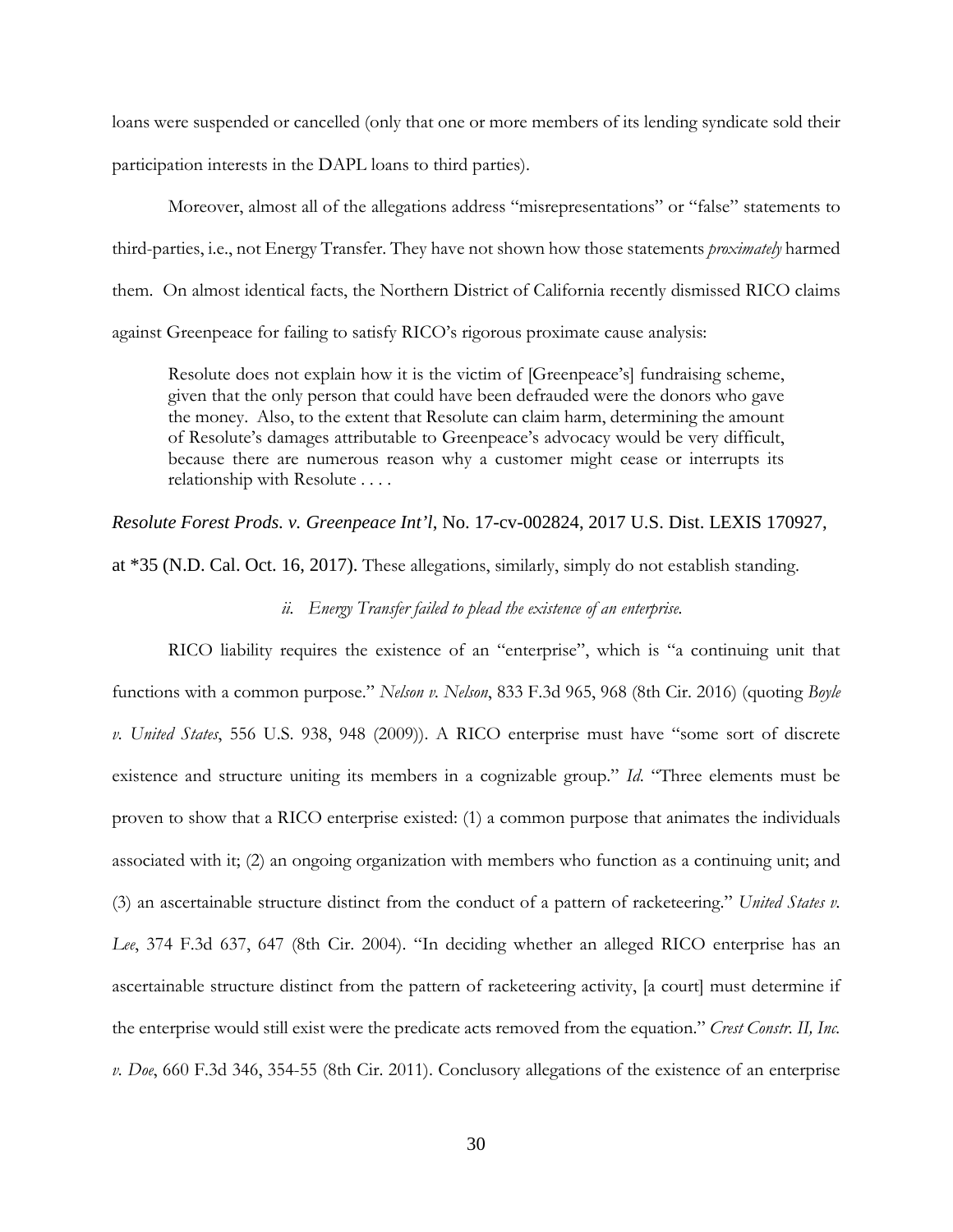loans were suspended or cancelled (only that one or more members of its lending syndicate sold their participation interests in the DAPL loans to third parties).

Moreover, almost all of the allegations address "misrepresentations" or "false" statements to third-parties, i.e., not Energy Transfer. They have not shown how those statements *proximately* harmed them. On almost identical facts, the Northern District of California recently dismissed RICO claims against Greenpeace for failing to satisfy RICO's rigorous proximate cause analysis:

Resolute does not explain how it is the victim of [Greenpeace's] fundraising scheme, given that the only person that could have been defrauded were the donors who gave the money. Also, to the extent that Resolute can claim harm, determining the amount of Resolute's damages attributable to Greenpeace's advocacy would be very difficult, because there are numerous reason why a customer might cease or interrupts its relationship with Resolute . . . .

## *Resolute Forest Prods. v. Greenpeace Int'l*, No. 17-cv-002824, 2017 U.S. Dist. LEXIS 170927,

at \*35 (N.D. Cal. Oct. 16, 2017). These allegations, similarly, simply do not establish standing.

# *ii. Energy Transfer failed to plead the existence of an enterprise.*

RICO liability requires the existence of an "enterprise", which is "a continuing unit that functions with a common purpose." *Nelson v. Nelson*, 833 F.3d 965, 968 (8th Cir. 2016) (quoting *Boyle v. United States*, 556 U.S. 938, 948 (2009)). A RICO enterprise must have "some sort of discrete existence and structure uniting its members in a cognizable group." *Id*. "Three elements must be proven to show that a RICO enterprise existed: (1) a common purpose that animates the individuals associated with it; (2) an ongoing organization with members who function as a continuing unit; and (3) an ascertainable structure distinct from the conduct of a pattern of racketeering." *United States v. Lee*, 374 F.3d 637, 647 (8th Cir. 2004). "In deciding whether an alleged RICO enterprise has an ascertainable structure distinct from the pattern of racketeering activity, [a court] must determine if the enterprise would still exist were the predicate acts removed from the equation." *Crest Constr. II, Inc. v. Doe*, 660 F.3d 346, 354-55 (8th Cir. 2011). Conclusory allegations of the existence of an enterprise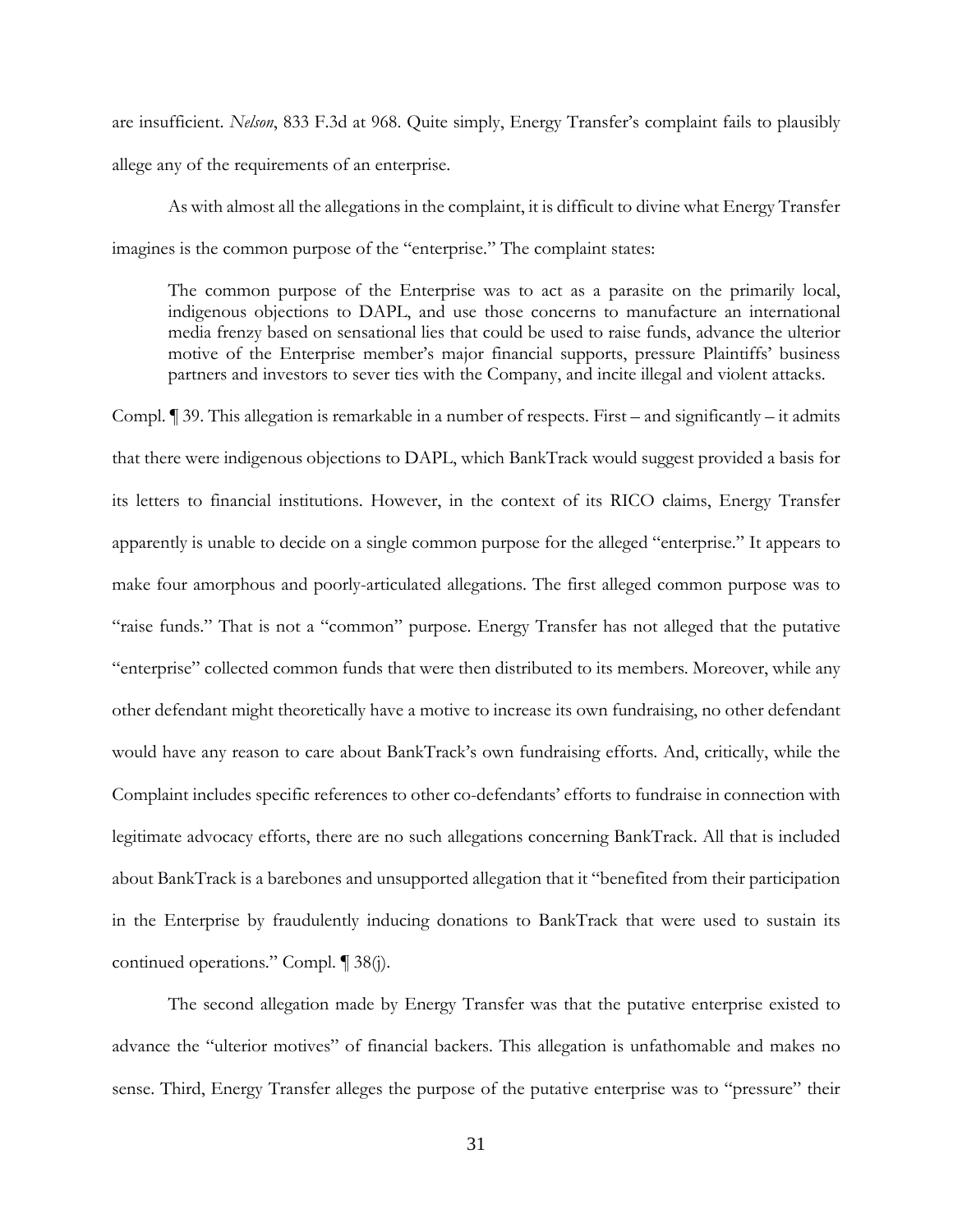are insufficient. *Nelson*, 833 F.3d at 968. Quite simply, Energy Transfer's complaint fails to plausibly allege any of the requirements of an enterprise.

As with almost all the allegations in the complaint, it is difficult to divine what Energy Transfer imagines is the common purpose of the "enterprise." The complaint states:

The common purpose of the Enterprise was to act as a parasite on the primarily local, indigenous objections to DAPL, and use those concerns to manufacture an international media frenzy based on sensational lies that could be used to raise funds, advance the ulterior motive of the Enterprise member's major financial supports, pressure Plaintiffs' business partners and investors to sever ties with the Company, and incite illegal and violent attacks.

Compl. ¶ 39. This allegation is remarkable in a number of respects. First – and significantly – it admits that there were indigenous objections to DAPL, which BankTrack would suggest provided a basis for its letters to financial institutions. However, in the context of its RICO claims, Energy Transfer apparently is unable to decide on a single common purpose for the alleged "enterprise." It appears to make four amorphous and poorly-articulated allegations. The first alleged common purpose was to "raise funds." That is not a "common" purpose. Energy Transfer has not alleged that the putative "enterprise" collected common funds that were then distributed to its members. Moreover, while any other defendant might theoretically have a motive to increase its own fundraising, no other defendant would have any reason to care about BankTrack's own fundraising efforts. And, critically, while the Complaint includes specific references to other co-defendants' efforts to fundraise in connection with legitimate advocacy efforts, there are no such allegations concerning BankTrack. All that is included about BankTrack is a barebones and unsupported allegation that it "benefited from their participation in the Enterprise by fraudulently inducing donations to BankTrack that were used to sustain its continued operations." Compl. ¶ 38(j).

The second allegation made by Energy Transfer was that the putative enterprise existed to advance the "ulterior motives" of financial backers. This allegation is unfathomable and makes no sense. Third, Energy Transfer alleges the purpose of the putative enterprise was to "pressure" their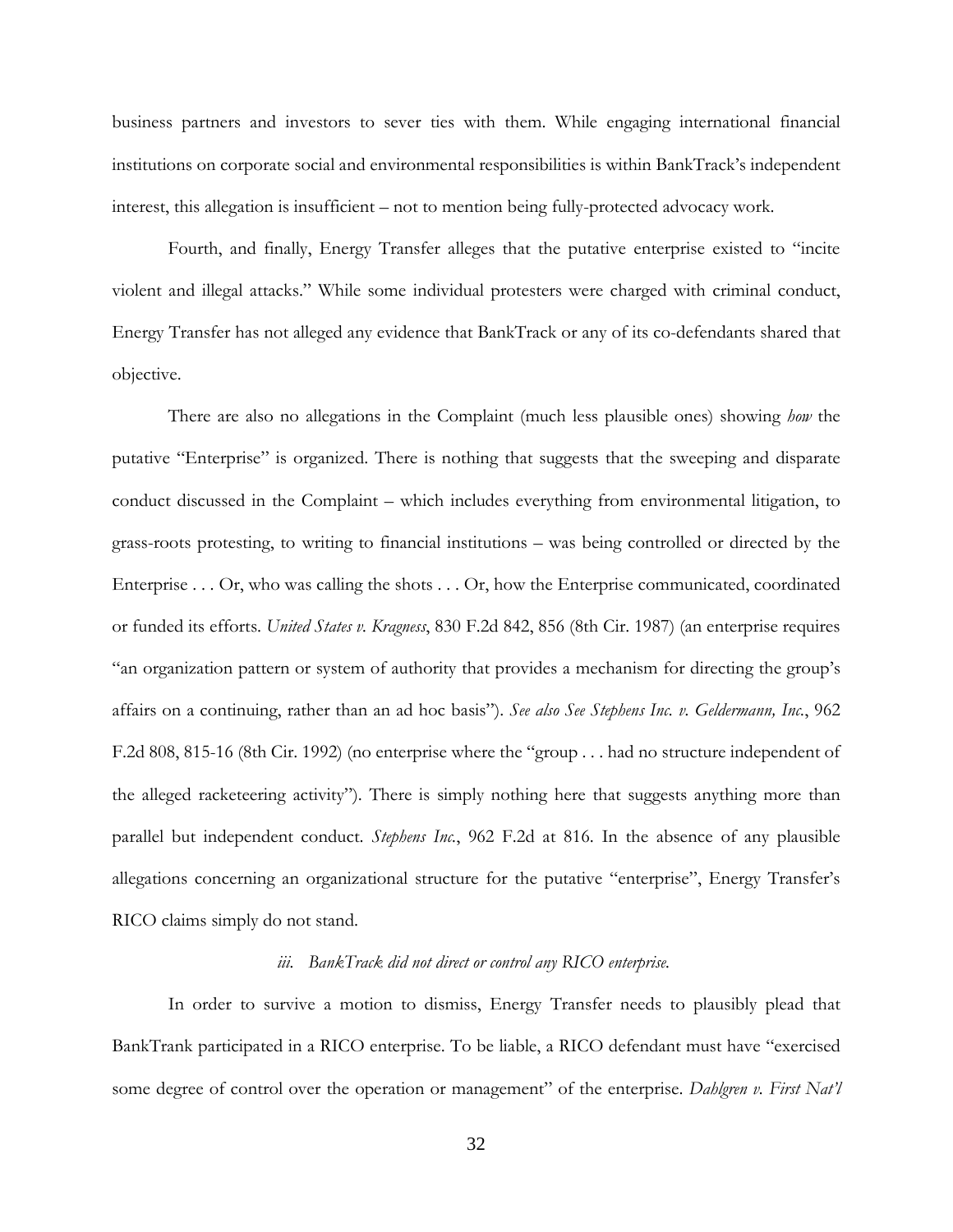business partners and investors to sever ties with them. While engaging international financial institutions on corporate social and environmental responsibilities is within BankTrack's independent interest, this allegation is insufficient – not to mention being fully-protected advocacy work.

Fourth, and finally, Energy Transfer alleges that the putative enterprise existed to "incite violent and illegal attacks." While some individual protesters were charged with criminal conduct, Energy Transfer has not alleged any evidence that BankTrack or any of its co-defendants shared that objective.

There are also no allegations in the Complaint (much less plausible ones) showing *how* the putative "Enterprise" is organized. There is nothing that suggests that the sweeping and disparate conduct discussed in the Complaint – which includes everything from environmental litigation, to grass-roots protesting, to writing to financial institutions – was being controlled or directed by the Enterprise . . . Or, who was calling the shots . . . Or, how the Enterprise communicated, coordinated or funded its efforts. *United States v. Kragness*, 830 F.2d 842, 856 (8th Cir. 1987) (an enterprise requires "an organization pattern or system of authority that provides a mechanism for directing the group's affairs on a continuing, rather than an ad hoc basis"). *See also See Stephens Inc. v. Geldermann, Inc.*, 962 F.2d 808, 815-16 (8th Cir. 1992) (no enterprise where the "group . . . had no structure independent of the alleged racketeering activity"). There is simply nothing here that suggests anything more than parallel but independent conduct. *Stephens Inc.*, 962 F.2d at 816. In the absence of any plausible allegations concerning an organizational structure for the putative "enterprise", Energy Transfer's RICO claims simply do not stand.

# *iii. BankTrack did not direct or control any RICO enterprise.*

In order to survive a motion to dismiss, Energy Transfer needs to plausibly plead that BankTrank participated in a RICO enterprise. To be liable, a RICO defendant must have "exercised some degree of control over the operation or management" of the enterprise. *Dahlgren v. First Nat'l*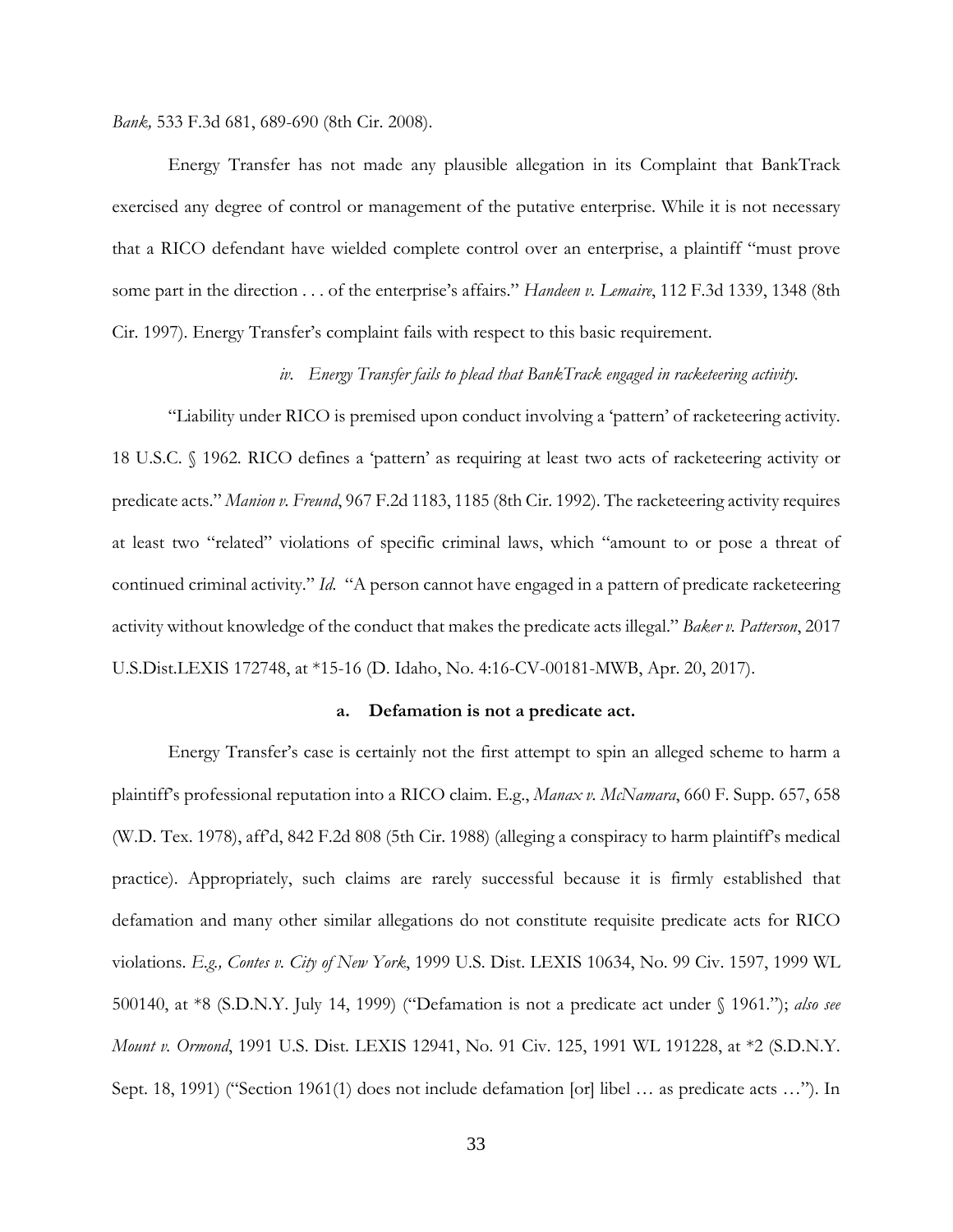*Bank,* 533 F.3d 681, 689-690 (8th Cir. 2008).

Energy Transfer has not made any plausible allegation in its Complaint that BankTrack exercised any degree of control or management of the putative enterprise. While it is not necessary that a RICO defendant have wielded complete control over an enterprise, a plaintiff "must prove some part in the direction . . . of the enterprise's affairs." *Handeen v. Lemaire*, 112 F.3d 1339, 1348 (8th Cir. 1997). Energy Transfer's complaint fails with respect to this basic requirement.

## *iv. Energy Transfer fails to plead that BankTrack engaged in racketeering activity.*

"Liability under RICO is premised upon conduct involving a 'pattern' of racketeering activity. 18 U.S.C. § 1962. RICO defines a 'pattern' as requiring at least two acts of racketeering activity or predicate acts." *Manion v. Freund*, 967 F.2d 1183, 1185 (8th Cir. 1992). The racketeering activity requires at least two "related" violations of specific criminal laws, which "amount to or pose a threat of continued criminal activity." *Id.* "A person cannot have engaged in a pattern of predicate racketeering activity without knowledge of the conduct that makes the predicate acts illegal." *Baker v. Patterson*, 2017 U.S.Dist.LEXIS 172748, at \*15-16 (D. Idaho, No. 4:16-CV-00181-MWB, Apr. 20, 2017).

#### **a. Defamation is not a predicate act.**

Energy Transfer's case is certainly not the first attempt to spin an alleged scheme to harm a plaintiff's professional reputation into a RICO claim. E.g., *Manax v. McNamara*, 660 F. Supp. 657, 658 (W.D. Tex. 1978), aff'd, 842 F.2d 808 (5th Cir. 1988) (alleging a conspiracy to harm plaintiff's medical practice). Appropriately, such claims are rarely successful because it is firmly established that defamation and many other similar allegations do not constitute requisite predicate acts for RICO violations. *E.g., Contes v. City of New York*, 1999 U.S. Dist. LEXIS 10634, No. 99 Civ. 1597, 1999 WL 500140, at \*8 (S.D.N.Y. July 14, 1999) ("Defamation is not a predicate act under § 1961."); *also see Mount v. Ormond*, 1991 U.S. Dist. LEXIS 12941, No. 91 Civ. 125, 1991 WL 191228, at \*2 (S.D.N.Y. Sept. 18, 1991) ("Section 1961(1) does not include defamation [or] libel … as predicate acts …"). In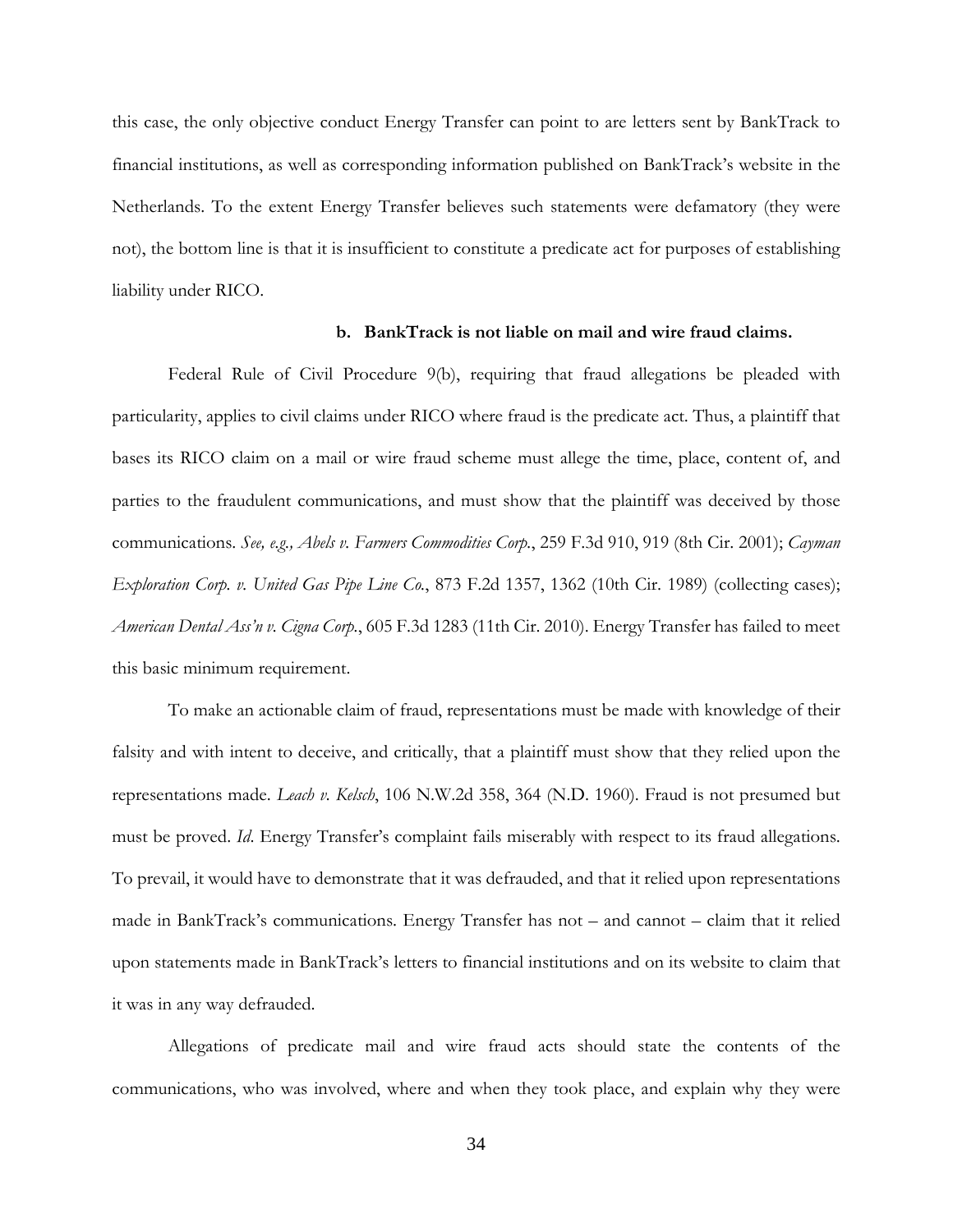this case, the only objective conduct Energy Transfer can point to are letters sent by BankTrack to financial institutions, as well as corresponding information published on BankTrack's website in the Netherlands. To the extent Energy Transfer believes such statements were defamatory (they were not), the bottom line is that it is insufficient to constitute a predicate act for purposes of establishing liability under RICO.

## **b. BankTrack is not liable on mail and wire fraud claims.**

Federal Rule of Civil Procedure 9(b), requiring that fraud allegations be pleaded with particularity, applies to civil claims under RICO where fraud is the predicate act. Thus, a plaintiff that bases its RICO claim on a mail or wire fraud scheme must allege the time, place, content of, and parties to the fraudulent communications, and must show that the plaintiff was deceived by those communications. *See, e.g., Abels v. Farmers Commodities Corp.*, 259 F.3d 910, 919 (8th Cir. 2001); *Cayman Exploration Corp. v. United Gas Pipe Line Co.*, 873 F.2d 1357, 1362 (10th Cir. 1989) (collecting cases); *American Dental Ass'n v. Cigna Corp.*, 605 F.3d 1283 (11th Cir. 2010). Energy Transfer has failed to meet this basic minimum requirement.

To make an actionable claim of fraud, representations must be made with knowledge of their falsity and with intent to deceive, and critically, that a plaintiff must show that they relied upon the representations made. *Leach v. Kelsch*, 106 N.W.2d 358, 364 (N.D. 1960). Fraud is not presumed but must be proved. *Id*. Energy Transfer's complaint fails miserably with respect to its fraud allegations. To prevail, it would have to demonstrate that it was defrauded, and that it relied upon representations made in BankTrack's communications. Energy Transfer has not – and cannot – claim that it relied upon statements made in BankTrack's letters to financial institutions and on its website to claim that it was in any way defrauded.

Allegations of predicate mail and wire fraud acts should state the contents of the communications, who was involved, where and when they took place, and explain why they were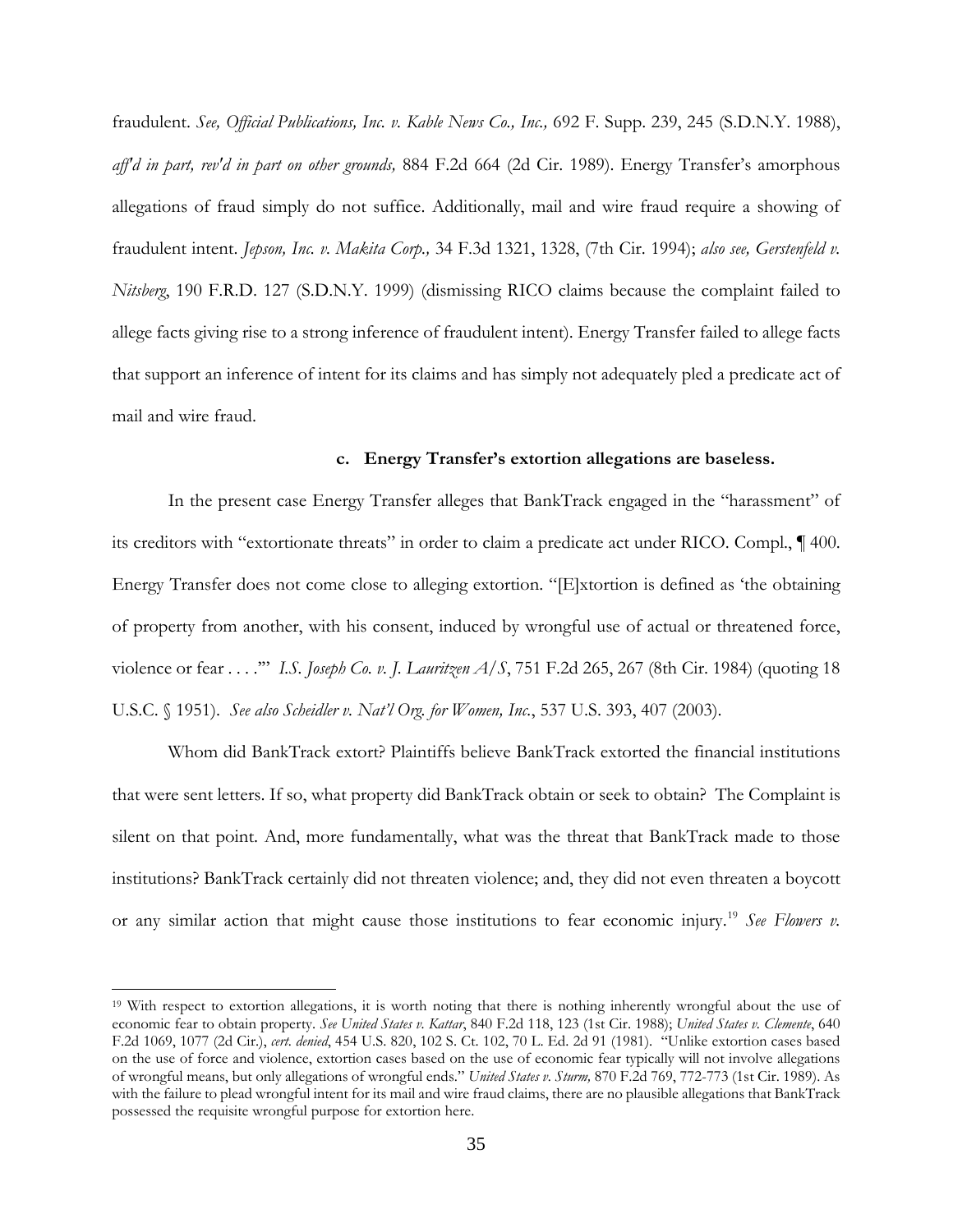fraudulent. *See, Official Publications, Inc. v. Kable News Co., Inc.,* 692 F. Supp. 239, 245 (S.D.N.Y. 1988), *aff'd in part, rev'd in part on other grounds,* 884 F.2d 664 (2d Cir. 1989). Energy Transfer's amorphous allegations of fraud simply do not suffice. Additionally, mail and wire fraud require a showing of fraudulent intent. *Jepson, Inc. v. Makita Corp.,* 34 F.3d 1321, 1328, (7th Cir. 1994); *also see, Gerstenfeld v. Nitsberg*, 190 F.R.D. 127 (S.D.N.Y. 1999) (dismissing RICO claims because the complaint failed to allege facts giving rise to a strong inference of fraudulent intent). Energy Transfer failed to allege facts that support an inference of intent for its claims and has simply not adequately pled a predicate act of mail and wire fraud.

## **c. Energy Transfer's extortion allegations are baseless.**

In the present case Energy Transfer alleges that BankTrack engaged in the "harassment" of its creditors with "extortionate threats" in order to claim a predicate act under RICO. Compl., ¶ 400. Energy Transfer does not come close to alleging extortion. "[E]xtortion is defined as 'the obtaining of property from another, with his consent, induced by wrongful use of actual or threatened force, violence or fear . . . .'" *I.S. Joseph Co. v. J. Lauritzen A/S*, 751 F.2d 265, 267 (8th Cir. 1984) (quoting 18 U.S.C. § 1951). *See also Scheidler v. Nat'l Org. for Women, Inc.*, 537 U.S. 393, 407 (2003).

Whom did BankTrack extort? Plaintiffs believe BankTrack extorted the financial institutions that were sent letters. If so, what property did BankTrack obtain or seek to obtain? The Complaint is silent on that point. And, more fundamentally, what was the threat that BankTrack made to those institutions? BankTrack certainly did not threaten violence; and, they did not even threaten a boycott or any similar action that might cause those institutions to fear economic injury.[19](#page-34-0) *See Flowers v.* 

<span id="page-34-0"></span><sup>19</sup> With respect to extortion allegations, it is worth noting that there is nothing inherently wrongful about the use of economic fear to obtain property. *See United States v. Kattar*, 840 F.2d 118, 123 (1st Cir. 1988); *United States v. Clemente*, 640 F.2d 1069, 1077 (2d Cir.), *cert. denied*, 454 U.S. 820, 102 S. Ct. 102, 70 L. Ed. 2d 91 (1981). "Unlike extortion cases based on the use of force and violence, extortion cases based on the use of economic fear typically will not involve allegations of wrongful means, but only allegations of wrongful ends." *United States v. Sturm,* 870 F.2d 769, 772-773 (1st Cir. 1989). As with the failure to plead wrongful intent for its mail and wire fraud claims, there are no plausible allegations that BankTrack possessed the requisite wrongful purpose for extortion here.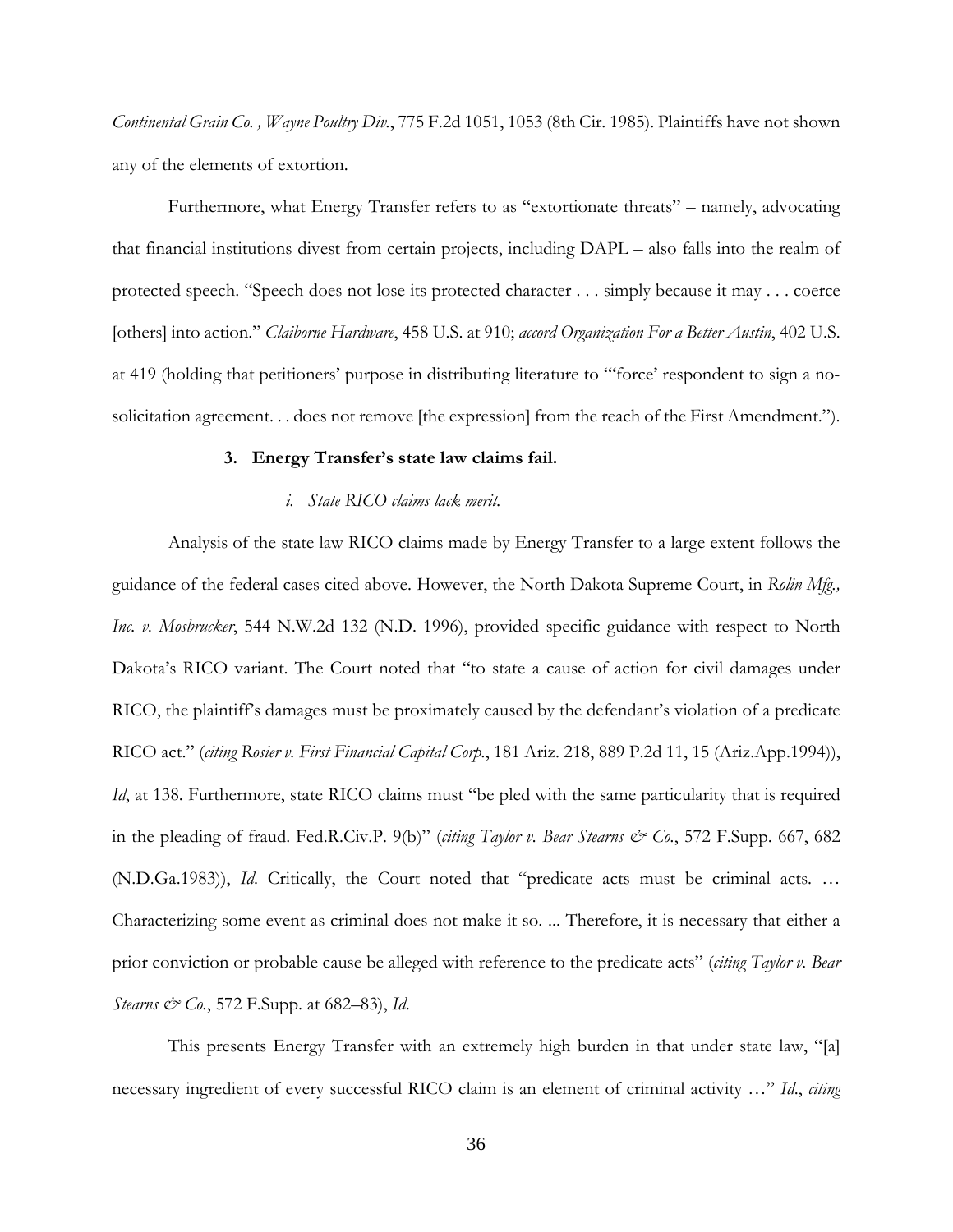*Continental Grain Co. , Wayne Poultry Div.*, 775 F.2d 1051, 1053 (8th Cir. 1985). Plaintiffs have not shown any of the elements of extortion.

Furthermore, what Energy Transfer refers to as "extortionate threats" – namely, advocating that financial institutions divest from certain projects, including DAPL – also falls into the realm of protected speech. "Speech does not lose its protected character . . . simply because it may . . . coerce [others] into action." *Claiborne Hardware*, 458 U.S. at 910; *accord Organization For a Better Austin*, 402 U.S. at 419 (holding that petitioners' purpose in distributing literature to "'force' respondent to sign a nosolicitation agreement. . . does not remove [the expression] from the reach of the First Amendment.").

#### **3. Energy Transfer's state law claims fail.**

### *i. State RICO claims lack merit.*

Analysis of the state law RICO claims made by Energy Transfer to a large extent follows the guidance of the federal cases cited above. However, the North Dakota Supreme Court, in *Rolin Mfg., Inc. v. Mosbrucker*, 544 N.W.2d 132 (N.D. 1996), provided specific guidance with respect to North Dakota's RICO variant. The Court noted that "to state a cause of action for civil damages under RICO, the plaintiff's damages must be proximately caused by the defendant's violation of a predicate RICO act." (*citing Rosier v. First Financial Capital Corp.*, 181 Ariz. 218, 889 P.2d 11, 15 (Ariz.App.1994)), *Id*, at 138. Furthermore, state RICO claims must "be pled with the same particularity that is required in the pleading of fraud. Fed.R.Civ.P. 9(b)" (*citing Taylor v. Bear Stearns & Co.*, 572 F.Supp. 667, 682 (N.D.Ga.1983)), *Id*. Critically, the Court noted that "predicate acts must be criminal acts. … Characterizing some event as criminal does not make it so. ... Therefore, it is necessary that either a prior conviction or probable cause be alleged with reference to the predicate acts" (*citing Taylor v. Bear Stearns & Co.*, 572 F.Supp. at 682–83), *Id*.

This presents Energy Transfer with an extremely high burden in that under state law, "[a] necessary ingredient of every successful RICO claim is an element of criminal activity …" *Id*., *citing*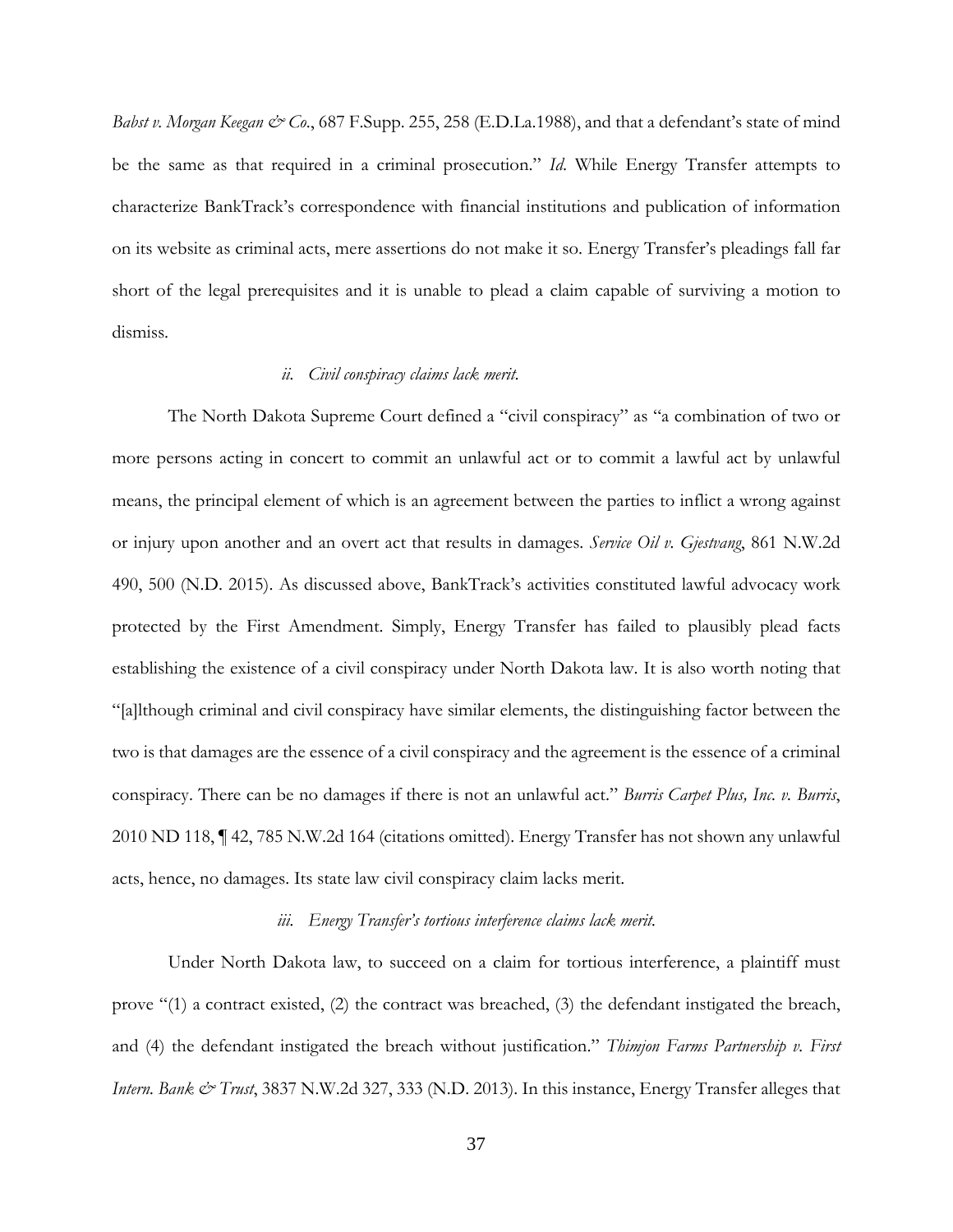*Babst v. Morgan Keegan & Co.*, 687 F.Supp. 255, 258 (E.D.La.1988), and that a defendant's state of mind be the same as that required in a criminal prosecution." *Id*. While Energy Transfer attempts to characterize BankTrack's correspondence with financial institutions and publication of information on its website as criminal acts, mere assertions do not make it so. Energy Transfer's pleadings fall far short of the legal prerequisites and it is unable to plead a claim capable of surviving a motion to dismiss.

## *ii. Civil conspiracy claims lack merit.*

The North Dakota Supreme Court defined a "civil conspiracy" as "a combination of two or more persons acting in concert to commit an unlawful act or to commit a lawful act by unlawful means, the principal element of which is an agreement between the parties to inflict a wrong against or injury upon another and an overt act that results in damages. *Service Oil v. Gjestvang*, 861 N.W.2d 490, 500 (N.D. 2015). As discussed above, BankTrack's activities constituted lawful advocacy work protected by the First Amendment. Simply, Energy Transfer has failed to plausibly plead facts establishing the existence of a civil conspiracy under North Dakota law. It is also worth noting that "[a]lthough criminal and civil conspiracy have similar elements, the distinguishing factor between the two is that damages are the essence of a civil conspiracy and the agreement is the essence of a criminal conspiracy. There can be no damages if there is not an unlawful act." *Burris Carpet Plus, Inc. v. Burris*, 2010 ND 118, ¶ 42, 785 N.W.2d 164 (citations omitted). Energy Transfer has not shown any unlawful acts, hence, no damages. Its state law civil conspiracy claim lacks merit.

### *iii. Energy Transfer's tortious interference claims lack merit.*

Under North Dakota law, to succeed on a claim for tortious interference, a plaintiff must prove "(1) a contract existed, (2) the contract was breached, (3) the defendant instigated the breach, and (4) the defendant instigated the breach without justification." *Thimjon Farms Partnership v. First Intern. Bank & Trust*, 3837 N.W.2d 327, 333 (N.D. 2013). In this instance, Energy Transfer alleges that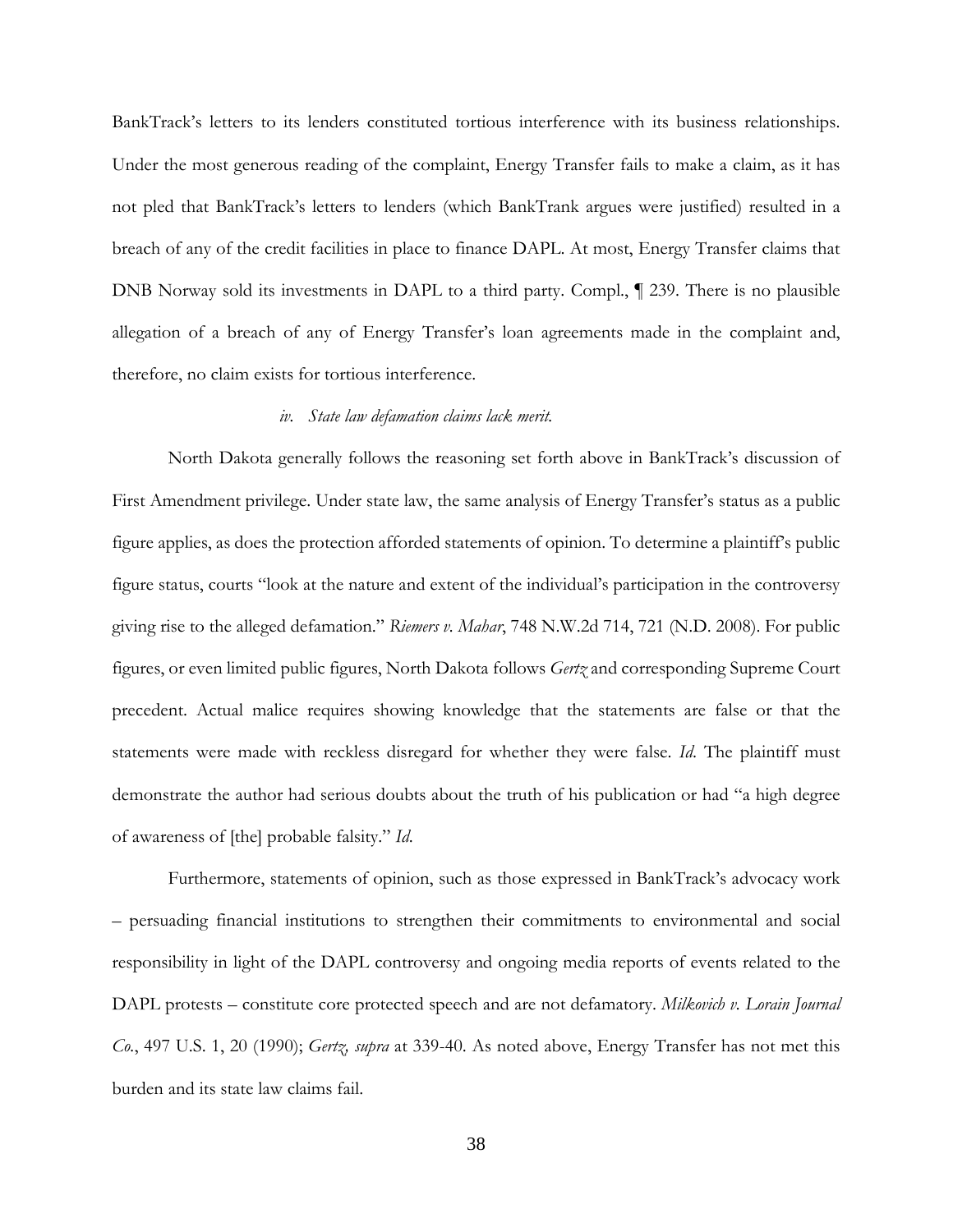BankTrack's letters to its lenders constituted tortious interference with its business relationships. Under the most generous reading of the complaint, Energy Transfer fails to make a claim, as it has not pled that BankTrack's letters to lenders (which BankTrank argues were justified) resulted in a breach of any of the credit facilities in place to finance DAPL. At most, Energy Transfer claims that DNB Norway sold its investments in DAPL to a third party. Compl., ¶ 239. There is no plausible allegation of a breach of any of Energy Transfer's loan agreements made in the complaint and, therefore, no claim exists for tortious interference.

#### *iv. State law defamation claims lack merit.*

North Dakota generally follows the reasoning set forth above in BankTrack's discussion of First Amendment privilege. Under state law, the same analysis of Energy Transfer's status as a public figure applies, as does the protection afforded statements of opinion. To determine a plaintiff's public figure status, courts "look at the nature and extent of the individual's participation in the controversy giving rise to the alleged defamation." *Riemers v. Mahar*, 748 N.W.2d 714, 721 (N.D. 2008). For public figures, or even limited public figures, North Dakota follows *Gertz* and corresponding Supreme Court precedent. Actual malice requires showing knowledge that the statements are false or that the statements were made with reckless disregard for whether they were false. *Id*. The plaintiff must demonstrate the author had serious doubts about the truth of his publication or had "a high degree of awareness of [the] probable falsity." *Id*.

Furthermore, statements of opinion, such as those expressed in BankTrack's advocacy work – persuading financial institutions to strengthen their commitments to environmental and social responsibility in light of the DAPL controversy and ongoing media reports of events related to the DAPL protests – constitute core protected speech and are not defamatory. *Milkovich v. Lorain Journal Co.*, 497 U.S. 1, 20 (1990); *Gertz, supra* at 339-40. As noted above, Energy Transfer has not met this burden and its state law claims fail.